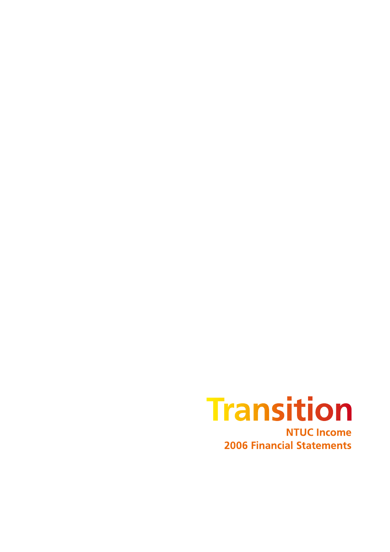

**2006 Financial Statements**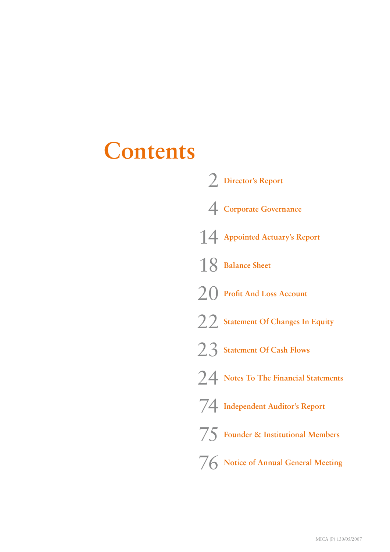# **Contents**

| 2 Director's Report                          |
|----------------------------------------------|
| 4 Corporate Governance                       |
| 14 Appointed Actuary's Report                |
| 18 Balance Sheet                             |
| $2()$ Profit And Loss Account                |
| 22 Statement Of Changes In Equity            |
| 23 Statement Of Cash Flows                   |
| <b>7.4</b> Notes To The Financial Statements |
| 74 Independent Auditor's Report              |
| 75 Founder & Institutional Members           |
| 76 Notice of Annual General Meeting          |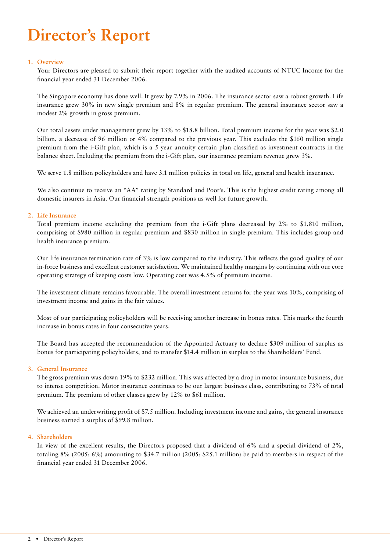# **Director's Report**

### **1. Overview**

Your Directors are pleased to submit their report together with the audited accounts of NTUC Income for the financial year ended 31 December 2006.

The Singapore economy has done well. It grew by 7.9% in 2006. The insurance sector saw a robust growth. Life insurance grew 30% in new single premium and 8% in regular premium. The general insurance sector saw a modest 2% growth in gross premium.

Our total assets under management grew by 13% to \$18.8 billion. Total premium income for the year was \$2.0 billion, a decrease of 96 million or 4% compared to the previous year. This excludes the \$160 million single premium from the i-Gift plan, which is a 5 year annuity certain plan classified as investment contracts in the balance sheet. Including the premium from the i-Gift plan, our insurance premium revenue grew 3%.

We serve 1.8 million policyholders and have 3.1 million policies in total on life, general and health insurance.

We also continue to receive an "AA" rating by Standard and Poor's. This is the highest credit rating among all domestic insurers in Asia. Our financial strength positions us well for future growth.

### **2. Life Insurance**

Total premium income excluding the premium from the i-Gift plans decreased by 2% to \$1,810 million, comprising of \$980 million in regular premium and \$830 million in single premium. This includes group and health insurance premium.

Our life insurance termination rate of 3% is low compared to the industry. This reflects the good quality of our in-force business and excellent customer satisfaction. We maintained healthy margins by continuing with our core operating strategy of keeping costs low. Operating cost was 4.5% of premium income.

The investment climate remains favourable. The overall investment returns for the year was 10%, comprising of investment income and gains in the fair values.

Most of our participating policyholders will be receiving another increase in bonus rates. This marks the fourth increase in bonus rates in four consecutive years.

The Board has accepted the recommendation of the Appointed Actuary to declare \$309 million of surplus as bonus for participating policyholders, and to transfer \$14.4 million in surplus to the Shareholders' Fund.

#### **3. General Insurance**

The gross premium was down 19% to \$232 million. This was affected by a drop in motor insurance business, due to intense competition. Motor insurance continues to be our largest business class, contributing to 73% of total premium. The premium of other classes grew by 12% to \$61 million.

We achieved an underwriting profit of \$7.5 million. Including investment income and gains, the general insurance business earned a surplus of \$99.8 million.

#### **4. Shareholders**

In view of the excellent results, the Directors proposed that a dividend of 6% and a special dividend of 2%, totaling 8% (2005: 6%) amounting to \$34.7 million (2005: \$25.1 million) be paid to members in respect of the financial year ended 31 December 2006.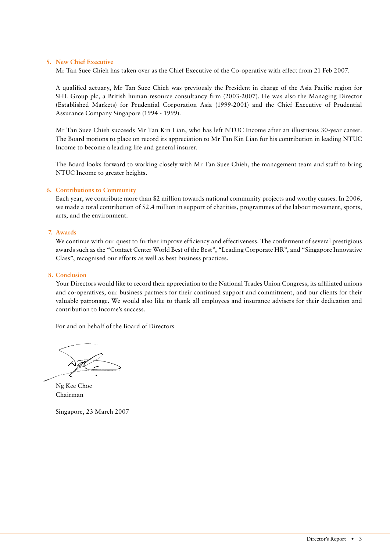#### **5. New Chief Executive**

Mr Tan Suee Chieh has taken over as the Chief Executive of the Co-operative with effect from 21 Feb 2007.

A qualified actuary, Mr Tan Suee Chieh was previously the President in charge of the Asia Pacific region for SHL Group plc, a British human resource consultancy firm (2003-2007). He was also the Managing Director (Established Markets) for Prudential Corporation Asia (1999-2001) and the Chief Executive of Prudential Assurance Company Singapore (1994 - 1999).

Mr Tan Suee Chieh succeeds Mr Tan Kin Lian, who has left NTUC Income after an illustrious 30-year career. The Board motions to place on record its appreciation to Mr Tan Kin Lian for his contribution in leading NTUC Income to become a leading life and general insurer.

The Board looks forward to working closely with Mr Tan Suee Chieh, the management team and staff to bring NTUC Income to greater heights.

### **6. Contributions to Community**

Each year, we contribute more than \$2 million towards national community projects and worthy causes. In 2006, we made a total contribution of \$2.4 million in support of charities, programmes of the labour movement, sports, arts, and the environment.

#### **7. Awards**

We continue with our quest to further improve efficiency and effectiveness. The conferment of several prestigious awards such as the "Contact Center World Best of the Best", "Leading Corporate HR", and "Singapore Innovative Class", recognised our efforts as well as best business practices.

#### **8. Conclusion**

Your Directors would like to record their appreciation to the National Trades Union Congress, its affiliated unions and co-operatives, our business partners for their continued support and commitment, and our clients for their valuable patronage. We would also like to thank all employees and insurance advisers for their dedication and contribution to Income's success.

For and on behalf of the Board of Directors

Ng Kee Choe Chairman

Singapore, 23 March 2007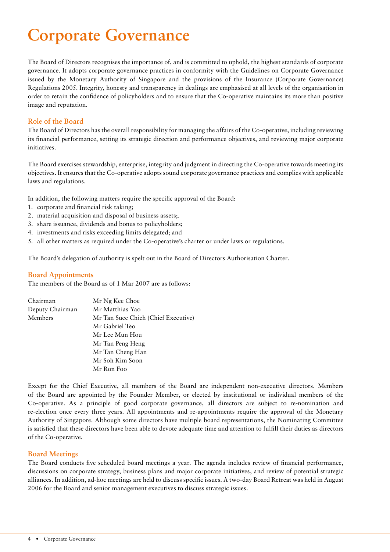# **Corporate Governance**

The Board of Directors recognises the importance of, and is committed to uphold, the highest standards of corporate governance. It adopts corporate governance practices in conformity with the Guidelines on Corporate Governance issued by the Monetary Authority of Singapore and the provisions of the Insurance (Corporate Governance) Regulations 2005. Integrity, honesty and transparency in dealings are emphasised at all levels of the organisation in order to retain the confidence of policyholders and to ensure that the Co-operative maintains its more than positive image and reputation.

# **Role of the Board**

The Board of Directors has the overall responsibility for managing the affairs of the Co-operative, including reviewing its financial performance, setting its strategic direction and performance objectives, and reviewing major corporate initiatives.

The Board exercises stewardship, enterprise, integrity and judgment in directing the Co-operative towards meeting its objectives. It ensures that the Co-operative adopts sound corporate governance practices and complies with applicable laws and regulations.

In addition, the following matters require the specific approval of the Board:

- 1. corporate and financial risk taking;
- 2. material acquisition and disposal of business assets;.
- 3. share issuance, dividends and bonus to policyholders;
- 4. investments and risks exceeding limits delegated; and
- 5. all other matters as required under the Co-operative's charter or under laws or regulations.

The Board's delegation of authority is spelt out in the Board of Directors Authorisation Charter.

# **Board Appointments**

The members of the Board as of 1 Mar 2007 are as follows:

| Chairman        | Mr Ng Kee Choe                      |
|-----------------|-------------------------------------|
| Deputy Chairman | Mr Matthias Yao                     |
| Members         | Mr Tan Suee Chieh (Chief Executive) |
|                 | Mr Gabriel Teo                      |
|                 | Mr Lee Mun Hou                      |
|                 | Mr Tan Peng Heng                    |
|                 | Mr Tan Cheng Han                    |
|                 | Mr Soh Kim Soon                     |
|                 | Mr Ron Foo                          |

Except for the Chief Executive, all members of the Board are independent non-executive directors. Members of the Board are appointed by the Founder Member, or elected by institutional or individual members of the Co-operative. As a principle of good corporate governance, all directors are subject to re-nomination and re-election once every three years. All appointments and re-appointments require the approval of the Monetary Authority of Singapore. Although some directors have multiple board representations, the Nominating Committee is satisfied that these directors have been able to devote adequate time and attention to fulfill their duties as directors of the Co-operative.

# **Board Meetings**

The Board conducts five scheduled board meetings a year. The agenda includes review of financial performance, discussions on corporate strategy, business plans and major corporate initiatives, and review of potential strategic alliances. In addition, ad-hoc meetings are held to discuss specific issues. A two-day Board Retreat was held in August 2006 for the Board and senior management executives to discuss strategic issues.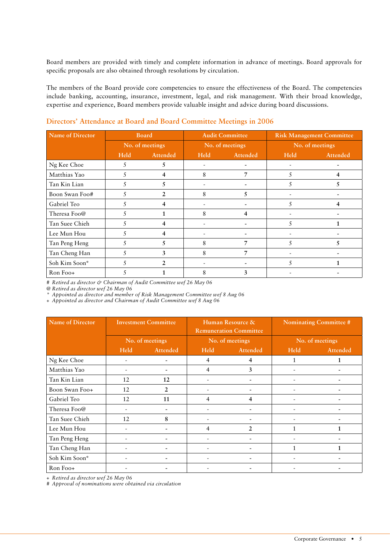Board members are provided with timely and complete information in advance of meetings. Board approvals for specific proposals are also obtained through resolutions by circulation.

The members of the Board provide core competencies to ensure the effectiveness of the Board. The competencies include banking, accounting, insurance, investment, legal, and risk management. With their broad knowledge, expertise and experience, Board members provide valuable insight and advice during board discussions.

| Name of Director | <b>Board</b> |                 |                 | <b>Audit Committee</b> | <b>Risk Management Committee</b> |          |
|------------------|--------------|-----------------|-----------------|------------------------|----------------------------------|----------|
|                  |              | No. of meetings | No. of meetings |                        | No. of meetings                  |          |
|                  | <b>Held</b>  | Attended        | <b>Held</b>     | Attended               | <b>Held</b>                      | Attended |
| Ng Kee Choe      | 5            | 5.              | -               |                        |                                  |          |
| Matthias Yao     |              |                 | 8               |                        |                                  |          |
| Tan Kin Lian     | 5            | 5.              |                 |                        | 5                                |          |
| Boon Swan Foo#   | 5            | $\mathcal{L}$   | 8               |                        |                                  |          |
| Gabriel Teo      | 5            |                 |                 |                        | 5                                |          |
| Theresa Foo@     | 5            |                 | 8               | 4                      |                                  |          |
| Tan Suee Chieh   | 5            |                 |                 |                        | 5                                |          |
| Lee Mun Hou      | 5            |                 |                 |                        |                                  |          |
| Tan Peng Heng    | 5            | 5               | 8               |                        | 5                                |          |
| Tan Cheng Han    | 5            | 3               | 8               | 7                      |                                  |          |
| Soh Kim Soon*    |              | $\mathcal{L}$   |                 |                        |                                  |          |
| Ron Foo+         |              |                 | 8               | 3                      |                                  |          |

# **Directors' Attendance at Board and Board Committee Meetings in 2006**

*# Retired as director & Chairman of Audit Committee wef 26 May 06*

*@ Retired as director wef 26 May 06*

*\* Appointed as director and member of Risk Management Committee wef 8 Aug 06*

*+ Appointed as director and Chairman of Audit Committee wef 8 Aug 06*

| Name of Director |                          | <b>Investment Committee</b> | Human Resource &<br><b>Remuneration Committee</b> |                 | Nominating Committee # |          |
|------------------|--------------------------|-----------------------------|---------------------------------------------------|-----------------|------------------------|----------|
|                  | No. of meetings          |                             |                                                   | No. of meetings | No. of meetings        |          |
|                  | <b>Held</b>              | Attended                    | Held                                              | Attended        | <b>Held</b>            | Attended |
| Ng Kee Choe      |                          |                             | 4                                                 | 4               |                        | 1        |
| Matthias Yao     | Ξ.                       |                             | 4                                                 | 3               | $\sim$                 |          |
| Tan Kin Lian     | 12                       | 12                          |                                                   |                 |                        |          |
| Boon Swan Foo+   | 12                       | 2                           |                                                   |                 |                        |          |
| Gabriel Teo      | 12                       | 11                          | 4                                                 | 4               |                        |          |
| Theresa Foo@     | ۰                        | $\overline{\phantom{a}}$    |                                                   |                 | ٠                      |          |
| Tan Suee Chieh   | 12                       | 8                           |                                                   |                 |                        |          |
| Lee Mun Hou      |                          |                             | 4                                                 | $\overline{2}$  | 1                      |          |
| Tan Peng Heng    | Ξ.                       |                             | ۰                                                 |                 |                        |          |
| Tan Cheng Han    |                          |                             |                                                   |                 | 1                      |          |
| Soh Kim Soon*    | ۰                        | $\overline{\phantom{a}}$    | $\overline{\phantom{a}}$                          | -               |                        |          |
| Ron Foo+         | $\overline{\phantom{a}}$ | -                           | -                                                 |                 |                        |          |

*+ Retired as director wef 26 May 06*

*# Approval of nominations were obtained via circulation*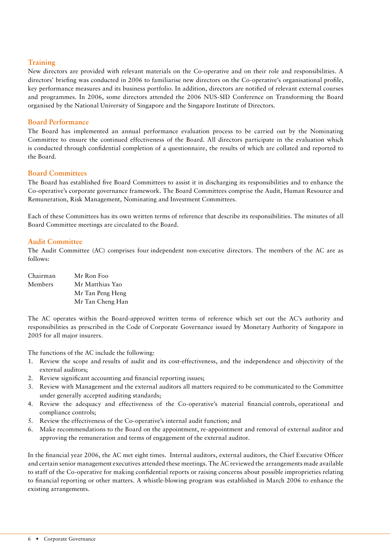# **Training**

New directors are provided with relevant materials on the Co-operative and on their role and responsibilities. A directors' briefing was conducted in 2006 to familiarise new directors on the Co-operative's organisational profile, key performance measures and its business portfolio. In addition, directors are notified of relevant external courses and programmes. In 2006, some directors attended the 2006 NUS-SID Conference on Transforming the Board organised by the National University of Singapore and the Singapore Institute of Directors.

# **Board Performance**

The Board has implemented an annual performance evaluation process to be carried out by the Nominating Committee to ensure the continued effectiveness of the Board. All directors participate in the evaluation which is conducted through confidential completion of a questionnaire, the results of which are collated and reported to the Board.

# **Board Committees**

The Board has established five Board Committees to assist it in discharging its responsibilities and to enhance the Co-operative's corporate governance framework. The Board Committees comprise the Audit, Human Resource and Remuneration, Risk Management, Nominating and Investment Committees.

Each of these Committees has its own written terms of reference that describe its responsibilities. The minutes of all Board Committee meetings are circulated to the Board.

# **Audit Committee**

The Audit Committee (AC) comprises four independent non-executive directors. The members of the AC are as follows:

| Chairman | Mr Ron Foo       |
|----------|------------------|
| Members  | Mr Matthias Yao  |
|          | Mr Tan Peng Heng |
|          | Mr Tan Cheng Han |

The AC operates within the Board-approved written terms of reference which set out the AC's authority and responsibilities as prescribed in the Code of Corporate Governance issued by Monetary Authority of Singapore in 2005 for all major insurers.

The functions of the AC include the following:

- 1. Review the scope and results of audit and its cost-effectiveness, and the independence and objectivity of the external auditors;
- 2. Review significant accounting and financial reporting issues;
- 3. Review with Management and the external auditors all matters required to be communicated to the Committee under generally accepted auditing standards;
- Review the adequacy and effectiveness of the Co-operative's material financial controls, operational and 4. compliance controls;
- Review the effectiveness of the Co-operative's internal audit function; and 5.
- Make recommendations to the Board on the appointment, re-appointment and removal of external auditor and approving the remuneration and terms of engagement of the external auditor. 6.

In the financial year 2006, the AC met eight times. Internal auditors, external auditors, the Chief Executive Officer and certain senior management executives attended these meetings. The AC reviewed the arrangements made available to staff of the Co-operative for making confidential reports or raising concerns about possible improprieties relating to financial reporting or other matters. A whistle-blowing program was established in March 2006 to enhance the existing arrangements.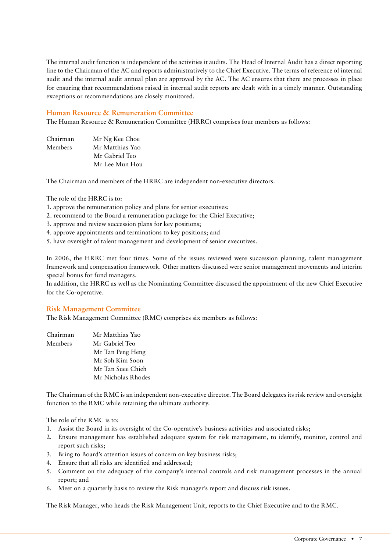The internal audit function is independent of the activities it audits. The Head of Internal Audit has a direct reporting line to the Chairman of the AC and reports administratively to the Chief Executive. The terms of reference of internal audit and the internal audit annual plan are approved by the AC. The AC ensures that there are processes in place for ensuring that recommendations raised in internal audit reports are dealt with in a timely manner. Outstanding exceptions or recommendations are closely monitored.

# **Human Resource & Remuneration Committee**

The Human Resource & Remuneration Committee (HRRC) comprises four members as follows:

| Chairman | Mr Ng Kee Choe  |
|----------|-----------------|
| Members  | Mr Matthias Yao |
|          | Mr Gabriel Teo  |
|          | Mr Lee Mun Hou  |

The Chairman and members of the HRRC are independent non-executive directors.

The role of the HRRC is to:

- 1. approve the remuneration policy and plans for senior executives;
- 2. recommend to the Board a remuneration package for the Chief Executive;
- 3. approve and review succession plans for key positions;
- 4. approve appointments and terminations to key positions; and
- 5. have oversight of talent management and development of senior executives.

In 2006, the HRRC met four times. Some of the issues reviewed were succession planning, talent management framework and compensation framework. Other matters discussed were senior management movements and interim special bonus for fund managers.

In addition, the HRRC as well as the Nominating Committee discussed the appointment of the new Chief Executive for the Co-operative.

#### **Risk Management Committee**

The Risk Management Committee (RMC) comprises six members as follows:

| Chairman | Mr Matthias Yao    |
|----------|--------------------|
| Members  | Mr Gabriel Teo     |
|          | Mr Tan Peng Heng   |
|          | Mr Soh Kim Soon    |
|          | Mr Tan Suee Chieh  |
|          | Mr Nicholas Rhodes |

The Chairman of the RMC is an independent non-executive director. The Board delegates its risk review and oversight function to the RMC while retaining the ultimate authority.

The role of the RMC is to:

- Assist the Board in its oversight of the Co-operative's business activities and associated risks; 1.
- Ensure management has established adequate system for risk management, to identify, monitor, control and 2. report such risks;
- 3. Bring to Board's attention issues of concern on key business risks;
- Ensure that all risks are identified and addressed; 4.
- Comment on the adequacy of the company's internal controls and risk management processes in the annual 5. report; and
- Meet on a quarterly basis to review the Risk manager's report and discuss risk issues. 6.

The Risk Manager, who heads the Risk Management Unit, reports to the Chief Executive and to the RMC.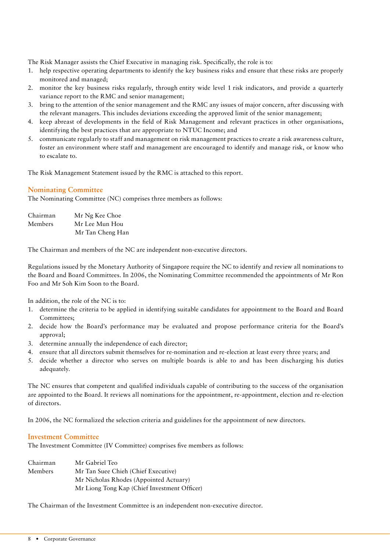The Risk Manager assists the Chief Executive in managing risk. Specifically, the role is to:

- 1. help respective operating departments to identify the key business risks and ensure that these risks are properly monitored and managed;
- monitor the key business risks regularly, through entity wide level 1 risk indicators, and provide a quarterly 2. variance report to the RMC and senior management;
- bring to the attention of the senior management and the RMC any issues of major concern, after discussing with 3. the relevant managers. This includes deviations exceeding the approved limit of the senior management;
- 4. keep abreast of developments in the field of Risk Management and relevant practices in other organisations, identifying the best practices that are appropriate to NTUC Income; and
- communicate regularly to staff and management on risk management practices to create a risk awareness culture, 5. foster an environment where staff and management are encouraged to identify and manage risk, or know who to escalate to.

The Risk Management Statement issued by the RMC is attached to this report.

# **Nominating Committee**

The Nominating Committee (NC) comprises three members as follows:

| Chairman | Mr Ng Kee Choe   |
|----------|------------------|
| Members  | Mr Lee Mun Hou   |
|          | Mr Tan Cheng Han |

The Chairman and members of the NC are independent non-executive directors.

Regulations issued by the Monetary Authority of Singapore require the NC to identify and review all nominations to the Board and Board Committees. In 2006, the Nominating Committee recommended the appointments of Mr Ron Foo and Mr Soh Kim Soon to the Board.

In addition, the role of the NC is to:

- determine the criteria to be applied in identifying suitable candidates for appointment to the Board and Board 1. Committees;
- 2. decide how the Board's performance may be evaluated and propose performance criteria for the Board's approval;
- determine annually the independence of each director; 3.
- ensure that all directors submit themselves for re-nomination and re-election at least every three years; and 4.
- 5. decide whether a director who serves on multiple boards is able to and has been discharging his duties adequately.

The NC ensures that competent and qualified individuals capable of contributing to the success of the organisation are appointed to the Board. It reviews all nominations for the appointment, re-appointment, election and re-election of directors.

In 2006, the NC formalized the selection criteria and guidelines for the appointment of new directors.

# **Investment Committee**

The Investment Committee (IV Committee) comprises five members as follows:

| Chairman       | Mr Gabriel Teo                               |
|----------------|----------------------------------------------|
| <b>Members</b> | Mr Tan Suee Chieh (Chief Executive)          |
|                | Mr Nicholas Rhodes (Appointed Actuary)       |
|                | Mr Liong Tong Kap (Chief Investment Officer) |

The Chairman of the Investment Committee is an independent non-executive director.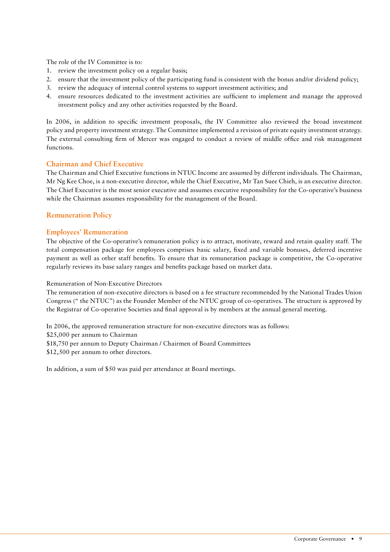The role of the IV Committee is to:

- 1. review the investment policy on a regular basis;
- ensure that the investment policy of the participating fund is consistent with the bonus and/or dividend policy; 2.
- 3. review the adequacy of internal control systems to support investment activities; and
- ensure resources dedicated to the investment activities are sufficient to implement and manage the approved 4.investment policy and any other activities requested by the Board.

In 2006, in addition to specific investment proposals, the IV Committee also reviewed the broad investment policy and property investment strategy. The Committee implemented a revision of private equity investment strategy. The external consulting firm of Mercer was engaged to conduct a review of middle office and risk management functions.

#### **Chairman and Chief Executive**

The Chairman and Chief Executive functions in NTUC Income are assumed by different individuals. The Chairman, Mr Ng Kee Choe, is a non-executive director, while the Chief Executive, Mr Tan Suee Chieh, is an executive director. The Chief Executive is the most senior executive and assumes executive responsibility for the Co-operative's business while the Chairman assumes responsibility for the management of the Board.

### **Remuneration Policy**

#### **Employees' Remuneration**

The objective of the Co-operative's remuneration policy is to attract, motivate, reward and retain quality staff. The total compensation package for employees comprises basic salary, fixed and variable bonuses, deferred incentive payment as well as other staff benefits. To ensure that its remuneration package is competitive, the Co-operative regularly reviews its base salary ranges and benefits package based on market data.

### Remuneration of Non-Executive Directors

The remuneration of non-executive directors is based on a fee structure recommended by the National Trades Union Congress (" the NTUC") as the Founder Member of the NTUC group of co-operatives. The structure is approved by the Registrar of Co-operative Societies and final approval is by members at the annual general meeting.

In 2006, the approved remuneration structure for non-executive directors was as follows: \$25,000 per annum to Chairman \$18,750 per annum to Deputy Chairman / Chairmen of Board Committees \$12,500 per annum to other directors.

In addition, a sum of \$50 was paid per attendance at Board meetings.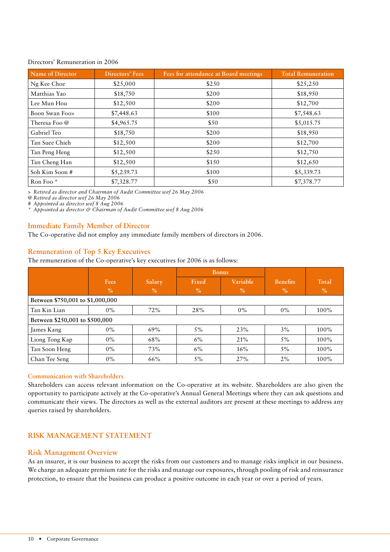#### Directors' Remuneration in 2006

| Name of Director | Directors' Fees | Fees for attendance at Board meetings | <b>Total Remuneration</b> |
|------------------|-----------------|---------------------------------------|---------------------------|
| Ng Kee Choe      | \$25,000        | \$250                                 | \$25,250                  |
| Matthias Yao     | \$18,750        | \$200                                 | \$18,950                  |
| Lee Mun Hou      | \$12,500        | \$200                                 | \$12,700                  |
| Boon Swan Foo>   | \$7,448.63      | \$100                                 | \$7,548.63                |
| Theresa Foo @    | \$4,965.75      | \$50                                  | \$5,015.75                |
| Gabriel Teo      | \$18,750        | \$200                                 | \$18,950                  |
| Tan Suee Chieh   | \$12,500        | \$200                                 | \$12,700                  |
| Tan Peng Heng    | \$12,500        | \$250                                 | \$12,750                  |
| Tan Cheng Han    | \$12,500        | \$150                                 | \$12,650                  |
| Soh Kim Soon #   | \$5,239.73      | \$100                                 | \$5,339.73                |
| Ron Foo*         | \$7,328.77      | \$50                                  | \$7,378.77                |

*> Retired as director and Chairman of Audit Committee wef 26 May 2006*

*@ Retired as director wef 26 May 2006 # Appointed as director wef 8 Aug 2006*

*\* Appointed as director & Chairman of Audit Committee wef 8 Aug 2006*

# **Immediate Family Member of Director**

The Co-operative did not employ any immediate family members of directors in 2006.

# **Remuneration of Top 5 Key Executives**

The remuneration of the Co-operative's key executives for 2006 is as follows:

|                                  |             |        | <b>Bonus</b> |          |                 |         |
|----------------------------------|-------------|--------|--------------|----------|-----------------|---------|
|                                  | <b>Fees</b> | Salary | Fixed        | Variable | <b>Benefits</b> | Total   |
|                                  | $\%$        | $\%$   | $\%$         | $\%$     | $\%$            | $\%$    |
| Between \$750,001 to \$1,000,000 |             |        |              |          |                 |         |
| Tan Kin Lian                     | $0\%$       | 72%    | 28%          | $0\%$    | $0\%$           | $100\%$ |
| Between \$250,001 to \$500,000   |             |        |              |          |                 |         |
| James Kang                       | $0\%$       | 69%    | $5\%$        | 23%      | 3%              | $100\%$ |
| Liong Tong Kap                   | $0\%$       | 68%    | $6\%$        | 21%      | $5\%$           | $100\%$ |
| Tan Soon Heng                    | $0\%$       | 73%    | $6\%$        | 16%      | $5\%$           | $100\%$ |
| Chan Tee Seng                    | $0\%$       | 66%    | 5%           | 27%      | 2%              | 100%    |

#### **Communication with Shareholders**

Shareholders can access relevant information on the Co-operative at its website. Shareholders are also given the opportunity to participate actively at the Co-operative's Annual General Meetings where they can ask questions and communicate their views. The directors as well as the external auditors are present at these meetings to address any queries raised by shareholders.

# **RISK MANAGEMENT STATEMENT**

# **Risk Management Overview**

As an insurer, it is our business to accept the risks from our customers and to manage risks implicit in our business. We charge an adequate premium rate for the risks and manage our exposures, through pooling of risk and reinsurance protection, to ensure that the business can produce a positive outcome in each year or over a period of years.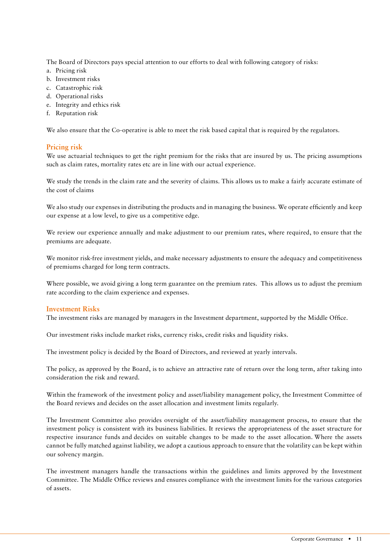The Board of Directors pays special attention to our efforts to deal with following category of risks:

- a. Pricing risk
- b. Investment risks
- c. Catastrophic risk
- d. Operational risks
- e. Integrity and ethics risk
- f. Reputation risk

We also ensure that the Co-operative is able to meet the risk based capital that is required by the regulators.

# **Pricing risk**

We use actuarial techniques to get the right premium for the risks that are insured by us. The pricing assumptions such as claim rates, mortality rates etc are in line with our actual experience.

We study the trends in the claim rate and the severity of claims. This allows us to make a fairly accurate estimate of the cost of claims

We also study our expenses in distributing the products and in managing the business. We operate efficiently and keep our expense at a low level, to give us a competitive edge.

We review our experience annually and make adjustment to our premium rates, where required, to ensure that the premiums are adequate.

We monitor risk-free investment yields, and make necessary adjustments to ensure the adequacy and competitiveness of premiums charged for long term contracts.

Where possible, we avoid giving a long term guarantee on the premium rates. This allows us to adjust the premium rate according to the claim experience and expenses.

# **Investment Risks**

The investment risks are managed by managers in the Investment department, supported by the Middle Office.

Our investment risks include market risks, currency risks, credit risks and liquidity risks.

The investment policy is decided by the Board of Directors, and reviewed at yearly intervals.

The policy, as approved by the Board, is to achieve an attractive rate of return over the long term, after taking into consideration the risk and reward.

Within the framework of the investment policy and asset/liability management policy, the Investment Committee of the Board reviews and decides on the asset allocation and investment limits regularly.

The Investment Committee also provides oversight of the asset/liability management process, to ensure that the investment policy is consistent with its business liabilities. It reviews the appropriateness of the asset structure for respective insurance funds and decides on suitable changes to be made to the asset allocation. Where the assets cannot be fully matched against liability, we adopt a cautious approach to ensure that the volatility can be kept within our solvency margin.

The investment managers handle the transactions within the guidelines and limits approved by the Investment Committee. The Middle Office reviews and ensures compliance with the investment limits for the various categories of assets.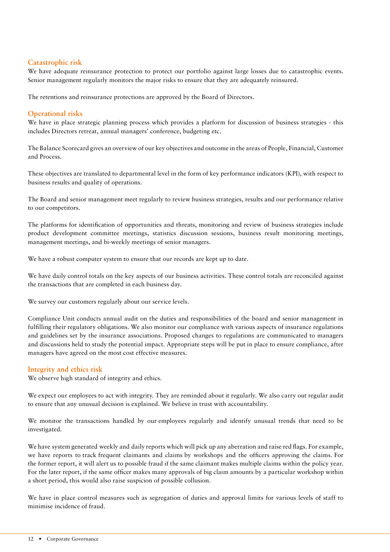# **Catastrophic risk**

We have adequate reinsurance protection to protect our portfolio against large losses due to catastrophic events. Senior management regularly monitors the major risks to ensure that they are adequately reinsured.

The retentions and reinsurance protections are approved by the Board of Directors.

# **Operational risks**

We have in place strategic planning process which provides a platform for discussion of business strategies - this includes Directors retreat, annual managers' conference, budgeting etc.

The Balance Scorecard gives an overview of our key objectives and outcome in the areas of People, Financial, Customer and Process.

These objectives are translated to departmental level in the form of key performance indicators (KPI), with respect to business results and quality of operations.

The Board and senior management meet regularly to review business strategies, results and our performance relative to our competitors.

The platforms for identification of opportunities and threats, monitoring and review of business strategies include product development committee meetings, statistics discussion sessions, business result monitoring meetings, management meetings, and bi-weekly meetings of senior managers.

We have a robust computer system to ensure that our records are kept up to date.

We have daily control totals on the key aspects of our business activities. These control totals are reconciled against the transactions that are completed in each business day.

We survey our customers regularly about our service levels.

Compliance Unit conducts annual audit on the duties and responsibilities of the board and senior management in fulfilling their regulatory obligations. We also monitor our compliance with various aspects of insurance regulations and guidelines set by the insurance associations. Proposed changes to regulations are communicated to managers and discussions held to study the potential impact. Appropriate steps will be put in place to ensure compliance, after managers have agreed on the most cost effective measures.

# **Integrity and ethics risk**

We observe high standard of integrity and ethics.

We expect our employees to act with integrity. They are reminded about it regularly. We also carry out regular audit to ensure that any unusual decision is explained. We believe in trust with accountability.

We monitor the transactions handled by our employees regularly and identify unusual trends that need to be investigated.

We have system generated weekly and daily reports which will pick up any aberration and raise red flags. For example, we have reports to track frequent claimants and claims by workshops and the officers approving the claims. For the former report, it will alert us to possible fraud if the same claimant makes multiple claims within the policy year. For the later report, if the same officer makes many approvals of big claim amounts by a particular workshop within a short period, this would also raise suspicion of possible collusion.

We have in place control measures such as segregation of duties and approval limits for various levels of staff to minimise incidence of fraud.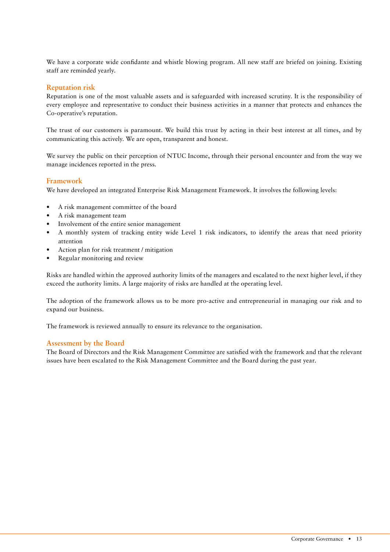We have a corporate wide confidante and whistle blowing program. All new staff are briefed on joining. Existing staff are reminded yearly.

# **Reputation risk**

Reputation is one of the most valuable assets and is safeguarded with increased scrutiny. It is the responsibility of every employee and representative to conduct their business activities in a manner that protects and enhances the Co-operative's reputation.

The trust of our customers is paramount. We build this trust by acting in their best interest at all times, and by communicating this actively. We are open, transparent and honest.

We survey the public on their perception of NTUC Income, through their personal encounter and from the way we manage incidences reported in the press.

# **Framework**

We have developed an integrated Enterprise Risk Management Framework. It involves the following levels:

- A risk management committee of the board •
- A risk management team •
- Involvement of the entire senior management •
- A monthly system of tracking entity wide Level 1 risk indicators, to identify the areas that need priority attention •
- Action plan for risk treatment / mitigation •
- Regular monitoring and review •

Risks are handled within the approved authority limits of the managers and escalated to the next higher level, if they exceed the authority limits. A large majority of risks are handled at the operating level.

The adoption of the framework allows us to be more pro-active and entrepreneurial in managing our risk and to expand our business.

The framework is reviewed annually to ensure its relevance to the organisation.

# **Assessment by the Board**

The Board of Directors and the Risk Management Committee are satisfied with the framework and that the relevant issues have been escalated to the Risk Management Committee and the Board during the past year.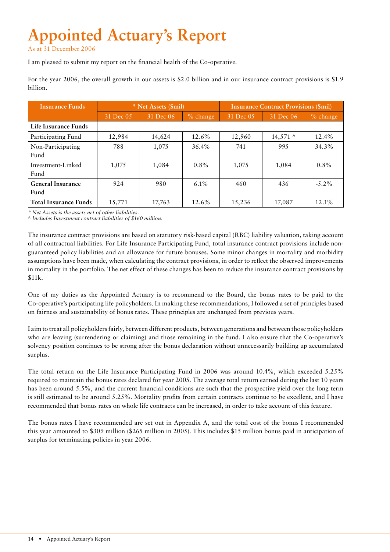# **Appointed Actuary's Report**

As at 31 December 2006

I am pleased to submit my report on the financial health of the Co-operative.

For the year 2006, the overall growth in our assets is \$2.0 billion and in our insurance contract provisions is \$1.9 billion.

| <b>Insurance Funds</b>       | * Net Assets (Smil) |           |            | <b>Insurance Contract Provisions (\$mil)</b> |            |             |
|------------------------------|---------------------|-----------|------------|----------------------------------------------|------------|-------------|
|                              | 31 Dec 05           | 31 Dec 06 | $%$ change | 31 Dec 05                                    | 31 Dec 06  | $\%$ change |
| Life Insurance Funds         |                     |           |            |                                              |            |             |
| Participating Fund           | 12,984              | 14,624    | 12.6%      | 12,960                                       | $14,571$ ^ | 12.4%       |
| Non-Participating            | 788                 | 1,075     | $36.4\%$   | 741                                          | 995        | 34.3%       |
| Fund                         |                     |           |            |                                              |            |             |
| Investment-Linked            | 1.075               | 1,084     | $0.8\%$    | 1,075                                        | 1,084      | $0.8\%$     |
| Fund                         |                     |           |            |                                              |            |             |
| <b>General Insurance</b>     | 924                 | 980       | $6.1\%$    | 460                                          | 436        | $-5.2\%$    |
| Fund                         |                     |           |            |                                              |            |             |
| <b>Total Insurance Funds</b> | 15,771              | 17,763    | 12.6%      | 15,236                                       | 17,087     | 12.1%       |

*\* Net Assets is the assets net of other liabilities.*

*^ Includes Investment contract liabilities of \$160 million.*

The insurance contract provisions are based on statutory risk-based capital (RBC) liability valuation, taking account of all contractual liabilities. For Life Insurance Participating Fund, total insurance contract provisions include nonguaranteed policy liabilities and an allowance for future bonuses. Some minor changes in mortality and morbidity assumptions have been made, when calculating the contract provisions, in order to reflect the observed improvements in mortality in the portfolio. The net effect of these changes has been to reduce the insurance contract provisions by \$11k.

One of my duties as the Appointed Actuary is to recommend to the Board, the bonus rates to be paid to the Co-operative's participating life policyholders. In making these recommendations, I followed a set of principles based on fairness and sustainability of bonus rates. These principles are unchanged from previous years.

I aim to treat all policyholders fairly, between different products, between generations and between those policyholders who are leaving (surrendering or claiming) and those remaining in the fund. I also ensure that the Co-operative's solvency position continues to be strong after the bonus declaration without unnecessarily building up accumulated surplus.

The total return on the Life Insurance Participating Fund in 2006 was around 10.4%, which exceeded 5.25% required to maintain the bonus rates declared for year 2005. The average total return earned during the last 10 years has been around 5.5%, and the current financial conditions are such that the prospective yield over the long term is still estimated to be around 5.25%. Mortality profits from certain contracts continue to be excellent, and I have recommended that bonus rates on whole life contracts can be increased, in order to take account of this feature.

The bonus rates I have recommended are set out in Appendix A, and the total cost of the bonus I recommended this year amounted to \$309 million (\$265 million in 2005). This includes \$15 million bonus paid in anticipation of surplus for terminating policies in year 2006.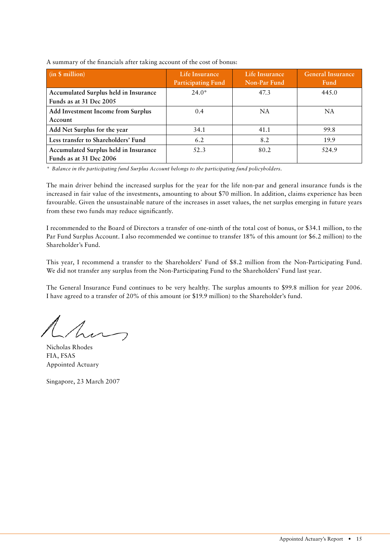| $(in \$ million)$                                                | Life Insurance<br><b>Participating Fund</b> | Life Insurance<br>Non-Par Fund | <b>General Insurance</b><br>Fund |
|------------------------------------------------------------------|---------------------------------------------|--------------------------------|----------------------------------|
| Accumulated Surplus held in Insurance<br>Funds as at 31 Dec 2005 | $24.0*$                                     | 47.3                           | 445.0                            |
| <b>Add Investment Income from Surplus</b><br>Account             | 0.4                                         | <b>NA</b>                      | NA                               |
| Add Net Surplus for the year                                     | 34.1                                        | 41.1                           | 99.8                             |
| Less transfer to Shareholders' Fund                              | 6.2                                         | 8.2                            | 19.9                             |
| Accumulated Surplus held in Insurance<br>Funds as at 31 Dec 2006 | 52.3                                        | 80.2                           | 524.9                            |

A summary of the financials after taking account of the cost of bonus:

*\* Balance in the participating fund Surplus Account belongs to the participating fund policyholders.*

The main driver behind the increased surplus for the year for the life non-par and general insurance funds is the increased in fair value of the investments, amounting to about \$70 million. In addition, claims experience has been favourable. Given the unsustainable nature of the increases in asset values, the net surplus emerging in future years from these two funds may reduce significantly.

I recommended to the Board of Directors a transfer of one-ninth of the total cost of bonus, or \$34.1 million, to the Par Fund Surplus Account. I also recommended we continue to transfer 18% of this amount (or \$6.2 million) to the Shareholder's Fund.

This year, I recommend a transfer to the Shareholders' Fund of \$8.2 million from the Non-Participating Fund. We did not transfer any surplus from the Non-Participating Fund to the Shareholders' Fund last year.

The General Insurance Fund continues to be very healthy. The surplus amounts to \$99.8 million for year 2006. I have agreed to a transfer of 20% of this amount (or \$19.9 million) to the Shareholder's fund.

hm

Nicholas Rhodes FIA, FSAS Appointed Actuary

Singapore, 23 March 2007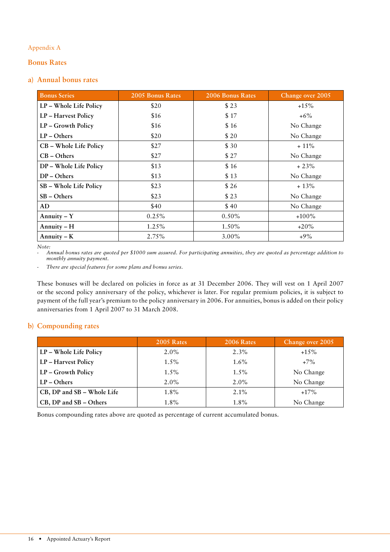# Appendix A

# **Bonus Rates**

### **a) Annual bonus rates**

| <b>Bonus Series</b>    | 2005 Bonus Rates | 2006 Bonus Rates | Change over 2005 |  |
|------------------------|------------------|------------------|------------------|--|
| LP - Whole Life Policy | \$20             | \$23             | $+15%$           |  |
| LP - Harvest Policy    | \$16             | \$17             | $+6\%$           |  |
| LP - Growth Policy     | \$16             | \$16             | No Change        |  |
| $LP - Others$          | \$20             | \$20             | No Change        |  |
| CB - Whole Life Policy | \$27             | \$30             | $+11\%$          |  |
| $CB - Others$          | \$27             | \$27             | No Change        |  |
| DP - Whole Life Policy | \$13             | \$16             | $+23%$           |  |
| $DP - Others$          | \$13             | \$13             | No Change        |  |
| SB - Whole Life Policy | \$23             | \$26             | $+13%$           |  |
| SB – Others            | \$23             | \$23             | No Change        |  |
| AD                     | \$40             | \$40             | No Change        |  |
| Annuity $-Y$           | 0.25%            | $0.50\%$         | $+100\%$         |  |
| Annuity $-H$           | 1.25%            | 1.50%            | $+20\%$          |  |
| Annuity $-K$           | 2.75%            | $3.00\%$         | $+9\%$           |  |

 *Note:*

Annual bonus rates are quoted per \$1000 sum assured. For participating annuities, they are quoted as percentage addition to *monthly annuity payment.*

 *- There are special features for some plans and bonus series.*

These bonuses will be declared on policies in force as at 31 December 2006. They will vest on 1 April 2007 or the second policy anniversary of the policy, whichever is later. For regular premium policies, it is subject to payment of the full year's premium to the policy anniversary in 2006. For annuities, bonus is added on their policy anniversaries from 1 April 2007 to 31 March 2008.

# **b) Compounding rates**

|                            | 2005 Rates | 2006 Rates | Change over 2005 |
|----------------------------|------------|------------|------------------|
| LP - Whole Life Policy     | $2.0\%$    | $2.3\%$    | $+15\%$          |
| LP – Harvest Policy        | $1.5\%$    | $1.6\%$    | $+7\%$           |
| LP – Growth Policy         | $1.5\%$    | $1.5\%$    | No Change        |
| LP – Others                | $2.0\%$    | $2.0\%$    | No Change        |
| CB, DP and SB – Whole Life | $1.8\%$    | $2.1\%$    | $+17\%$          |
| CB, DP and SB – Others     | $1.8\%$    | $1.8\%$    | No Change        |

Bonus compounding rates above are quoted as percentage of current accumulated bonus.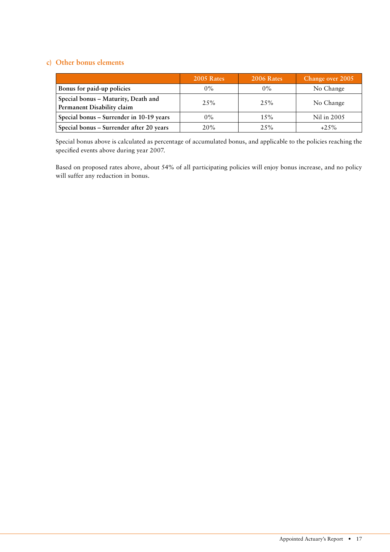# **c) Other bonus elements**

|                                                                   | 2005 Rates | <b>2006 Rates</b> | Change over 2005 |
|-------------------------------------------------------------------|------------|-------------------|------------------|
| Bonus for paid-up policies                                        | $0\%$      | $0\%$             | No Change        |
| Special bonus - Maturity, Death and<br>Permanent Disability claim | $2.5\%$    | $2.5\%$           | No Change        |
| Special bonus - Surrender in 10-19 years                          | $0\%$      | 15%               | Nil in 2005      |
| Special bonus - Surrender after 20 years                          | 20%        | 25%               | $+25\%$          |

Special bonus above is calculated as percentage of accumulated bonus, and applicable to the policies reaching the specified events above during year 2007.

Based on proposed rates above, about 54% of all participating policies will enjoy bonus increase, and no policy will suffer any reduction in bonus.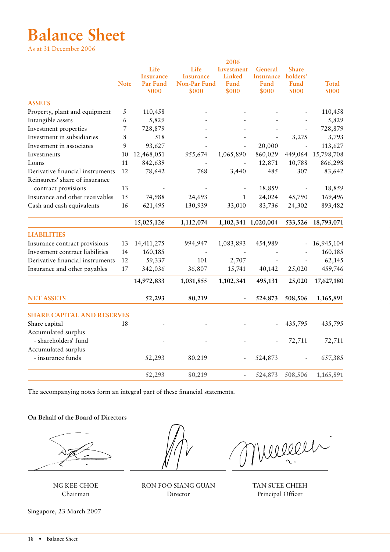# **Balance Sheet**

As at 31 December 2006

|                                     |                |                                               |                                            | 2006                                  |                                       |                                    |                    |
|-------------------------------------|----------------|-----------------------------------------------|--------------------------------------------|---------------------------------------|---------------------------------------|------------------------------------|--------------------|
|                                     | <b>Note</b>    | Life<br><b>Insurance</b><br>Par Fund<br>\$000 | Life<br>Insurance<br>Non-Par Fund<br>\$000 | Investment<br>Linked<br>Fund<br>\$000 | General<br>Insurance<br>Fund<br>\$000 | Share<br>holders'<br>Fund<br>\$000 | Total<br>\$000     |
| <b>ASSETS</b>                       |                |                                               |                                            |                                       |                                       |                                    |                    |
| Property, plant and equipment       | 5              | 110,458                                       |                                            |                                       |                                       |                                    | 110,458            |
| Intangible assets                   | 6              | 5,829                                         |                                            |                                       |                                       |                                    | 5,829              |
| Investment properties               | $\overline{7}$ | 728,879                                       |                                            |                                       |                                       |                                    | 728,879            |
| Investment in subsidiaries          | 8              | 518                                           |                                            |                                       |                                       | 3,275                              | 3,793              |
| Investment in associates            | 9              | 93,627                                        |                                            |                                       | 20,000                                |                                    | 113,627            |
| Investments                         | 10             | 12,468,051                                    | 955,674                                    | 1,065,890                             | 860,029                               | 449,064                            | 15,798,708         |
| Loans                               | -11            | 842,639                                       |                                            |                                       | 12,871                                | 10,788                             | 866,298            |
| Derivative financial instruments 12 |                | 78,642                                        | 768                                        | 3,440                                 | 485                                   | 307                                | 83,642             |
| Reinsurers' share of insurance      |                |                                               |                                            |                                       |                                       |                                    |                    |
| contract provisions                 | 13             | $\overline{\phantom{a}}$                      |                                            | $\overline{\phantom{a}}$              | 18,859                                | $\sim$                             | 18,859             |
| Insurance and other receivables     | 15             | 74,988                                        | 24,693                                     | $\mathbf{1}$                          | 24,024                                | 45,790                             | 169,496            |
| Cash and cash equivalents           | 16             | 621,495                                       | 130,939                                    | 33,010                                | 83,736                                | 24,302                             | 893,482            |
|                                     |                |                                               |                                            |                                       |                                       |                                    |                    |
|                                     |                | 15,025,126                                    | 1,112,074                                  |                                       | 1,102,341 1,020,004                   |                                    | 533,526 18,793,071 |
| <b>LIABILITIES</b>                  |                |                                               |                                            |                                       |                                       |                                    |                    |
| Insurance contract provisions       |                | 13 14,411,275                                 | 994,947                                    | 1,083,893                             | 454,989                               |                                    | $-16,945,104$      |
| Investment contract liabilities     | 14             | 160,185                                       |                                            |                                       |                                       |                                    | 160,185            |
| Derivative financial instruments 12 |                | 59,337                                        | 101                                        | 2,707                                 |                                       |                                    | 62,145             |
| Insurance and other payables        | 17             | 342,036                                       | 36,807                                     | 15,741                                | 40,142                                | 25,020                             | 459,746            |
|                                     |                | 14,972,833                                    | 1,031,855                                  | 1,102,341                             | 495,131                               | 25,020                             | 17,627,180         |
|                                     |                |                                               |                                            |                                       |                                       |                                    |                    |
| <b>NET ASSETS</b>                   |                | 52,293                                        | 80,219                                     | $\sim$                                | 524,873                               | 508,506                            | 1,165,891          |
| <b>SHARE CAPITAL AND RESERVES</b>   |                |                                               |                                            |                                       |                                       |                                    |                    |
| Share capital                       | 18             |                                               |                                            |                                       | $\sim$                                | 435,795                            | 435,795            |
| Accumulated surplus                 |                |                                               |                                            |                                       |                                       |                                    |                    |
| - shareholders' fund                |                |                                               |                                            |                                       |                                       | 72,711                             | 72,711             |
| Accumulated surplus                 |                |                                               |                                            |                                       |                                       |                                    |                    |
| - insurance funds                   |                | 52,293                                        | 80,219                                     | $\sim$                                | 524,873                               | $\sim$                             | 657,385            |
|                                     |                |                                               |                                            |                                       |                                       |                                    |                    |
|                                     |                | 52,293                                        | 80,219                                     | $\overline{\phantom{a}}$              | 524,873                               | 508,506                            | 1,165,891          |

The accompanying notes form an integral part of these financial statements.

### **On Behalf of the Board of Directors**

Singapore, 23 March 2007

Mureur  $\mathbf{r}$ 

NG KEE CHOE RON FOO SIANG GUAN TAN SUEE CHIEH Chairman Director Principal Officer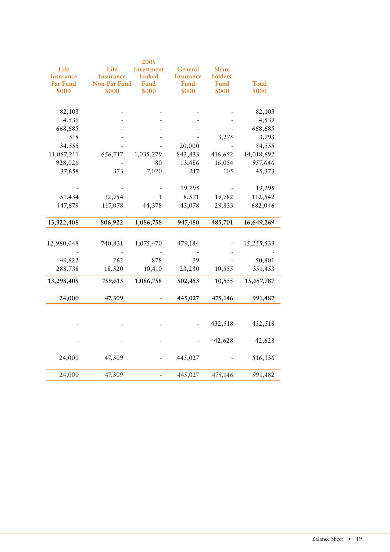| Life<br>Life<br>Investment<br>General<br>Share<br>Linked<br>holders'<br><b>Insurance</b><br><b>Insurance</b><br>Insurance<br>Par Fund<br>Non-Par Fund<br>Fund<br>Fund<br>Fund<br>Total<br>\$000<br>\$000<br>\$000<br>\$000<br>\$000<br>\$000<br>82,103<br>82,103<br>4,539<br>4,539<br>$\overline{\phantom{a}}$<br>668,685<br>668,685<br>$\overline{a}$<br>3,275<br>3,793<br>518<br>$\overline{\phantom{a}}$<br>20,000<br>54,555<br>34,555<br>$\sim$<br>$\overline{\phantom{a}}$<br>1,035,279<br>842,833<br>416,652<br>14,018,692<br>11,067,211<br>656,717<br>928,026<br>80<br>13,486<br>16,054<br>957,646<br>$\overline{\phantom{a}}$<br>373<br>217<br>37,658<br>7,020<br>105<br>45,373<br>19,295<br>19,295<br>$\sim$<br>$\sim$<br>$\sim$<br>$\sim$<br>32,754<br>8,571<br>112,542<br>51,434<br>19,782<br>1<br>447,679<br>117,078<br>682,046<br>44,378<br>43,078<br>29,833<br>806,922<br>947,480<br>485,701<br>13,322,408<br>1,086,758<br>16,649,269<br>740,831<br>1,075,470<br>479,184<br>15,255,533<br>12,960,048<br>$\blacksquare$<br>$\sim$<br>$\sim$<br>262<br>878<br>39<br>49,622<br>50,801<br>$\sim$<br>288,738<br>351,453<br>18,520<br>10,410<br>23,230<br>10,555<br>13,298,408<br>759,613<br>1,086,758<br>502,453<br>10,555<br>15,657,787<br>24,000<br>47,309<br>445,027<br>475,146<br>991,482<br>$\blacksquare$<br>432,518<br>432,518<br>$\overline{\phantom{0}}$<br>42,628<br>42,628<br>24,000<br>47,309<br>445,027<br>516,336<br>$\sim$<br>$\sim$<br>445,027<br>991,482<br>24,000<br>47,309<br>475,146<br>$\sim$ |  | 2005 |  |
|-----------------------------------------------------------------------------------------------------------------------------------------------------------------------------------------------------------------------------------------------------------------------------------------------------------------------------------------------------------------------------------------------------------------------------------------------------------------------------------------------------------------------------------------------------------------------------------------------------------------------------------------------------------------------------------------------------------------------------------------------------------------------------------------------------------------------------------------------------------------------------------------------------------------------------------------------------------------------------------------------------------------------------------------------------------------------------------------------------------------------------------------------------------------------------------------------------------------------------------------------------------------------------------------------------------------------------------------------------------------------------------------------------------------------------------------------------------------------------------------------------------------------------|--|------|--|
|                                                                                                                                                                                                                                                                                                                                                                                                                                                                                                                                                                                                                                                                                                                                                                                                                                                                                                                                                                                                                                                                                                                                                                                                                                                                                                                                                                                                                                                                                                                             |  |      |  |
|                                                                                                                                                                                                                                                                                                                                                                                                                                                                                                                                                                                                                                                                                                                                                                                                                                                                                                                                                                                                                                                                                                                                                                                                                                                                                                                                                                                                                                                                                                                             |  |      |  |
|                                                                                                                                                                                                                                                                                                                                                                                                                                                                                                                                                                                                                                                                                                                                                                                                                                                                                                                                                                                                                                                                                                                                                                                                                                                                                                                                                                                                                                                                                                                             |  |      |  |
|                                                                                                                                                                                                                                                                                                                                                                                                                                                                                                                                                                                                                                                                                                                                                                                                                                                                                                                                                                                                                                                                                                                                                                                                                                                                                                                                                                                                                                                                                                                             |  |      |  |
|                                                                                                                                                                                                                                                                                                                                                                                                                                                                                                                                                                                                                                                                                                                                                                                                                                                                                                                                                                                                                                                                                                                                                                                                                                                                                                                                                                                                                                                                                                                             |  |      |  |
|                                                                                                                                                                                                                                                                                                                                                                                                                                                                                                                                                                                                                                                                                                                                                                                                                                                                                                                                                                                                                                                                                                                                                                                                                                                                                                                                                                                                                                                                                                                             |  |      |  |
|                                                                                                                                                                                                                                                                                                                                                                                                                                                                                                                                                                                                                                                                                                                                                                                                                                                                                                                                                                                                                                                                                                                                                                                                                                                                                                                                                                                                                                                                                                                             |  |      |  |
|                                                                                                                                                                                                                                                                                                                                                                                                                                                                                                                                                                                                                                                                                                                                                                                                                                                                                                                                                                                                                                                                                                                                                                                                                                                                                                                                                                                                                                                                                                                             |  |      |  |
|                                                                                                                                                                                                                                                                                                                                                                                                                                                                                                                                                                                                                                                                                                                                                                                                                                                                                                                                                                                                                                                                                                                                                                                                                                                                                                                                                                                                                                                                                                                             |  |      |  |
|                                                                                                                                                                                                                                                                                                                                                                                                                                                                                                                                                                                                                                                                                                                                                                                                                                                                                                                                                                                                                                                                                                                                                                                                                                                                                                                                                                                                                                                                                                                             |  |      |  |
|                                                                                                                                                                                                                                                                                                                                                                                                                                                                                                                                                                                                                                                                                                                                                                                                                                                                                                                                                                                                                                                                                                                                                                                                                                                                                                                                                                                                                                                                                                                             |  |      |  |
|                                                                                                                                                                                                                                                                                                                                                                                                                                                                                                                                                                                                                                                                                                                                                                                                                                                                                                                                                                                                                                                                                                                                                                                                                                                                                                                                                                                                                                                                                                                             |  |      |  |
|                                                                                                                                                                                                                                                                                                                                                                                                                                                                                                                                                                                                                                                                                                                                                                                                                                                                                                                                                                                                                                                                                                                                                                                                                                                                                                                                                                                                                                                                                                                             |  |      |  |
|                                                                                                                                                                                                                                                                                                                                                                                                                                                                                                                                                                                                                                                                                                                                                                                                                                                                                                                                                                                                                                                                                                                                                                                                                                                                                                                                                                                                                                                                                                                             |  |      |  |
|                                                                                                                                                                                                                                                                                                                                                                                                                                                                                                                                                                                                                                                                                                                                                                                                                                                                                                                                                                                                                                                                                                                                                                                                                                                                                                                                                                                                                                                                                                                             |  |      |  |
|                                                                                                                                                                                                                                                                                                                                                                                                                                                                                                                                                                                                                                                                                                                                                                                                                                                                                                                                                                                                                                                                                                                                                                                                                                                                                                                                                                                                                                                                                                                             |  |      |  |
|                                                                                                                                                                                                                                                                                                                                                                                                                                                                                                                                                                                                                                                                                                                                                                                                                                                                                                                                                                                                                                                                                                                                                                                                                                                                                                                                                                                                                                                                                                                             |  |      |  |
|                                                                                                                                                                                                                                                                                                                                                                                                                                                                                                                                                                                                                                                                                                                                                                                                                                                                                                                                                                                                                                                                                                                                                                                                                                                                                                                                                                                                                                                                                                                             |  |      |  |
|                                                                                                                                                                                                                                                                                                                                                                                                                                                                                                                                                                                                                                                                                                                                                                                                                                                                                                                                                                                                                                                                                                                                                                                                                                                                                                                                                                                                                                                                                                                             |  |      |  |
|                                                                                                                                                                                                                                                                                                                                                                                                                                                                                                                                                                                                                                                                                                                                                                                                                                                                                                                                                                                                                                                                                                                                                                                                                                                                                                                                                                                                                                                                                                                             |  |      |  |
|                                                                                                                                                                                                                                                                                                                                                                                                                                                                                                                                                                                                                                                                                                                                                                                                                                                                                                                                                                                                                                                                                                                                                                                                                                                                                                                                                                                                                                                                                                                             |  |      |  |
|                                                                                                                                                                                                                                                                                                                                                                                                                                                                                                                                                                                                                                                                                                                                                                                                                                                                                                                                                                                                                                                                                                                                                                                                                                                                                                                                                                                                                                                                                                                             |  |      |  |
|                                                                                                                                                                                                                                                                                                                                                                                                                                                                                                                                                                                                                                                                                                                                                                                                                                                                                                                                                                                                                                                                                                                                                                                                                                                                                                                                                                                                                                                                                                                             |  |      |  |
|                                                                                                                                                                                                                                                                                                                                                                                                                                                                                                                                                                                                                                                                                                                                                                                                                                                                                                                                                                                                                                                                                                                                                                                                                                                                                                                                                                                                                                                                                                                             |  |      |  |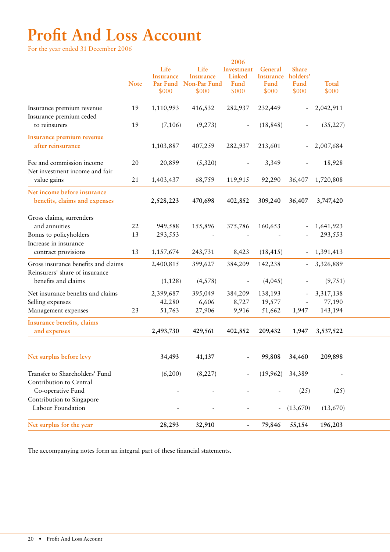# **Profit And Loss Account**

For the year ended 31 December 2006

|                                                                       |             | Life<br><b>Insurance</b> | Life<br><b>Insurance</b> | 2006<br>Investment<br>Linked | General<br><b>Insurance</b> | <b>Share</b><br>holders' | <b>Total</b>             |  |
|-----------------------------------------------------------------------|-------------|--------------------------|--------------------------|------------------------------|-----------------------------|--------------------------|--------------------------|--|
|                                                                       | <b>Note</b> | Par Fund<br>\$000        | Non-Par Fund<br>\$000    | Fund<br>\$000                | Fund<br>\$000               | Fund<br>\$000            | \$000                    |  |
| Insurance premium revenue<br>Insurance premium ceded<br>to reinsurers | 19<br>19    | 1,110,993<br>(7,106)     | 416,532<br>(9,273)       | 282,937                      | 232,449<br>(18, 848)        | $\sim$                   | 2,042,911<br>(35, 227)   |  |
|                                                                       |             |                          |                          | $\sim$                       |                             | $\sim$                   |                          |  |
| Insurance premium revenue<br>after reinsurance                        |             | 1,103,887                | 407,259                  | 282,937                      | 213,601                     | $\sim$                   | 2,007,684                |  |
| Fee and commission income<br>Net investment income and fair           | 20          | 20,899                   | (5,320)                  |                              | 3,349                       | $\sim$                   | 18,928                   |  |
| value gains                                                           | 21          | 1,403,437                | 68,759                   | 119,915                      | 92,290                      | 36,407                   | 1,720,808                |  |
| Net income before insurance<br>benefits, claims and expenses          |             | 2,528,223                | 470,698                  | 402,852                      | 309,240                     | 36,407                   | 3,747,420                |  |
|                                                                       |             |                          |                          |                              |                             |                          |                          |  |
| Gross claims, surrenders<br>and annuities                             | 22          | 949,588                  | 155,896                  | 375,786                      | 160,653                     |                          | 1,641,923                |  |
| Bonus to policyholders                                                | 13          | 293,553                  |                          |                              |                             |                          | 293,553                  |  |
| Increase in insurance                                                 |             |                          |                          |                              |                             |                          |                          |  |
| contract provisions                                                   | 13          | 1,157,674                | 243,731                  | 8,423                        | (18, 415)                   |                          | $-1,391,413$             |  |
| Gross insurance benefits and claims                                   |             | 2,400,815                | 399,627                  | 384,209                      | 142,238                     |                          | $-3,326,889$             |  |
| Reinsurers' share of insurance                                        |             |                          |                          |                              |                             |                          |                          |  |
| benefits and claims                                                   |             | (1, 128)                 | (4,578)                  | $\sim$                       | (4,045)                     | $\sim$                   | (9,751)                  |  |
| Net insurance benefits and claims                                     |             | 2,399,687                | 395,049                  | 384,209                      | 138,193                     | $\sim$                   | 3,317,138                |  |
| Selling expenses                                                      |             | 42,280                   | 6,606                    | 8,727                        | 19,577                      | $\sim$                   | 77,190                   |  |
| Management expenses                                                   | 23          | 51,763                   | 27,906                   | 9,916                        | 51,662                      | 1,947                    | 143,194                  |  |
| Insurance benefits, claims                                            |             |                          |                          |                              |                             |                          |                          |  |
| and expenses                                                          |             | 2,493,730                | 429,561                  | 402,852                      | 209,432                     | 1,947                    | 3,537,522                |  |
|                                                                       |             |                          |                          |                              |                             |                          |                          |  |
| Net surplus before levy                                               |             | 34,493                   | 41,137                   | $\sim$                       | 99,808                      | 34,460                   | 209,898                  |  |
| Transfer to Shareholders' Fund<br>Contribution to Central             |             | (6,200)                  | (8,227)                  |                              | $(19,962)$ 34,389           |                          | $\overline{\phantom{a}}$ |  |
| Co-operative Fund                                                     |             |                          |                          |                              |                             | (25)                     | (25)                     |  |
| Contribution to Singapore                                             |             |                          |                          |                              |                             |                          |                          |  |
| Labour Foundation                                                     |             |                          |                          | $\overline{\phantom{a}}$     |                             | $- (13,670)$             | (13,670)                 |  |
| Net surplus for the year                                              |             | 28,293                   | 32,910                   | $\sim$                       | 79,846 55,154               |                          | 196,203                  |  |
|                                                                       |             |                          |                          |                              |                             |                          |                          |  |

The accompanying notes form an integral part of these financial statements.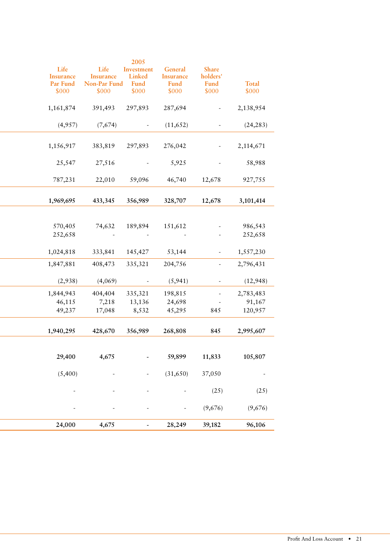| 1,161,874<br>391,493<br>297,893<br>287,694<br>2,138,954<br>$\sim$<br>(7,674)<br>(24, 283)<br>(4,957)<br>(11, 652)<br>$\sim$<br>$\sim$<br>1,156,917<br>383,819<br>297,893<br>276,042<br>2,114,671<br>$\sim$<br>27,516<br>5,925<br>58,988<br>25,547<br>$\sim$<br>$\sim$<br>787,231<br>22,010<br>59,096<br>46,740<br>12,678<br>927,755<br>1,969,695<br>433,345<br>356,989<br>328,707<br>12,678<br>3,101,414<br>570,405<br>74,632<br>189,894<br>151,612<br>986,543<br>$\sim$<br>252,658<br>252,658<br>$\sim$<br>$\sim$<br>$\sim$<br>$\overline{\phantom{a}}$<br>1,557,230<br>1,024,818<br>333,841<br>53,144<br>145,427<br>$\sim$<br>1,847,881<br>408,473<br>335,321<br>204,756<br>2,796,431<br>$\sim$<br>(4,069)<br>(2,938)<br>(5,941)<br>(12, 948)<br>$\sim$<br>$\sim$<br>1,844,943<br>404,404<br>198,815<br>2,783,483<br>335,321<br>$\sim$<br>46,115<br>7,218<br>13,136<br>24,698<br>91,167<br>$\sim$<br>49,237<br>8,532<br>45,295<br>845<br>17,048<br>120,957<br>845<br>2,995,607<br>1,940,295<br>428,670<br>356,989<br>268,808<br>4,675<br>59,899<br>11,833<br>29,400<br>105,807<br>(31, 650)<br>37,050<br>(5,400)<br>$\sim$<br>$\sim$<br>$\sim$<br>(25)<br>(25)<br>$\sim$<br>$\overline{\phantom{a}}$<br>$\overline{\phantom{a}}$<br>(9,676)<br>(9,676)<br>$\blacksquare$<br>$\overline{\phantom{a}}$<br>$\overline{\phantom{a}}$<br>24,000<br>4,675<br>28,249<br>39,182<br>96,106<br>$\sim$ | Share<br>holders'<br>Fund<br>Total<br>\$000<br>\$000 | General<br><b>Insurance</b><br>Fund<br>\$000 | 2005<br>Investment<br>Linked<br>Fund<br>\$000 | Life<br><b>Insurance</b><br>Non-Par Fund<br>\$000 | Life<br><b>Insurance</b><br>Par Fund<br>\$000 |
|-----------------------------------------------------------------------------------------------------------------------------------------------------------------------------------------------------------------------------------------------------------------------------------------------------------------------------------------------------------------------------------------------------------------------------------------------------------------------------------------------------------------------------------------------------------------------------------------------------------------------------------------------------------------------------------------------------------------------------------------------------------------------------------------------------------------------------------------------------------------------------------------------------------------------------------------------------------------------------------------------------------------------------------------------------------------------------------------------------------------------------------------------------------------------------------------------------------------------------------------------------------------------------------------------------------------------------------------------------------------------------------------------|------------------------------------------------------|----------------------------------------------|-----------------------------------------------|---------------------------------------------------|-----------------------------------------------|
|                                                                                                                                                                                                                                                                                                                                                                                                                                                                                                                                                                                                                                                                                                                                                                                                                                                                                                                                                                                                                                                                                                                                                                                                                                                                                                                                                                                               |                                                      |                                              |                                               |                                                   |                                               |
|                                                                                                                                                                                                                                                                                                                                                                                                                                                                                                                                                                                                                                                                                                                                                                                                                                                                                                                                                                                                                                                                                                                                                                                                                                                                                                                                                                                               |                                                      |                                              |                                               |                                                   |                                               |
|                                                                                                                                                                                                                                                                                                                                                                                                                                                                                                                                                                                                                                                                                                                                                                                                                                                                                                                                                                                                                                                                                                                                                                                                                                                                                                                                                                                               |                                                      |                                              |                                               |                                                   |                                               |
|                                                                                                                                                                                                                                                                                                                                                                                                                                                                                                                                                                                                                                                                                                                                                                                                                                                                                                                                                                                                                                                                                                                                                                                                                                                                                                                                                                                               |                                                      |                                              |                                               |                                                   |                                               |
|                                                                                                                                                                                                                                                                                                                                                                                                                                                                                                                                                                                                                                                                                                                                                                                                                                                                                                                                                                                                                                                                                                                                                                                                                                                                                                                                                                                               |                                                      |                                              |                                               |                                                   |                                               |
|                                                                                                                                                                                                                                                                                                                                                                                                                                                                                                                                                                                                                                                                                                                                                                                                                                                                                                                                                                                                                                                                                                                                                                                                                                                                                                                                                                                               |                                                      |                                              |                                               |                                                   |                                               |
|                                                                                                                                                                                                                                                                                                                                                                                                                                                                                                                                                                                                                                                                                                                                                                                                                                                                                                                                                                                                                                                                                                                                                                                                                                                                                                                                                                                               |                                                      |                                              |                                               |                                                   |                                               |
|                                                                                                                                                                                                                                                                                                                                                                                                                                                                                                                                                                                                                                                                                                                                                                                                                                                                                                                                                                                                                                                                                                                                                                                                                                                                                                                                                                                               |                                                      |                                              |                                               |                                                   |                                               |
|                                                                                                                                                                                                                                                                                                                                                                                                                                                                                                                                                                                                                                                                                                                                                                                                                                                                                                                                                                                                                                                                                                                                                                                                                                                                                                                                                                                               |                                                      |                                              |                                               |                                                   |                                               |
|                                                                                                                                                                                                                                                                                                                                                                                                                                                                                                                                                                                                                                                                                                                                                                                                                                                                                                                                                                                                                                                                                                                                                                                                                                                                                                                                                                                               |                                                      |                                              |                                               |                                                   |                                               |
|                                                                                                                                                                                                                                                                                                                                                                                                                                                                                                                                                                                                                                                                                                                                                                                                                                                                                                                                                                                                                                                                                                                                                                                                                                                                                                                                                                                               |                                                      |                                              |                                               |                                                   |                                               |
|                                                                                                                                                                                                                                                                                                                                                                                                                                                                                                                                                                                                                                                                                                                                                                                                                                                                                                                                                                                                                                                                                                                                                                                                                                                                                                                                                                                               |                                                      |                                              |                                               |                                                   |                                               |
|                                                                                                                                                                                                                                                                                                                                                                                                                                                                                                                                                                                                                                                                                                                                                                                                                                                                                                                                                                                                                                                                                                                                                                                                                                                                                                                                                                                               |                                                      |                                              |                                               |                                                   |                                               |
|                                                                                                                                                                                                                                                                                                                                                                                                                                                                                                                                                                                                                                                                                                                                                                                                                                                                                                                                                                                                                                                                                                                                                                                                                                                                                                                                                                                               |                                                      |                                              |                                               |                                                   |                                               |
|                                                                                                                                                                                                                                                                                                                                                                                                                                                                                                                                                                                                                                                                                                                                                                                                                                                                                                                                                                                                                                                                                                                                                                                                                                                                                                                                                                                               |                                                      |                                              |                                               |                                                   |                                               |
|                                                                                                                                                                                                                                                                                                                                                                                                                                                                                                                                                                                                                                                                                                                                                                                                                                                                                                                                                                                                                                                                                                                                                                                                                                                                                                                                                                                               |                                                      |                                              |                                               |                                                   |                                               |
|                                                                                                                                                                                                                                                                                                                                                                                                                                                                                                                                                                                                                                                                                                                                                                                                                                                                                                                                                                                                                                                                                                                                                                                                                                                                                                                                                                                               |                                                      |                                              |                                               |                                                   |                                               |
|                                                                                                                                                                                                                                                                                                                                                                                                                                                                                                                                                                                                                                                                                                                                                                                                                                                                                                                                                                                                                                                                                                                                                                                                                                                                                                                                                                                               |                                                      |                                              |                                               |                                                   |                                               |
|                                                                                                                                                                                                                                                                                                                                                                                                                                                                                                                                                                                                                                                                                                                                                                                                                                                                                                                                                                                                                                                                                                                                                                                                                                                                                                                                                                                               |                                                      |                                              |                                               |                                                   |                                               |
|                                                                                                                                                                                                                                                                                                                                                                                                                                                                                                                                                                                                                                                                                                                                                                                                                                                                                                                                                                                                                                                                                                                                                                                                                                                                                                                                                                                               |                                                      |                                              |                                               |                                                   |                                               |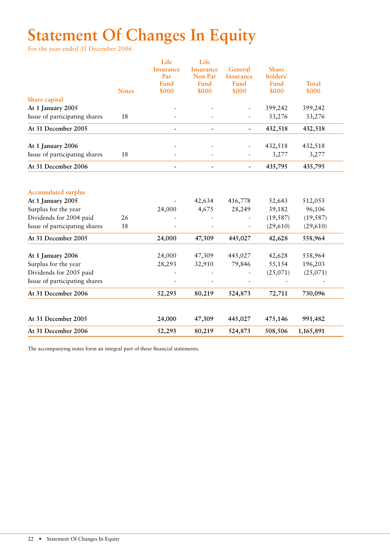# **Statement Of Changes In Equity**

For the year ended 31 December 2006

|                                                    | <b>Notes</b> | Life<br><b>Insurance</b><br>Par<br><b>Fund</b><br>\$000 | Life<br><b>Insurance</b><br>Non Par<br><b>Fund</b><br>\$000 | General<br>Insurance<br>Fund<br>\$000 | <b>Share</b><br>holders'<br><b>Fund</b><br>\$000 | <b>Total</b><br>\$000 |
|----------------------------------------------------|--------------|---------------------------------------------------------|-------------------------------------------------------------|---------------------------------------|--------------------------------------------------|-----------------------|
| Share capital                                      |              |                                                         |                                                             |                                       |                                                  |                       |
| At 1 January 2005<br>Issue of participating shares | 18           |                                                         |                                                             |                                       | 399,242<br>33,276                                | 399,242<br>33,276     |
|                                                    |              |                                                         |                                                             |                                       |                                                  |                       |
| At 31 December 2005                                |              |                                                         |                                                             | $\overline{\phantom{a}}$              | 432,518                                          | 432,518               |
| At 1 January 2006                                  |              |                                                         |                                                             |                                       | 432,518                                          | 432,518               |
| Issue of participating shares                      | 18           |                                                         |                                                             |                                       | 3,277                                            | 3,277                 |
| At 31 December 2006                                |              |                                                         |                                                             | ÷,                                    | 435,795                                          | 435,795               |
| <b>Accumulated surplus</b>                         |              |                                                         |                                                             |                                       |                                                  |                       |
| At 1 January 2005                                  |              |                                                         | 42,634                                                      | 416,778                               | 52,643                                           | 512,055               |
| Surplus for the year                               |              | 24,000                                                  | 4,675                                                       | 28,249                                | 39,182                                           | 96,106                |
| Dividends for 2004 paid                            | 26           |                                                         |                                                             |                                       | (19, 587)                                        | (19, 587)             |
| Issue of participating shares                      | 18           |                                                         |                                                             |                                       | (29,610)                                         | (29,610)              |
| At 31 December 2005                                |              | 24,000                                                  | 47,309                                                      | 445,027                               | 42,628                                           | 558,964               |
| At 1 January 2006                                  |              | 24,000                                                  | 47,309                                                      | 445,027                               | 42,628                                           | 558,964               |
| Surplus for the year                               |              | 28,293                                                  | 32,910                                                      | 79,846                                | 55,154                                           | 196,203               |
| Dividends for 2005 paid                            |              |                                                         |                                                             |                                       | (25,071)                                         | (25,071)              |
| Issue of participating shares                      |              |                                                         |                                                             |                                       |                                                  |                       |
| At 31 December 2006                                |              | 52,293                                                  | 80,219                                                      | 524,873                               | 72,711                                           | 730,096               |
| At 31 December 2005                                |              | 24,000                                                  | 47,309                                                      | 445,027                               | 475,146                                          | 991,482               |
| At 31 December 2006                                |              | 52,293                                                  | 80,219                                                      | 524,873                               | 508,506                                          | 1,165,891             |

The accompanying notes form an integral part of these financial statements.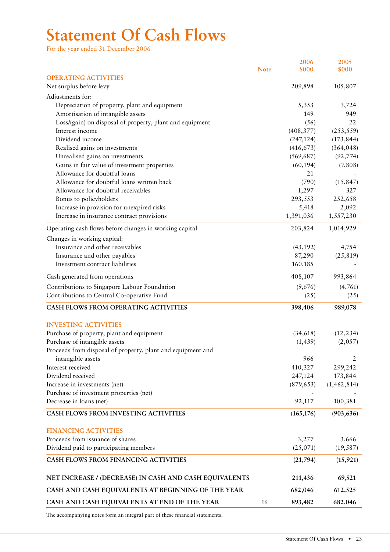# **Statement Of Cash Flows**

For the year ended 31 December 2006

|                                                                                    |             | 2006<br>\$000 | 2005<br>\$000 |
|------------------------------------------------------------------------------------|-------------|---------------|---------------|
| <b>OPERATING ACTIVITIES</b>                                                        | <b>Note</b> |               |               |
| Net surplus before levy                                                            |             | 209,898       | 105,807       |
|                                                                                    |             |               |               |
| Adjustments for:                                                                   |             |               |               |
| Depreciation of property, plant and equipment<br>Amortisation of intangible assets |             | 5,353<br>149  | 3,724<br>949  |
| Loss/(gain) on disposal of property, plant and equipment                           |             | (56)          | 22            |
| Interest income                                                                    |             | (408, 377)    | (253, 559)    |
| Dividend income                                                                    |             | (247, 124)    | (173, 844)    |
| Realised gains on investments                                                      |             | (416, 673)    | (364, 048)    |
| Unrealised gains on investments                                                    |             | (569, 687)    | (92, 774)     |
| Gains in fair value of investment properties                                       |             | (60, 194)     | (7,808)       |
| Allowance for doubtful loans                                                       |             | 21            |               |
| Allowance for doubtful loans written back                                          |             | (790)         | (15, 847)     |
| Allowance for doubtful receivables                                                 |             | 1,297         | 327           |
| Bonus to policyholders                                                             |             | 293,553       | 252,658       |
| Increase in provision for unexpired risks                                          |             | 5,418         | 2,092         |
| Increase in insurance contract provisions                                          |             | 1,391,036     | 1,557,230     |
| Operating cash flows before changes in working capital                             |             | 203,824       | 1,014,929     |
| Changes in working capital:                                                        |             |               |               |
| Insurance and other receivables                                                    |             | (43, 192)     | 4,754         |
| Insurance and other payables                                                       |             | 87,290        | (25, 819)     |
| Investment contract liabilities                                                    |             | 160,185       |               |
| Cash generated from operations                                                     |             | 408,107       | 993,864       |
| Contributions to Singapore Labour Foundation                                       |             | (9,676)       | (4,761)       |
| Contributions to Central Co-operative Fund                                         |             | (25)          | (25)          |
| CASH FLOWS FROM OPERATING ACTIVITIES                                               |             | 398,406       | 989,078       |
| <b>INVESTING ACTIVITIES</b>                                                        |             |               |               |
| Purchase of property, plant and equipment                                          |             | (34, 618)     | (12, 234)     |
| Purchase of intangible assets                                                      |             | (1, 439)      | (2,057)       |
| Proceeds from disposal of property, plant and equipment and                        |             |               |               |
| intangible assets                                                                  |             | 966           | 2             |
| Interest received                                                                  |             | 410,327       | 299,242       |
| Dividend received                                                                  |             | 247,124       | 173,844       |
| Increase in investments (net)                                                      |             | (879, 653)    | (1, 462, 814) |
| Purchase of investment properties (net)                                            |             |               |               |
| Decrease in loans (net)                                                            |             | 92,117        | 100,381       |
| CASH FLOWS FROM INVESTING ACTIVITIES                                               |             | (165, 176)    | (903, 636)    |
| <b>FINANCING ACTIVITIES</b>                                                        |             |               |               |
| Proceeds from issuance of shares                                                   |             | 3,277         | 3,666         |
| Dividend paid to participating members                                             |             | (25,071)      | (19, 587)     |
|                                                                                    |             |               |               |
| CASH FLOWS FROM FINANCING ACTIVITIES                                               |             | (21,794)      | (15, 921)     |
| NET INCREASE / (DECREASE) IN CASH AND CASH EQUIVALENTS                             |             | 211,436       | 69,521        |
| CASH AND CASH EQUIVALENTS AT BEGINNING OF THE YEAR                                 |             | 682,046       | 612,525       |
| CASH AND CASH EQUIVALENTS AT END OF THE YEAR                                       | 16          | 893,482       | 682,046       |

The accompanying notes form an integral part of these financial statements.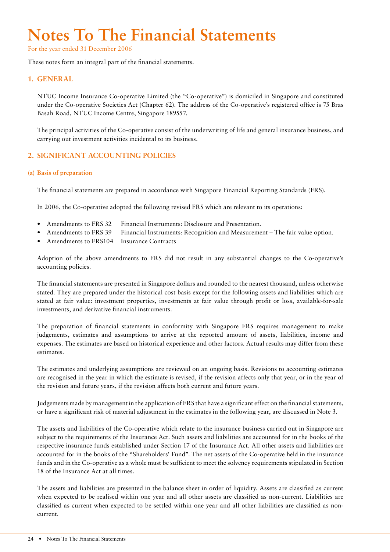# **Notes To The Financial Statements**

For the year ended 31 December 2006

These notes form an integral part of the financial statements.

# **1. GENERAL**

NTUC Income Insurance Co-operative Limited (the "Co-operative") is domiciled in Singapore and constituted under the Co-operative Societies Act (Chapter 62). The address of the Co-operative's registered office is 75 Bras Basah Road, NTUC Income Centre, Singapore 189557.

The principal activities of the Co-operative consist of the underwriting of life and general insurance business, and carrying out investment activities incidental to its business.

# **2. SIGNIFICANT ACCOUNTING POLICIES**

#### **(a) Basis of preparation**

The financial statements are prepared in accordance with Singapore Financial Reporting Standards (FRS).

In 2006, the Co-operative adopted the following revised FRS which are relevant to its operations:

- Amendments to FRS 32 Financial Instruments: Disclosure and Presentation.
- Amendments to FRS 39 Financial Instruments: Recognition and Measurement The fair value option.
- Amendments to FRS104 Insurance Contracts

Adoption of the above amendments to FRS did not result in any substantial changes to the Co-operative's accounting policies.

The financial statements are presented in Singapore dollars and rounded to the nearest thousand, unless otherwise stated. They are prepared under the historical cost basis except for the following assets and liabilities which are stated at fair value: investment properties, investments at fair value through profit or loss, available-for-sale investments, and derivative financial instruments.

The preparation of financial statements in conformity with Singapore FRS requires management to make judgements, estimates and assumptions to arrive at the reported amount of assets, liabilities, income and expenses. The estimates are based on historical experience and other factors. Actual results may differ from these estimates.

The estimates and underlying assumptions are reviewed on an ongoing basis. Revisions to accounting estimates are recognised in the year in which the estimate is revised, if the revision affects only that year, or in the year of the revision and future years, if the revision affects both current and future years.

Judgements made by management in the application of FRS that have a significant effect on the financial statements, or have a significant risk of material adjustment in the estimates in the following year, are discussed in Note 3.

The assets and liabilities of the Co-operative which relate to the insurance business carried out in Singapore are subject to the requirements of the Insurance Act. Such assets and liabilities are accounted for in the books of the respective insurance funds established under Section 17 of the Insurance Act. All other assets and liabilities are accounted for in the books of the "Shareholders' Fund". The net assets of the Co-operative held in the insurance funds and in the Co-operative as a whole must be sufficient to meet the solvency requirements stipulated in Section 18 of the Insurance Act at all times.

The assets and liabilities are presented in the balance sheet in order of liquidity. Assets are classified as current when expected to be realised within one year and all other assets are classified as non-current. Liabilities are classified as current when expected to be settled within one year and all other liabilities are classified as noncurrent.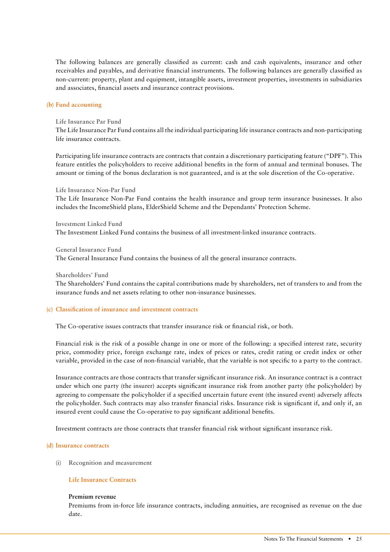The following balances are generally classified as current: cash and cash equivalents, insurance and other receivables and payables, and derivative financial instruments. The following balances are generally classified as non-current: property, plant and equipment, intangible assets, investment properties, investments in subsidiaries and associates, financial assets and insurance contract provisions.

#### **(b) Fund accounting**

#### **Life Insurance Par Fund**

The Life Insurance Par Fund contains all the individual participating life insurance contracts and non-participating life insurance contracts.

Participating life insurance contracts are contracts that contain a discretionary participating feature ("DPF"). This feature entitles the policyholders to receive additional benefits in the form of annual and terminal bonuses. The amount or timing of the bonus declaration is not guaranteed, and is at the sole discretion of the Co-operative.

**Life Insurance Non-Par Fund**

The Life Insurance Non-Par Fund contains the health insurance and group term insurance businesses. It also includes the IncomeShield plans, ElderShield Scheme and the Dependants' Protection Scheme.

**Investment Linked Fund** The Investment Linked Fund contains the business of all investment-linked insurance contracts.

**General Insurance Fund**

The General Insurance Fund contains the business of all the general insurance contracts.

#### **Shareholders' Fund**

The Shareholders' Fund contains the capital contributions made by shareholders, net of transfers to and from the insurance funds and net assets relating to other non-insurance businesses.

#### **(c) Classification of insurance and investment contracts**

The Co-operative issues contracts that transfer insurance risk or financial risk, or both.

Financial risk is the risk of a possible change in one or more of the following: a specified interest rate, security price, commodity price, foreign exchange rate, index of prices or rates, credit rating or credit index or other variable, provided in the case of non-financial variable, that the variable is not specific to a party to the contract.

Insurance contracts are those contracts that transfer significant insurance risk. An insurance contract is a contract under which one party (the insurer) accepts significant insurance risk from another party (the policyholder) by agreeing to compensate the policyholder if a specified uncertain future event (the insured event) adversely affects the policyholder. Such contracts may also transfer financial risks. Insurance risk is significant if, and only if, an insured event could cause the Co-operative to pay significant additional benefits.

Investment contracts are those contracts that transfer financial risk without significant insurance risk.

#### **(d) Insurance contracts**

**(i) Recognition and measurement**

#### **Life Insurance Contracts**

#### **Premium revenue**

Premiums from in-force life insurance contracts, including annuities, are recognised as revenue on the due date.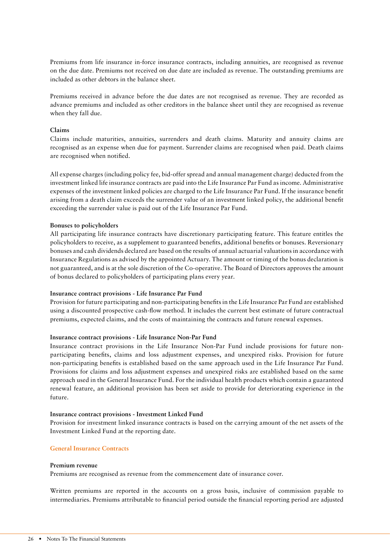Premiums from life insurance in-force insurance contracts, including annuities, are recognised as revenue on the due date. Premiums not received on due date are included as revenue. The outstanding premiums are included as other debtors in the balance sheet.

Premiums received in advance before the due dates are not recognised as revenue. They are recorded as advance premiums and included as other creditors in the balance sheet until they are recognised as revenue when they fall due.

#### **Claims**

Claims include maturities, annuities, surrenders and death claims. Maturity and annuity claims are recognised as an expense when due for payment. Surrender claims are recognised when paid. Death claims are recognised when notified.

All expense charges (including policy fee, bid-offer spread and annual management charge) deducted from the investment linked life insurance contracts are paid into the Life Insurance Par Fund as income. Administrative expenses of the investment linked policies are charged to the Life Insurance Par Fund. If the insurance benefit arising from a death claim exceeds the surrender value of an investment linked policy, the additional benefit exceeding the surrender value is paid out of the Life Insurance Par Fund.

#### **Bonuses to policyholders**

All participating life insurance contracts have discretionary participating feature. This feature entitles the policyholders to receive, as a supplement to guaranteed benefits, additional benefits or bonuses. Reversionary bonuses and cash dividends declared are based on the results of annual actuarial valuations in accordance with Insurance Regulations as advised by the appointed Actuary. The amount or timing of the bonus declaration is not guaranteed, and is at the sole discretion of the Co-operative. The Board of Directors approves the amount of bonus declared to policyholders of participating plans every year.

#### **Insurance contract provisions - Life Insurance Par Fund**

Provision for future participating and non-participating benefits in the Life Insurance Par Fund are established using a discounted prospective cash-flow method. It includes the current best estimate of future contractual premiums, expected claims, and the costs of maintaining the contracts and future renewal expenses.

#### **Insurance contract provisions - Life Insurance Non-Par Fund**

Insurance contract provisions in the Life Insurance Non-Par Fund include provisions for future nonparticipating benefits, claims and loss adjustment expenses, and unexpired risks. Provision for future non-participating benefits is established based on the same approach used in the Life Insurance Par Fund. Provisions for claims and loss adjustment expenses and unexpired risks are established based on the same approach used in the General Insurance Fund. For the individual health products which contain a guaranteed renewal feature, an additional provision has been set aside to provide for deteriorating experience in the future.

#### **Insurance contract provisions - Investment Linked Fund**

Provision for investment linked insurance contracts is based on the carrying amount of the net assets of the Investment Linked Fund at the reporting date.

#### **General Insurance Contracts**

#### **Premium revenue**

Premiums are recognised as revenue from the commencement date of insurance cover.

Written premiums are reported in the accounts on a gross basis, inclusive of commission payable to intermediaries. Premiums attributable to financial period outside the financial reporting period are adjusted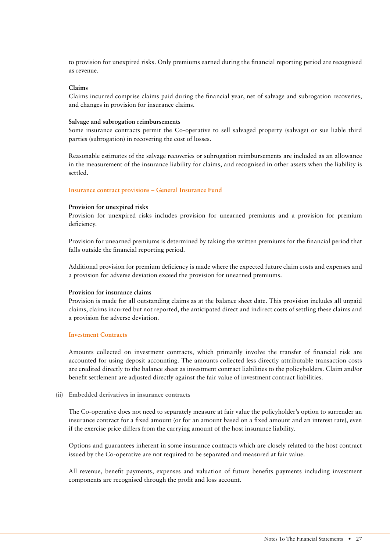to provision for unexpired risks. Only premiums earned during the financial reporting period are recognised as revenue.

#### **Claims**

Claims incurred comprise claims paid during the financial year, net of salvage and subrogation recoveries, and changes in provision for insurance claims.

#### **Salvage and subrogation reimbursements**

Some insurance contracts permit the Co-operative to sell salvaged property (salvage) or sue liable third parties (subrogation) in recovering the cost of losses.

Reasonable estimates of the salvage recoveries or subrogation reimbursements are included as an allowance in the measurement of the insurance liability for claims, and recognised in other assets when the liability is settled.

#### **Insurance contract provisions – General Insurance Fund**

#### **Provision for unexpired risks**

Provision for unexpired risks includes provision for unearned premiums and a provision for premium deficiency.

Provision for unearned premiums is determined by taking the written premiums for the financial period that falls outside the financial reporting period.

Additional provision for premium deficiency is made where the expected future claim costs and expenses and a provision for adverse deviation exceed the provision for unearned premiums.

#### **Provision for insurance claims**

Provision is made for all outstanding claims as at the balance sheet date. This provision includes all unpaid claims, claims incurred but not reported, the anticipated direct and indirect costs of settling these claims and a provision for adverse deviation.

#### **Investment Contracts**

Amounts collected on investment contracts, which primarily involve the transfer of financial risk are accounted for using deposit accounting. The amounts collected less directly attributable transaction costs are credited directly to the balance sheet as investment contract liabilities to the policyholders. Claim and/or benefit settlement are adjusted directly against the fair value of investment contract liabilities.

#### **(ii) Embedded derivatives in insurance contracts**

The Co-operative does not need to separately measure at fair value the policyholder's option to surrender an insurance contract for a fixed amount (or for an amount based on a fixed amount and an interest rate), even if the exercise price differs from the carrying amount of the host insurance liability.

Options and guarantees inherent in some insurance contracts which are closely related to the host contract issued by the Co-operative are not required to be separated and measured at fair value.

All revenue, benefit payments, expenses and valuation of future benefits payments including investment components are recognised through the profit and loss account.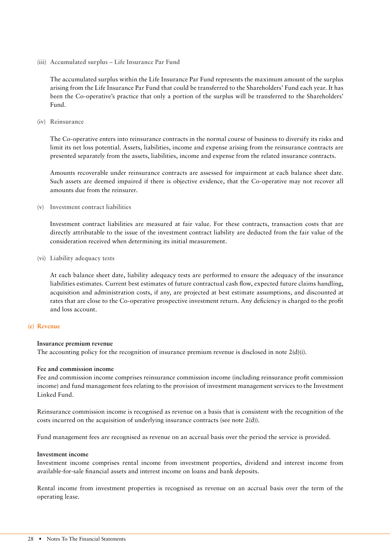**(iii) Accumulated surplus – Life Insurance Par Fund**

The accumulated surplus within the Life Insurance Par Fund represents the maximum amount of the surplus arising from the Life Insurance Par Fund that could be transferred to the Shareholders' Fund each year. It has been the Co-operative's practice that only a portion of the surplus will be transferred to the Shareholders' Fund.

**(iv) Reinsurance** 

The Co-operative enters into reinsurance contracts in the normal course of business to diversify its risks and limit its net loss potential. Assets, liabilities, income and expense arising from the reinsurance contracts are presented separately from the assets, liabilities, income and expense from the related insurance contracts.

Amounts recoverable under reinsurance contracts are assessed for impairment at each balance sheet date. Such assets are deemed impaired if there is objective evidence, that the Co-operative may not recover all amounts due from the reinsurer.

**(v) Investment contract liabilities** 

Investment contract liabilities are measured at fair value. For these contracts, transaction costs that are directly attributable to the issue of the investment contract liability are deducted from the fair value of the consideration received when determining its initial measurement.

**(vi) Liability adequacy tests** 

At each balance sheet date, liability adequacy tests are performed to ensure the adequacy of the insurance liabilities estimates. Current best estimates of future contractual cash flow, expected future claims handling, acquisition and administration costs, if any, are projected at best estimate assumptions, and discounted at rates that are close to the Co-operative prospective investment return. Any deficiency is charged to the profit and loss account.

### **(e) Revenue**

#### **Insurance premium revenue**

The accounting policy for the recognition of insurance premium revenue is disclosed in note  $2(d)(i)$ .

#### **Fee and commission income**

Fee and commission income comprises reinsurance commission income (including reinsurance profit commission income) and fund management fees relating to the provision of investment management services to the Investment Linked Fund.

Reinsurance commission income is recognised as revenue on a basis that is consistent with the recognition of the costs incurred on the acquisition of underlying insurance contracts (see note 2(d)).

Fund management fees are recognised as revenue on an accrual basis over the period the service is provided.

#### **Investment income**

Investment income comprises rental income from investment properties, dividend and interest income from available-for-sale financial assets and interest income on loans and bank deposits.

Rental income from investment properties is recognised as revenue on an accrual basis over the term of the operating lease.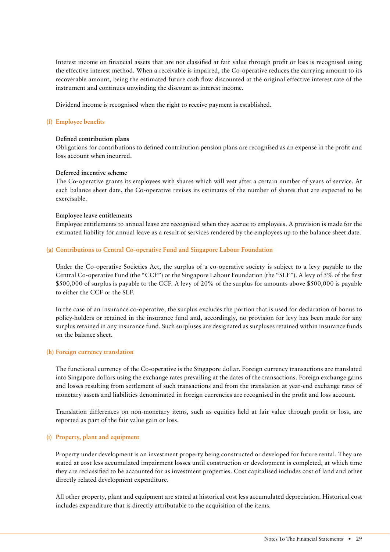Interest income on financial assets that are not classified at fair value through profit or loss is recognised using the effective interest method. When a receivable is impaired, the Co-operative reduces the carrying amount to its recoverable amount, being the estimated future cash flow discounted at the original effective interest rate of the instrument and continues unwinding the discount as interest income.

Dividend income is recognised when the right to receive payment is established.

#### **(f) Employee benefits**

#### **Defined contribution plans**

Obligations for contributions to defined contribution pension plans are recognised as an expense in the profit and loss account when incurred.

#### **Deferred incentive scheme**

The Co-operative grants its employees with shares which will vest after a certain number of years of service. At each balance sheet date, the Co-operative revises its estimates of the number of shares that are expected to be exercisable.

#### **Employee leave entitlements**

Employee entitlements to annual leave are recognised when they accrue to employees. A provision is made for the estimated liability for annual leave as a result of services rendered by the employees up to the balance sheet date.

#### **(g) Contributions to Central Co-operative Fund and Singapore Labour Foundation**

Under the Co-operative Societies Act, the surplus of a co-operative society is subject to a levy payable to the Central Co-operative Fund (the "CCF") or the Singapore Labour Foundation (the "SLF"). A levy of 5% of the first \$500,000 of surplus is payable to the CCF. A levy of 20% of the surplus for amounts above \$500,000 is payable to either the CCF or the SLF.

In the case of an insurance co-operative, the surplus excludes the portion that is used for declaration of bonus to policy-holders or retained in the insurance fund and, accordingly, no provision for levy has been made for any surplus retained in any insurance fund. Such surpluses are designated as surpluses retained within insurance funds on the balance sheet.

#### **(h) Foreign currency translation**

The functional currency of the Co-operative is the Singapore dollar. Foreign currency transactions are translated into Singapore dollars using the exchange rates prevailing at the dates of the transactions. Foreign exchange gains and losses resulting from settlement of such transactions and from the translation at year-end exchange rates of monetary assets and liabilities denominated in foreign currencies are recognised in the profit and loss account.

Translation differences on non-monetary items, such as equities held at fair value through profit or loss, are reported as part of the fair value gain or loss.

#### **(i) Property, plant and equipment**

Property under development is an investment property being constructed or developed for future rental. They are stated at cost less accumulated impairment losses until construction or development is completed, at which time they are reclassified to be accounted for as investment properties. Cost capitalised includes cost of land and other directly related development expenditure.

All other property, plant and equipment are stated at historical cost less accumulated depreciation. Historical cost includes expenditure that is directly attributable to the acquisition of the items.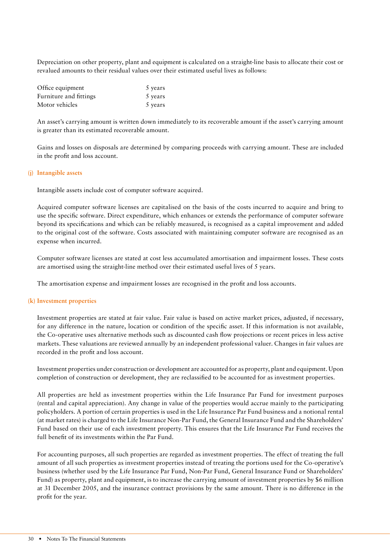Depreciation on other property, plant and equipment is calculated on a straight-line basis to allocate their cost or revalued amounts to their residual values over their estimated useful lives as follows:

| Office equipment       | 5 years |
|------------------------|---------|
| Furniture and fittings | 5 years |
| Motor vehicles         | 5 years |

An asset's carrying amount is written down immediately to its recoverable amount if the asset's carrying amount is greater than its estimated recoverable amount.

Gains and losses on disposals are determined by comparing proceeds with carrying amount. These are included in the profit and loss account.

#### **(j) Intangible assets**

Intangible assets include cost of computer software acquired.

Acquired computer software licenses are capitalised on the basis of the costs incurred to acquire and bring to use the specific software. Direct expenditure, which enhances or extends the performance of computer software beyond its specifications and which can be reliably measured, is recognised as a capital improvement and added to the original cost of the software. Costs associated with maintaining computer software are recognised as an expense when incurred.

Computer software licenses are stated at cost less accumulated amortisation and impairment losses. These costs are amortised using the straight-line method over their estimated useful lives of 5 years.

The amortisation expense and impairment losses are recognised in the profit and loss accounts.

#### **(k) Investment properties**

Investment properties are stated at fair value. Fair value is based on active market prices, adjusted, if necessary, for any difference in the nature, location or condition of the specific asset. If this information is not available, the Co-operative uses alternative methods such as discounted cash flow projections or recent prices in less active markets. These valuations are reviewed annually by an independent professional valuer. Changes in fair values are recorded in the profit and loss account.

Investment properties under construction or development are accounted for as property, plant and equipment. Upon completion of construction or development, they are reclassified to be accounted for as investment properties.

All properties are held as investment properties within the Life Insurance Par Fund for investment purposes (rental and capital appreciation). Any change in value of the properties would accrue mainly to the participating policyholders. A portion of certain properties is used in the Life Insurance Par Fund business and a notional rental (at market rates) is charged to the Life Insurance Non-Par Fund, the General Insurance Fund and the Shareholders' Fund based on their use of each investment property. This ensures that the Life Insurance Par Fund receives the full benefit of its investments within the Par Fund.

For accounting purposes, all such properties are regarded as investment properties. The effect of treating the full amount of all such properties as investment properties instead of treating the portions used for the Co-operative's business (whether used by the Life Insurance Par Fund, Non-Par Fund, General Insurance Fund or Shareholders' Fund) as property, plant and equipment, is to increase the carrying amount of investment properties by \$6 million at 31 December 2005, and the insurance contract provisions by the same amount. There is no difference in the profit for the year.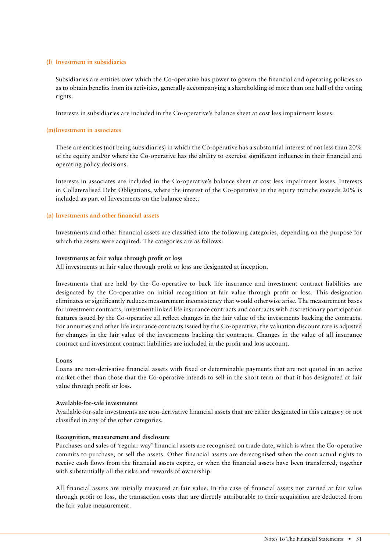#### **(l) Investment in subsidiaries**

Subsidiaries are entities over which the Co-operative has power to govern the financial and operating policies so as to obtain benefits from its activities, generally accompanying a shareholding of more than one half of the voting rights.

Interests in subsidiaries are included in the Co-operative's balance sheet at cost less impairment losses.

#### **(m)Investment in associates**

These are entities (not being subsidiaries) in which the Co-operative has a substantial interest of not less than 20% of the equity and/or where the Co-operative has the ability to exercise significant influence in their financial and operating policy decisions.

Interests in associates are included in the Co-operative's balance sheet at cost less impairment losses. Interests in Collateralised Debt Obligations, where the interest of the Co-operative in the equity tranche exceeds 20% is included as part of Investments on the balance sheet.

#### **(n) Investments and other financial assets**

Investments and other financial assets are classified into the following categories, depending on the purpose for which the assets were acquired. The categories are as follows:

#### **Investments at fair value through profit or loss**

All investments at fair value through profit or loss are designated at inception.

Investments that are held by the Co-operative to back life insurance and investment contract liabilities are designated by the Co-operative on initial recognition at fair value through profit or loss. This designation eliminates or significantly reduces measurement inconsistency that would otherwise arise. The measurement bases for investment contracts, investment linked life insurance contracts and contracts with discretionary participation features issued by the Co-operative all reflect changes in the fair value of the investments backing the contracts. For annuities and other life insurance contracts issued by the Co-operative, the valuation discount rate is adjusted for changes in the fair value of the investments backing the contracts. Changes in the value of all insurance contract and investment contract liabilities are included in the profit and loss account.

#### **Loans**

Loans are non-derivative financial assets with fixed or determinable payments that are not quoted in an active market other than those that the Co-operative intends to sell in the short term or that it has designated at fair value through profit or loss.

#### **Available-for-sale investments**

Available-for-sale investments are non-derivative financial assets that are either designated in this category or not classified in any of the other categories.

#### **Recognition, measurement and disclosure**

Purchases and sales of 'regular way' financial assets are recognised on trade date, which is when the Co-operative commits to purchase, or sell the assets. Other financial assets are derecognised when the contractual rights to receive cash flows from the financial assets expire, or when the financial assets have been transferred, together with substantially all the risks and rewards of ownership.

All financial assets are initially measured at fair value. In the case of financial assets not carried at fair value through profit or loss, the transaction costs that are directly attributable to their acquisition are deducted from the fair value measurement.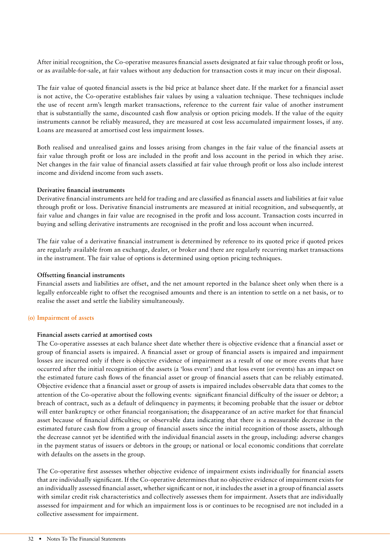After initial recognition, the Co-operative measures financial assets designated at fair value through profit or loss, or as available-for-sale, at fair values without any deduction for transaction costs it may incur on their disposal.

The fair value of quoted financial assets is the bid price at balance sheet date. If the market for a financial asset is not active, the Co-operative establishes fair values by using a valuation technique. These techniques include the use of recent arm's length market transactions, reference to the current fair value of another instrument that is substantially the same, discounted cash flow analysis or option pricing models. If the value of the equity instruments cannot be reliably measured, they are measured at cost less accumulated impairment losses, if any. Loans are measured at amortised cost less impairment losses.

Both realised and unrealised gains and losses arising from changes in the fair value of the financial assets at fair value through profit or loss are included in the profit and loss account in the period in which they arise. Net changes in the fair value of financial assets classified at fair value through profit or loss also include interest income and dividend income from such assets.

#### **Derivative financial instruments**

Derivative financial instruments are held for trading and are classified as financial assets and liabilities at fair value through profit or loss. Derivative financial instruments are measured at initial recognition, and subsequently, at fair value and changes in fair value are recognised in the profit and loss account. Transaction costs incurred in buying and selling derivative instruments are recognised in the profit and loss account when incurred.

The fair value of a derivative financial instrument is determined by reference to its quoted price if quoted prices are regularly available from an exchange, dealer, or broker and there are regularly recurring market transactions in the instrument. The fair value of options is determined using option pricing techniques.

#### **Offsetting financial instruments**

Financial assets and liabilities are offset, and the net amount reported in the balance sheet only when there is a legally enforceable right to offset the recognised amounts and there is an intention to settle on a net basis, or to realise the asset and settle the liability simultaneously.

#### **(o) Impairment of assets**

#### **Financial assets carried at amortised costs**

The Co-operative assesses at each balance sheet date whether there is objective evidence that a financial asset or group of financial assets is impaired. A financial asset or group of financial assets is impaired and impairment losses are incurred only if there is objective evidence of impairment as a result of one or more events that have occurred after the initial recognition of the assets (a 'loss event') and that loss event (or events) has an impact on the estimated future cash flows of the financial asset or group of financial assets that can be reliably estimated. Objective evidence that a financial asset or group of assets is impaired includes observable data that comes to the attention of the Co-operative about the following events: significant financial difficulty of the issuer or debtor; a breach of contract, such as a default of delinquency in payments; it becoming probable that the issuer or debtor will enter bankruptcy or other financial reorganisation; the disappearance of an active market for that financial asset because of financial difficulties; or observable data indicating that there is a measurable decrease in the estimated future cash flow from a group of financial assets since the initial recognition of those assets, although the decrease cannot yet be identified with the individual financial assets in the group, including: adverse changes in the payment status of issuers or debtors in the group; or national or local economic conditions that correlate with defaults on the assets in the group.

The Co-operative first assesses whether objective evidence of impairment exists individually for financial assets that are individually significant. If the Co-operative determines that no objective evidence of impairment exists for an individually assessed financial asset, whether significant or not, it includes the asset in a group of financial assets with similar credit risk characteristics and collectively assesses them for impairment. Assets that are individually assessed for impairment and for which an impairment loss is or continues to be recognised are not included in a collective assessment for impairment.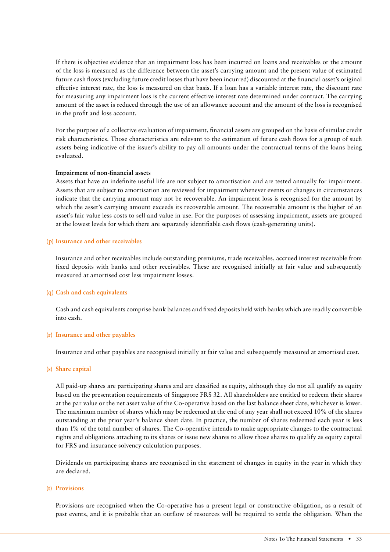If there is objective evidence that an impairment loss has been incurred on loans and receivables or the amount of the loss is measured as the difference between the asset's carrying amount and the present value of estimated future cash flows (excluding future credit losses that have been incurred) discounted at the financial asset's original effective interest rate, the loss is measured on that basis. If a loan has a variable interest rate, the discount rate for measuring any impairment loss is the current effective interest rate determined under contract. The carrying amount of the asset is reduced through the use of an allowance account and the amount of the loss is recognised in the profit and loss account.

For the purpose of a collective evaluation of impairment, financial assets are grouped on the basis of similar credit risk characteristics. Those characteristics are relevant to the estimation of future cash flows for a group of such assets being indicative of the issuer's ability to pay all amounts under the contractual terms of the loans being evaluated.

#### **Impairment of non-financial assets**

Assets that have an indefinite useful life are not subject to amortisation and are tested annually for impairment. Assets that are subject to amortisation are reviewed for impairment whenever events or changes in circumstances indicate that the carrying amount may not be recoverable. An impairment loss is recognised for the amount by which the asset's carrying amount exceeds its recoverable amount. The recoverable amount is the higher of an asset's fair value less costs to sell and value in use. For the purposes of assessing impairment, assets are grouped at the lowest levels for which there are separately identifiable cash flows (cash-generating units).

#### **(p) Insurance and other receivables**

Insurance and other receivables include outstanding premiums, trade receivables, accrued interest receivable from fixed deposits with banks and other receivables. These are recognised initially at fair value and subsequently measured at amortised cost less impairment losses.

#### **(q) Cash and cash equivalents**

Cash and cash equivalents comprise bank balances and fixed deposits held with banks which are readily convertible into cash.

#### **(r) Insurance and other payables**

Insurance and other payables are recognised initially at fair value and subsequently measured at amortised cost.

#### **(s) Share capital**

All paid-up shares are participating shares and are classified as equity, although they do not all qualify as equity based on the presentation requirements of Singapore FRS 32. All shareholders are entitled to redeem their shares at the par value or the net asset value of the Co-operative based on the last balance sheet date, whichever is lower. The maximum number of shares which may be redeemed at the end of any year shall not exceed 10% of the shares outstanding at the prior year's balance sheet date. In practice, the number of shares redeemed each year is less than 1% of the total number of shares. The Co-operative intends to make appropriate changes to the contractual rights and obligations attaching to its shares or issue new shares to allow those shares to qualify as equity capital for FRS and insurance solvency calculation purposes.

Dividends on participating shares are recognised in the statement of changes in equity in the year in which they are declared.

#### **(t) Provisions**

Provisions are recognised when the Co-operative has a present legal or constructive obligation, as a result of past events, and it is probable that an outflow of resources will be required to settle the obligation. When the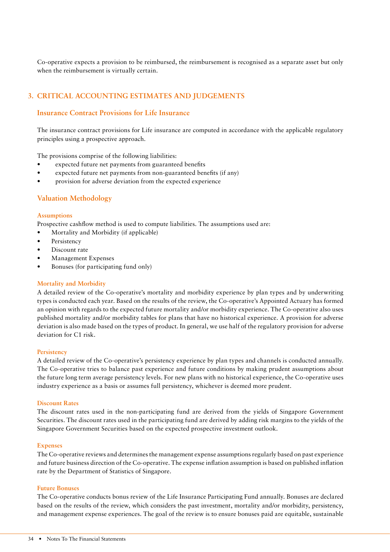Co-operative expects a provision to be reimbursed, the reimbursement is recognised as a separate asset but only when the reimbursement is virtually certain.

# **3. CRITICAL ACCOUNTING ESTIMATES AND JUDGEMENTS**

# **Insurance Contract Provisions for Life Insurance**

The insurance contract provisions for Life insurance are computed in accordance with the applicable regulatory principles using a prospective approach.

The provisions comprise of the following liabilities:

- expected future net payments from guaranteed benefits
- expected future net payments from non-guaranteed benefits (if any)
- provision for adverse deviation from the expected experience

# **Valuation Methodology**

#### **Assumptions**

Prospective cashflow method is used to compute liabilities. The assumptions used are:

- Mortality and Morbidity (if applicable)
- **Persistency**
- Discount rate
- Management Expenses
- Bonuses (for participating fund only)

#### **Mortality and Morbidity**

A detailed review of the Co-operative's mortality and morbidity experience by plan types and by underwriting types is conducted each year. Based on the results of the review, the Co-operative's Appointed Actuary has formed an opinion with regards to the expected future mortality and/or morbidity experience. The Co-operative also uses published mortality and/or morbidity tables for plans that have no historical experience. A provision for adverse deviation is also made based on the types of product. In general, we use half of the regulatory provision for adverse deviation for C1 risk.

#### **Persistency**

A detailed review of the Co-operative's persistency experience by plan types and channels is conducted annually. The Co-operative tries to balance past experience and future conditions by making prudent assumptions about the future long term average persistency levels. For new plans with no historical experience, the Co-operative uses industry experience as a basis or assumes full persistency, whichever is deemed more prudent.

#### **Discount Rates**

The discount rates used in the non-participating fund are derived from the yields of Singapore Government Securities. The discount rates used in the participating fund are derived by adding risk margins to the yields of the Singapore Government Securities based on the expected prospective investment outlook.

#### **Expenses**

The Co-operative reviews and determines the management expense assumptions regularly based on past experience and future business direction of the Co-operative. The expense inflation assumption is based on published inflation rate by the Department of Statistics of Singapore.

#### **Future Bonuses**

The Co-operative conducts bonus review of the Life Insurance Participating Fund annually. Bonuses are declared based on the results of the review, which considers the past investment, mortality and/or morbidity, persistency, and management expense experiences. The goal of the review is to ensure bonuses paid are equitable, sustainable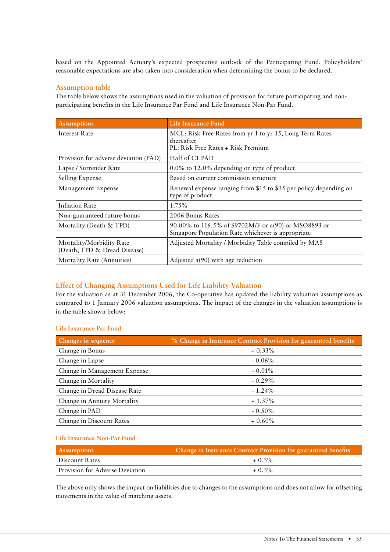based on the Appointed Actuary's expected prospective outlook of the Participating Fund. Policyholders' reasonable expectations are also taken into consideration when determining the bonus to be declared.

# **Assumption table**

The table below shows the assumptions used in the valuation of provision for future participating and nonparticipating benefits in the Life Insurance Par Fund and Life Insurance Non-Par Fund.

| <b>Assumptions</b>                                       | Life Insurance Fund                                                                                          |
|----------------------------------------------------------|--------------------------------------------------------------------------------------------------------------|
| Interest Rate                                            | MCL: Risk Free Rates from yr 1 to yr 15, Long Term Rates<br>thereafter<br>PL: Risk Free Rates + Risk Premium |
| Provision for adverse deviation (PAD)                    | Half of C1 PAD                                                                                               |
| Lapse / Surrender Rate                                   | $0.0\%$ to 12.0% depending on type of product                                                                |
| Selling Expense                                          | Based on current commission structure                                                                        |
| Management Expense                                       | Renewal expense ranging from \$15 to \$35 per policy depending on<br>type of product                         |
| <b>Inflation Rate</b>                                    | 1.75%                                                                                                        |
| Non-guaranteed future bonus                              | 2006 Bonus Rates                                                                                             |
| Mortality (Death & TPD)                                  | 90.00% to 116.5% of S9702M/F or a(90) or MSO8893 or<br>Singapore Population Rate whichever is appropriate    |
| Mortality/Morbidity Rate<br>(Death, TPD & Dread Disease) | Adjusted Mortality / Morbidity Table compiled by MAS                                                         |
| Mortality Rate (Annuities)                               | Adjusted $a(90)$ with age reduction                                                                          |

# **Effect of Changing Assumptions Used for Life Liability Valuation**

For the valuation as at 31 December 2006, the Co-operative has updated the liability valuation assumptions as compared to 1 January 2006 valuation assumptions. The impact of the changes in the valuation assumptions is in the table shown below:

#### **Life Insurance Par Fund**

| Changes in sequence          | % Change in Insurance Contract Provision for guaranteed benefits |
|------------------------------|------------------------------------------------------------------|
| Change in Bonus              | $+0.33\%$                                                        |
| Change in Lapse              | $-0.06\%$                                                        |
| Change in Management Expense | $-0.01\%$                                                        |
| Change in Mortality          | $-0.29\%$                                                        |
| Change in Dread Disease Rate | $-1.24\%$                                                        |
| Change in Annuity Mortality  | $+1.37\%$                                                        |
| Change in PAD                | $-0.50\%$                                                        |
| Change in Discount Rates     | $+0.60\%$                                                        |

#### **Life Insurance Non-Par Fund**

| <b>Assumptions</b>              | Change in Insurance Contract Provision for guaranteed benefits |
|---------------------------------|----------------------------------------------------------------|
| Discount Rates                  | $+0.3\%$                                                       |
| Provision for Adverse Deviation | $+0.3\%$                                                       |

The above only shows the impact on liabilities due to changes to the assumptions and does not allow for offsetting movements in the value of matching assets.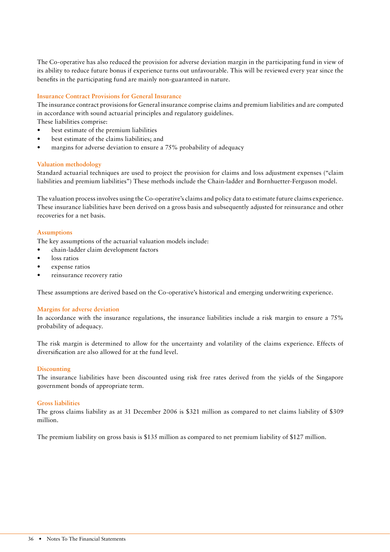The Co-operative has also reduced the provision for adverse deviation margin in the participating fund in view of its ability to reduce future bonus if experience turns out unfavourable. This will be reviewed every year since the benefits in the participating fund are mainly non-guaranteed in nature.

#### **Insurance Contract Provisions for General Insurance**

The insurance contract provisions for General insurance comprise claims and premium liabilities and are computed in accordance with sound actuarial principles and regulatory guidelines.

These liabilities comprise:

- best estimate of the premium liabilities
- best estimate of the claims liabilities; and
- margins for adverse deviation to ensure a 75% probability of adequacy

#### **Valuation methodology**

Standard actuarial techniques are used to project the provision for claims and loss adjustment expenses ("claim liabilities and premium liabilities") These methods include the Chain-ladder and Bornhuetter-Ferguson model.

The valuation process involves using the Co-operative's claims and policy data to estimate future claims experience. These insurance liabilities have been derived on a gross basis and subsequently adjusted for reinsurance and other recoveries for a net basis.

#### **Assumptions**

The key assumptions of the actuarial valuation models include:

- chain-ladder claim development factors
- loss ratios
- expense ratios
- reinsurance recovery ratio

These assumptions are derived based on the Co-operative's historical and emerging underwriting experience.

#### **Margins for adverse deviation**

In accordance with the insurance regulations, the insurance liabilities include a risk margin to ensure a 75% probability of adequacy.

The risk margin is determined to allow for the uncertainty and volatility of the claims experience. Effects of diversification are also allowed for at the fund level.

#### **Discounting**

The insurance liabilities have been discounted using risk free rates derived from the yields of the Singapore government bonds of appropriate term.

#### **Gross liabilities**

The gross claims liability as at 31 December 2006 is \$321 million as compared to net claims liability of \$309 million.

The premium liability on gross basis is \$135 million as compared to net premium liability of \$127 million.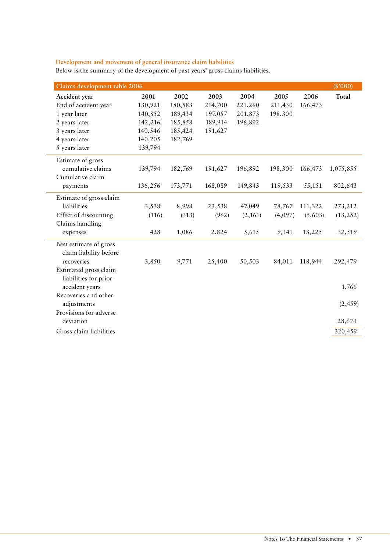# **Development and movement of general insurance claim liabilities**

 $\overline{a}$ 

 $\overline{\phantom{a}}$ 

L.

| Below is the summary of the development of past years' gross claims liabilities. |  |  |  |
|----------------------------------------------------------------------------------|--|--|--|
|----------------------------------------------------------------------------------|--|--|--|

| Claims development table 2006 |         |         |         |         |         |         | (S'000)   |
|-------------------------------|---------|---------|---------|---------|---------|---------|-----------|
| Accident year                 | 2001    | 2002    | 2003    | 2004    | 2005    | 2006    | Total     |
| End of accident year          | 130,921 | 180,583 | 214,700 | 221,260 | 211,430 | 166,473 |           |
| 1 year later                  | 140,852 | 189,434 | 197,057 | 201,873 | 198,300 |         |           |
| 2 years later                 | 142,216 | 185,858 | 189,914 | 196,892 |         |         |           |
| 3 years later                 | 140,546 | 185,424 | 191,627 |         |         |         |           |
| 4 years later                 | 140,205 | 182,769 |         |         |         |         |           |
| 5 years later                 | 139,794 |         |         |         |         |         |           |
| Estimate of gross             |         |         |         |         |         |         |           |
| cumulative claims             | 139,794 | 182,769 | 191,627 | 196,892 | 198,300 | 166,473 | 1,075,855 |
| Cumulative claim              |         |         |         |         |         |         |           |
| payments                      | 136,256 | 173,771 | 168,089 | 149,843 | 119,533 | 55,151  | 802,643   |
| Estimate of gross claim       |         |         |         |         |         |         |           |
| liabilities                   | 3,538   | 8,998   | 23,538  | 47,049  | 78,767  | 111,322 | 273,212   |
| Effect of discounting         | (116)   | (313)   | (962)   | (2,161) | (4,097) | (5,603) | (13, 252) |
| Claims handling               |         |         |         |         |         |         |           |
| expenses                      | 428     | 1,086   | 2,824   | 5,615   | 9,341   | 13,225  | 32,519    |
| Best estimate of gross        |         |         |         |         |         |         |           |
| claim liability before        |         |         |         |         |         |         |           |
| recoveries                    | 3,850   | 9,771   | 25,400  | 50,503  | 84,011  | 118,944 | 292,479   |
| Estimated gross claim         |         |         |         |         |         |         |           |
| liabilities for prior         |         |         |         |         |         |         |           |
| accident years                |         |         |         |         |         |         | 1,766     |
| Recoveries and other          |         |         |         |         |         |         |           |
| adjustments                   |         |         |         |         |         |         | (2, 459)  |
| Provisions for adverse        |         |         |         |         |         |         |           |
| deviation                     |         |         |         |         |         |         | 28,673    |
| Gross claim liabilities       |         |         |         |         |         |         | 320,459   |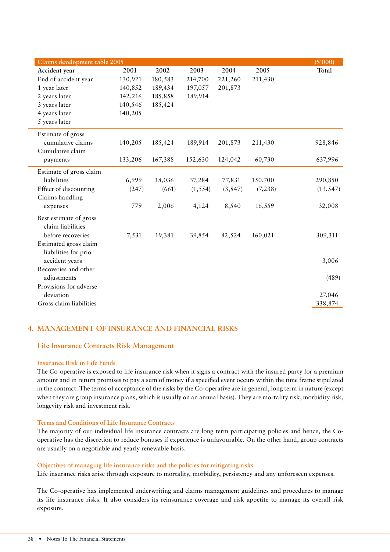| Claims development table 2005 |         |         |          |          |          | (S'000)   |
|-------------------------------|---------|---------|----------|----------|----------|-----------|
| Accident year                 | 2001    | 2002    | 2003     | 2004     | 2005     | Total     |
| End of accident year          | 130,921 | 180,583 | 214,700  | 221,260  | 211,430  |           |
| 1 year later                  | 140,852 | 189,434 | 197,057  | 201,873  |          |           |
| 2 years later                 | 142,216 | 185,858 | 189,914  |          |          |           |
| 3 years later                 | 140,546 | 185,424 |          |          |          |           |
| 4 years later                 | 140,205 |         |          |          |          |           |
| 5 years later                 |         |         |          |          |          |           |
| Estimate of gross             |         |         |          |          |          |           |
| cumulative claims             | 140,205 | 185,424 | 189,914  | 201,873  | 211,430  | 928,846   |
| Cumulative claim              |         |         |          |          |          |           |
| payments                      | 133,206 | 167,388 | 152,630  | 124,042  | 60,730   | 637,996   |
| Estimate of gross claim       |         |         |          |          |          |           |
| liabilities                   | 6,999   | 18,036  | 37,284   | 77,831   | 150,700  | 290,850   |
| Effect of discounting         | (247)   | (661)   | (1, 554) | (3, 847) | (7, 238) | (13, 547) |
| Claims handling               |         |         |          |          |          |           |
| expenses                      | 779     | 2,006   | 4,124    | 8,540    | 16,559   | 32,008    |
| Best estimate of gross        |         |         |          |          |          |           |
| claim liabilities             |         |         |          |          |          |           |
| before recoveries             | 7,531   | 19,381  | 39,854   | 82,524   | 160,021  | 309,311   |
| Estimated gross claim         |         |         |          |          |          |           |
| liabilities for prior         |         |         |          |          |          |           |
| accident years                |         |         |          |          |          | 3,006     |
| Recoveries and other          |         |         |          |          |          |           |
| adjustments                   |         |         |          |          |          | (489)     |
| Provisions for adverse        |         |         |          |          |          |           |
| deviation                     |         |         |          |          |          | 27,046    |
| Gross claim liabilities       |         |         |          |          |          | 338,874   |

# **4. MANAGEMENT OF INSURANCE AND FINANCIAL RISKS**

#### **Life Insurance Contracts Risk Management**

#### **Insurance Risk in Life Funds**

The Co-operative is exposed to life insurance risk when it signs a contract with the insured party for a premium amount and in return promises to pay a sum of money if a specified event occurs within the time frame stipulated in the contract. The terms of acceptance of the risks by the Co-operative are in general, long term in nature (except when they are group insurance plans, which is usually on an annual basis). They are mortality risk, morbidity risk, longevity risk and investment risk.

#### **Terms and Conditions of Life Insurance Contracts**

The majority of our individual life insurance contracts are long term participating policies and hence, the Cooperative has the discretion to reduce bonuses if experience is unfavourable. On the other hand, group contracts are usually on a negotiable and yearly renewable basis.

#### **Objectives of managing life insurance risks and the policies for mitigating risks**

Life insurance risks arise through exposure to mortality, morbidity, persistency and any unforeseen expenses.

The Co-operative has implemented underwriting and claims management guidelines and procedures to manage its life insurance risks. It also considers its reinsurance coverage and risk appetite to manage its overall risk exposure.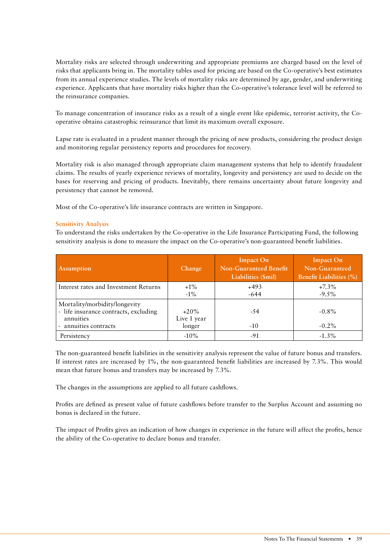Mortality risks are selected through underwriting and appropriate premiums are charged based on the level of risks that applicants bring in. The mortality tables used for pricing are based on the Co-operative's best estimates from its annual experience studies. The levels of mortality risks are determined by age, gender, and underwriting experience. Applicants that have mortality risks higher than the Co-operative's tolerance level will be referred to the reinsurance companies.

To manage concentration of insurance risks as a result of a single event like epidemic, terrorist activity, the Cooperative obtains catastrophic reinsurance that limit its maximum overall exposure.

Lapse rate is evaluated in a prudent manner through the pricing of new products, considering the product design and monitoring regular persistency reports and procedures for recovery.

Mortality risk is also managed through appropriate claim management systems that help to identify fraudulent claims. The results of yearly experience reviews of mortality, longevity and persistency are used to decide on the bases for reserving and pricing of products. Inevitably, there remains uncertainty about future longevity and persistency that cannot be removed.

Most of the Co-operative's life insurance contracts are written in Singapore.

#### **Sensitivity Analysis**

To understand the risks undertaken by the Co-operative in the Life Insurance Participating Fund, the following sensitivity analysis is done to measure the impact on the Co-operative's non-guaranteed benefit liabilities.

| <b>Assumption</b>                                                                                            | Change                           | <b>Impact On</b><br><b>Non-Guaranteed Benefit</b><br>Liabilities (\$mil) | <b>Impact On</b><br>Non-Guaranteed<br><b>Benefit Liabilities (%)</b> |
|--------------------------------------------------------------------------------------------------------------|----------------------------------|--------------------------------------------------------------------------|----------------------------------------------------------------------|
| Interest rates and Investment Returns                                                                        | $+1\%$<br>$-1\%$                 | $+493$<br>$-644$                                                         | $+7.3\%$<br>$-9.5\%$                                                 |
| Mortality/morbidity/longevity<br>- life insurance contracts, excluding<br>annuities<br>- annuities contracts | $+20\%$<br>Live 1 year<br>longer | $-54$<br>$-10$                                                           | $-0.8\%$<br>$-0.2\%$                                                 |
| Persistency                                                                                                  | $-10\%$                          | -91                                                                      | $-1.3\%$                                                             |

The non-guaranteed benefit liabilities in the sensitivity analysis represent the value of future bonus and transfers. If interest rates are increased by 1%, the non-guaranteed benefit liabilities are increased by 7.3%. This would mean that future bonus and transfers may be increased by 7.3%.

The changes in the assumptions are applied to all future cashflows.

Profits are defined as present value of future cashflows before transfer to the Surplus Account and assuming no bonus is declared in the future.

The impact of Profits gives an indication of how changes in experience in the future will affect the profits, hence the ability of the Co-operative to declare bonus and transfer.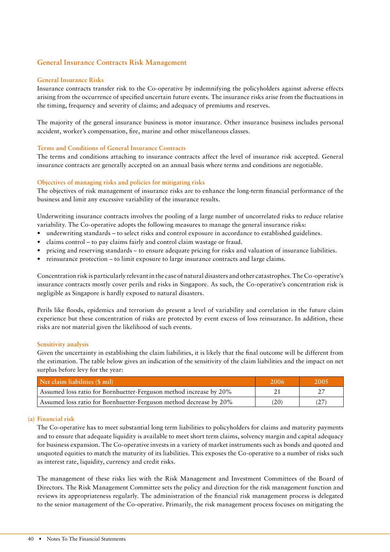# **General Insurance Contracts Risk Management**

#### **General Insurance Risks**

Insurance contracts transfer risk to the Co-operative by indemnifying the policyholders against adverse effects arising from the occurrence of specified uncertain future events. The insurance risks arise from the fluctuations in the timing, frequency and severity of claims; and adequacy of premiums and reserves.

The majority of the general insurance business is motor insurance. Other insurance business includes personal accident, worker's compensation, fire, marine and other miscellaneous classes.

#### **Terms and Conditions of General Insurance Contracts**

The terms and conditions attaching to insurance contracts affect the level of insurance risk accepted. General insurance contracts are generally accepted on an annual basis where terms and conditions are negotiable.

#### **Objectives of managing risks and policies for mitigating risks**

The objectives of risk management of insurance risks are to enhance the long-term financial performance of the business and limit any excessive variability of the insurance results.

Underwriting insurance contracts involves the pooling of a large number of uncorrelated risks to reduce relative variability. The Co-operative adopts the following measures to manage the general insurance risks:

- underwriting standards to select risks and control exposure in accordance to established guidelines.
- claims control to pay claims fairly and control claim wastage or fraud.
- pricing and reserving standards to ensure adequate pricing for risks and valuation of insurance liabilities.
- reinsurance protection to limit exposure to large insurance contracts and large claims.

Concentration risk is particularly relevant in the case of natural disasters and other catastrophes. The Co-operative's insurance contracts mostly cover perils and risks in Singapore. As such, the Co-operative's concentration risk is negligible as Singapore is hardly exposed to natural disasters.

Perils like floods, epidemics and terrorism do present a level of variability and correlation in the future claim experience but these concentration of risks are protected by event excess of loss reinsurance. In addition, these risks are not material given the likelihood of such events.

#### **Sensitivity analysis**

Given the uncertainty in establishing the claim liabilities, it is likely that the final outcome will be different from the estimation. The table below gives an indication of the sensitivity of the claim liabilities and the impact on net surplus before levy for the year:

| Net claim liabilities (\$ mil)                                     | 2006 | 2005' |
|--------------------------------------------------------------------|------|-------|
| Assumed loss ratio for Bornhuetter-Ferguson method increase by 20% |      |       |
| Assumed loss ratio for Bornhuetter-Ferguson method decrease by 20% | (20) | (27)  |

#### **(a) Financial risk**

The Co-operative has to meet substantial long term liabilities to policyholders for claims and maturity payments and to ensure that adequate liquidity is available to meet short term claims, solvency margin and capital adequacy for business expansion. The Co-operative invests in a variety of market instruments such as bonds and quoted and unquoted equities to match the maturity of its liabilities. This exposes the Co-operative to a number of risks such as interest rate, liquidity, currency and credit risks.

The management of these risks lies with the Risk Management and Investment Committees of the Board of Directors. The Risk Management Committee sets the policy and direction for the risk management function and reviews its appropriateness regularly. The administration of the financial risk management process is delegated to the senior management of the Co-operative. Primarily, the risk management process focuses on mitigating the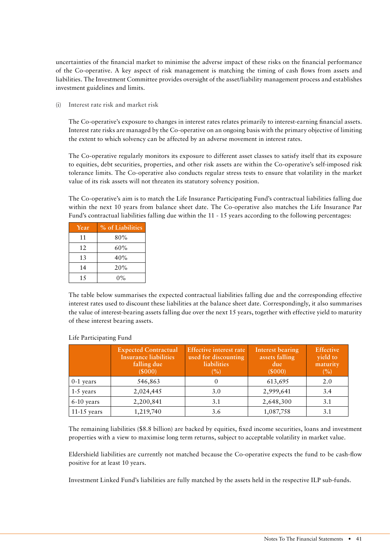uncertainties of the financial market to minimise the adverse impact of these risks on the financial performance of the Co-operative. A key aspect of risk management is matching the timing of cash flows from assets and liabilities. The Investment Committee provides oversight of the asset/liability management process and establishes investment guidelines and limits.

**(i) Interest rate risk and market risk**

The Co-operative's exposure to changes in interest rates relates primarily to interest-earning financial assets. Interest rate risks are managed by the Co-operative on an ongoing basis with the primary objective of limiting the extent to which solvency can be affected by an adverse movement in interest rates.

The Co-operative regularly monitors its exposure to different asset classes to satisfy itself that its exposure to equities, debt securities, properties, and other risk assets are within the Co-operative's self-imposed risk tolerance limits. The Co-operative also conducts regular stress tests to ensure that volatility in the market value of its risk assets will not threaten its statutory solvency position.

The Co-operative's aim is to match the Life Insurance Participating Fund's contractual liabilities falling due within the next 10 years from balance sheet date. The Co-operative also matches the Life Insurance Par Fund's contractual liabilities falling due within the 11 - 15 years according to the following percentages:

| Year | % of Liabilities |
|------|------------------|
| 11   | 80%              |
| 12   | 60%              |
| 13   | 40%              |
| 14   | 20%              |
| 15   | $0\%$            |

The table below summarises the expected contractual liabilities falling due and the corresponding effective interest rates used to discount these liabilities at the balance sheet date. Correspondingly, it also summarises the value of interest-bearing assets falling due over the next 15 years, together with effective yield to maturity of these interest bearing assets.

|               | <b>Expected Contractual</b><br><b>Insurance liabilities</b><br>falling due<br>(5000) | <b>Effective interest rate</b><br>used for discounting<br>liabilities<br>(%) | <b>Interest bearing</b><br>assets falling<br>due<br>(5000) | <b>Effective</b><br>yield to<br>maturity<br>(%) |
|---------------|--------------------------------------------------------------------------------------|------------------------------------------------------------------------------|------------------------------------------------------------|-------------------------------------------------|
| $0-1$ years   | 546,863                                                                              |                                                                              | 613,695                                                    | 2.0                                             |
| $1-5$ years   | 2,024,445                                                                            | 3.0                                                                          | 2,999,641                                                  | 3.4                                             |
| 6-10 years    | 2,200,841                                                                            | 3.1                                                                          | 2,648,300                                                  | 3.1                                             |
| $11-15$ years | 1,219,740                                                                            | 3.6                                                                          | 1,087,758                                                  | 3.1                                             |

#### Life Participating Fund

The remaining liabilities (\$8.8 billion) are backed by equities, fixed income securities, loans and investment properties with a view to maximise long term returns, subject to acceptable volatility in market value.

Eldershield liabilities are currently not matched because the Co-operative expects the fund to be cash-flow positive for at least 10 years.

Investment Linked Fund's liabilities are fully matched by the assets held in the respective ILP sub-funds.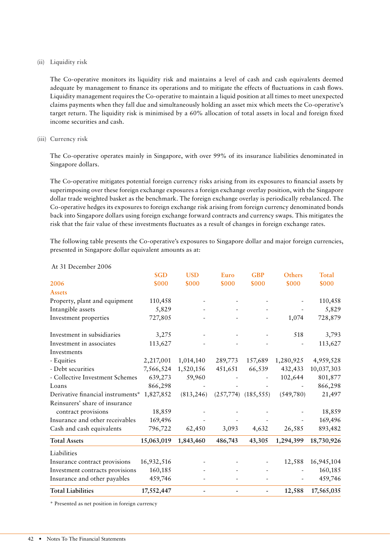#### **(ii) Liquidity risk**

The Co-operative monitors its liquidity risk and maintains a level of cash and cash equivalents deemed adequate by management to finance its operations and to mitigate the effects of fluctuations in cash flows. Liquidity management requires the Co-operative to maintain a liquid position at all times to meet unexpected claims payments when they fall due and simultaneously holding an asset mix which meets the Co-operative's target return. The liquidity risk is minimised by a 60% allocation of total assets in local and foreign fixed income securities and cash.

#### **(iii) Currency risk**

The Co-operative operates mainly in Singapore, with over 99% of its insurance liabilities denominated in Singapore dollars.

The Co-operative mitigates potential foreign currency risks arising from its exposures to financial assets by superimposing over these foreign exchange exposures a foreign exchange overlay position, with the Singapore dollar trade weighted basket as the benchmark. The foreign exchange overlay is periodically rebalanced. The Co-operative hedges its exposures to foreign exchange risk arising from foreign currency denominated bonds back into Singapore dollars using foreign exchange forward contracts and currency swaps. This mitigates the risk that the fair value of these investments fluctuates as a result of changes in foreign exchange rates.

The following table presents the Co-operative's exposures to Singapore dollar and major foreign currencies, presented in Singapore dollar equivalent amounts as at:

|                                   | <b>SGD</b> | <b>USD</b> | Euro      | <b>GBP</b> | Others    | Total      |
|-----------------------------------|------------|------------|-----------|------------|-----------|------------|
| 2006                              | \$000      | \$000      | \$000     | \$000      | \$000     | \$000      |
| <b>Assets</b>                     |            |            |           |            |           |            |
| Property, plant and equipment     | 110,458    |            |           |            |           | 110,458    |
| Intangible assets                 | 5,829      |            |           |            |           | 5,829      |
| Investment properties             | 727,805    |            |           |            | 1,074     | 728,879    |
| Investment in subsidiaries        | 3,275      |            |           |            | 518       | 3,793      |
| Investment in associates          | 113,627    |            |           |            |           | 113,627    |
| Investments                       |            |            |           |            |           |            |
| - Equities                        | 2,217,001  | 1,014,140  | 289,773   | 157,689    | 1,280,925 | 4,959,528  |
| - Debt securities                 | 7,566,524  | 1,520,156  | 451,651   | 66,539     | 432,433   | 10,037,303 |
| - Collective Investment Schemes   | 639,273    | 59,960     |           |            | 102,644   | 801,877    |
| Loans                             | 866,298    |            |           |            |           | 866,298    |
| Derivative financial instruments* | 1,827,852  | (813, 246) | (257,774) | (185, 555) | (549,780) | 21,497     |
| Reinsurers' share of insurance    |            |            |           |            |           |            |
| contract provisions               | 18,859     |            |           |            |           | 18,859     |
| Insurance and other receivables   | 169,496    |            |           |            |           | 169,496    |
| Cash and cash equivalents         | 796,722    | 62,450     | 3,093     | 4,632      | 26,585    | 893,482    |
| <b>Total Assets</b>               | 15,063,019 | 1,843,460  | 486,743   | 43,305     | 1,294,399 | 18,730,926 |
| Liabilities                       |            |            |           |            |           |            |
| Insurance contract provisions     | 16,932,516 |            |           |            | 12,588    | 16,945,104 |
| Investment contracts provisions   | 160,185    |            |           |            |           | 160,185    |
| Insurance and other payables      | 459,746    |            |           |            |           | 459,746    |
| <b>Total Liabilities</b>          | 17,552,447 |            |           |            | 12,588    | 17,565,035 |

#### At 31 December 2006

\* Presented as net position in foreign currency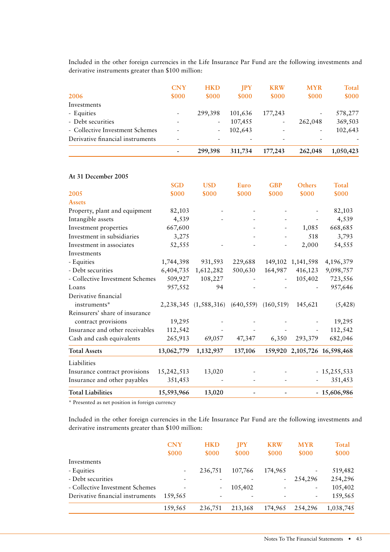Included in the other foreign currencies in the Life Insurance Par Fund are the following investments and derivative instruments greater than \$100 million:

| 2006                             | <b>CNY</b><br>\$000      | <b>HKD</b><br>\$000      | <b>IPY</b><br>\$000 | <b>KRW</b><br>\$000      | <b>MYR</b><br>\$000 | Total<br>\$000 |
|----------------------------------|--------------------------|--------------------------|---------------------|--------------------------|---------------------|----------------|
| Investments                      |                          |                          |                     |                          |                     |                |
| - Equities                       | $\overline{\phantom{a}}$ | 299,398                  | 101,636             | 177,243                  |                     | 578,277        |
| - Debt securities                | -                        | $\overline{\phantom{a}}$ | 107,455             | $\overline{\phantom{a}}$ | 262,048             | 369,503        |
| - Collective Investment Schemes  |                          |                          | 102,643             |                          |                     | 102,643        |
| Derivative financial instruments |                          |                          |                     |                          |                     |                |
|                                  |                          | 299,398                  | 311,734             | 177,243                  | 262,048             | 1,050,423      |

| At 31 December 2005             |            |                                           |         |            |                   |                              |
|---------------------------------|------------|-------------------------------------------|---------|------------|-------------------|------------------------------|
|                                 | <b>SGD</b> | <b>USD</b>                                | Euro    | <b>GBP</b> | Others            | <b>Total</b>                 |
| 2005                            | \$000      | \$000                                     | \$000   | \$000      | \$000             | \$000                        |
| <b>Assets</b>                   |            |                                           |         |            |                   |                              |
| Property, plant and equipment   | 82,103     |                                           |         |            |                   | 82,103                       |
| Intangible assets               | 4,539      |                                           |         |            |                   | 4,539                        |
| Investment properties           | 667,600    |                                           |         |            | 1,085             | 668,685                      |
| Investment in subsidiaries      | 3,275      |                                           |         |            | 518               | 3,793                        |
| Investment in associates        | 52,555     |                                           |         |            | 2,000             | 54,555                       |
| Investments                     |            |                                           |         |            |                   |                              |
| - Equities                      | 1,744,398  | 931,593                                   | 229,688 |            | 149,102 1,141,598 | 4,196,379                    |
| - Debt securities               | 6,404,735  | 1,612,282                                 | 500,630 | 164,987    | 416,123           | 9,098,757                    |
| - Collective Investment Schemes | 509,927    | 108,227                                   |         |            | 105,402           | 723,556                      |
| Loans                           | 957,552    | 94                                        |         |            |                   | 957,646                      |
| Derivative financial            |            |                                           |         |            |                   |                              |
| instruments*                    |            | 2,238,345 (1,588,316) (640,559) (160,519) |         |            | 145,621           | (5, 428)                     |
| Reinsurers' share of insurance  |            |                                           |         |            |                   |                              |
| contract provisions             | 19,295     |                                           |         |            |                   | 19,295                       |
| Insurance and other receivables | 112,542    |                                           |         |            |                   | 112,542                      |
| Cash and cash equivalents       | 265,913    | 69,057                                    | 47,347  | 6,350      | 293,379           | 682,046                      |
| <b>Total Assets</b>             | 13,062,779 | 1,132,937                                 | 137,106 |            |                   | 159,920 2,105,726 16,598,468 |
| Liabilities                     |            |                                           |         |            |                   |                              |
| Insurance contract provisions   | 15,242,513 | 13,020                                    |         |            |                   | $-15,255,533$                |
| Insurance and other payables    | 351,453    |                                           |         |            |                   | 351,453                      |
| <b>Total Liabilities</b>        | 15,593,966 | 13,020                                    |         |            |                   | $-15,606,986$                |

\* Presented as net position in foreign currency

Included in the other foreign currencies in the Life Insurance Par Fund are the following investments and derivative instruments greater than \$100 million:

|                                  | <b>CNY</b><br>\$000      | <b>HKD</b><br>\$000 | JPY<br>\$000 | <b>KRW</b><br>\$000 | <b>MYR</b><br>\$000      | Total<br>\$000 |
|----------------------------------|--------------------------|---------------------|--------------|---------------------|--------------------------|----------------|
| Investments                      |                          |                     |              |                     |                          |                |
| - Equities                       | -                        | 236,751             | 107,766      | 174,965             | $\overline{\phantom{a}}$ | 519,482        |
| - Debt securities                | $\overline{\phantom{a}}$ |                     |              |                     | 254,296                  | 254,296        |
| - Collective Investment Schemes  |                          | ۰                   | 105,402      |                     | -                        | 105,402        |
| Derivative financial instruments | 159,565                  |                     |              |                     | $\overline{\phantom{a}}$ | 159,565        |
|                                  | 159,565                  | 236,751             | 213,168      | 174,965             | 254,296                  | 1,038,745      |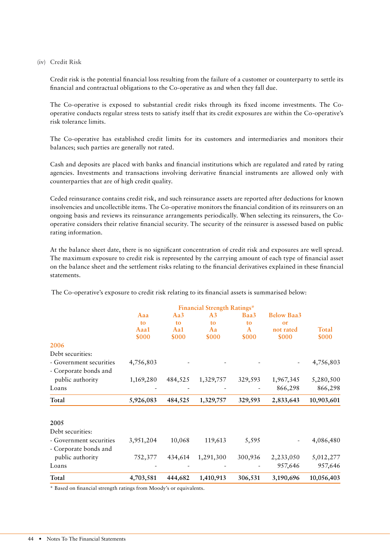#### **(iv) Credit Risk**

Credit risk is the potential financial loss resulting from the failure of a customer or counterparty to settle its financial and contractual obligations to the Co-operative as and when they fall due.

The Co-operative is exposed to substantial credit risks through its fixed income investments. The Cooperative conducts regular stress tests to satisfy itself that its credit exposures are within the Co-operative's risk tolerance limits.

The Co-operative has established credit limits for its customers and intermediaries and monitors their balances; such parties are generally not rated.

Cash and deposits are placed with banks and financial institutions which are regulated and rated by rating agencies. Investments and transactions involving derivative financial instruments are allowed only with counterparties that are of high credit quality.

Ceded reinsurance contains credit risk, and such reinsurance assets are reported after deductions for known insolvencies and uncollectible items. The Co-operative monitors the financial condition of its reinsurers on an ongoing basis and reviews its reinsurance arrangements periodically. When selecting its reinsurers, the Cooperative considers their relative financial security. The security of the reinsurer is assessed based on public rating information.

At the balance sheet date, there is no significant concentration of credit risk and exposures are well spread. The maximum exposure to credit risk is represented by the carrying amount of each type of financial asset on the balance sheet and the settlement risks relating to the financial derivatives explained in these financial statements.

|                         |           |         | <b>Financial Strength Ratings*</b> |         |                   |              |
|-------------------------|-----------|---------|------------------------------------|---------|-------------------|--------------|
|                         | Aaa       | Aa3     | A <sub>3</sub>                     | Baa3    | <b>Below Baa3</b> |              |
|                         | to        | to      | to                                 | to      | or                |              |
|                         | Aaa1      | Aa1     | Aa                                 | A       | not rated         | <b>Total</b> |
|                         | \$000     | \$000   | \$000                              | \$000   | \$000             | \$000        |
| 2006                    |           |         |                                    |         |                   |              |
| Debt securities:        |           |         |                                    |         |                   |              |
| - Government securities | 4,756,803 |         |                                    |         |                   | 4,756,803    |
| - Corporate bonds and   |           |         |                                    |         |                   |              |
| public authority        | 1,169,280 | 484,525 | 1,329,757                          | 329,593 | 1,967,345         | 5,280,500    |
| Loans                   |           |         |                                    |         | 866,298           | 866,298      |
| Total                   | 5,926,083 | 484,525 | 1,329,757                          | 329,593 | 2,833,643         | 10,903,601   |
| 2005                    |           |         |                                    |         |                   |              |
| Debt securities:        |           |         |                                    |         |                   |              |
| - Government securities | 3,951,204 | 10,068  | 119,613                            | 5,595   |                   | 4,086,480    |
| - Corporate bonds and   |           |         |                                    |         |                   |              |
| public authority        | 752,377   | 434,614 | 1,291,300                          | 300,936 | 2,233,050         | 5,012,277    |
| Loans                   |           |         |                                    |         | 957,646           | 957,646      |
| Total                   | 4,703,581 | 444,682 | 1,410,913                          | 306,531 | 3,190,696         | 10,056,403   |

The Co-operative's exposure to credit risk relating to its financial assets is summarised below:

\* Based on financial strength ratings from Moody's or equivalents.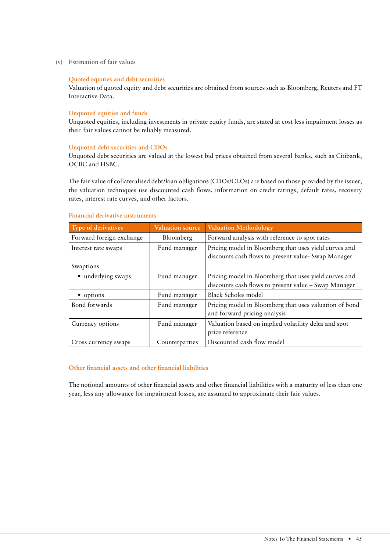**(v) Estimation of fair values**

#### **Quoted equities and debt securities**

Valuation of quoted equity and debt securities are obtained from sources such as Bloomberg, Reuters and FT Interactive Data.

#### **Unquoted equities and funds**

Unquoted equities, including investments in private equity funds, are stated at cost less impairment losses as their fair values cannot be reliably measured.

#### **Unquoted debt securities and CDOs**

Unquoted debt securities are valued at the lowest bid prices obtained from several banks, such as Citibank, OCBC and HSBC.

The fair value of collateralised debt/loan obligations (CDOs/CLOs) are based on those provided by the issuer; the valuation techniques use discounted cash flows, information on credit ratings, default rates, recovery rates, interest rate curves, and other factors.

#### **Financial derivative instruments**

| Type of derivatives      | <b>Valuation source</b> | <b>Valuation Methodology</b>                                                                                  |
|--------------------------|-------------------------|---------------------------------------------------------------------------------------------------------------|
| Forward foreign exchange | Bloomberg               | Forward analysis with reference to spot rates                                                                 |
| Interest rate swaps      | Fund manager            | Pricing model in Bloomberg that uses yield curves and<br>discounts cash flows to present value- Swap Manager  |
| Swaptions                |                         |                                                                                                               |
| • underlying swaps       | Fund manager            | Pricing model in Bloomberg that uses yield curves and<br>discounts cash flows to present value – Swap Manager |
| • options                | Fund manager            | Black Scholes model                                                                                           |
| Bond forwards            | Fund manager            | Pricing model in Bloomberg that uses valuation of bond<br>and forward pricing analysis                        |
| Currency options         | Fund manager            | Valuation based on implied volatility delta and spot<br>price reference                                       |
| Cross currency swaps     | Counterparties          | Discounted cash flow model                                                                                    |

#### **Other financial assets and other financial liabilities**

The notional amounts of other financial assets and other financial liabilities with a maturity of less than one year, less any allowance for impairment losses, are assumed to approximate their fair values.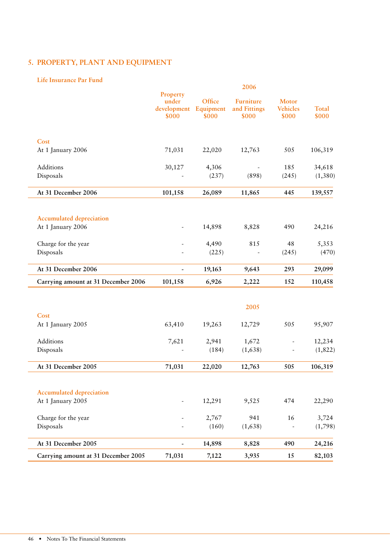# **5. PROPERTY, PLANT AND EQUIPMENT**

#### **Life Insurance Par Fund**

|                                     |                                           |                              | 2006                                      |                                          |                       |
|-------------------------------------|-------------------------------------------|------------------------------|-------------------------------------------|------------------------------------------|-----------------------|
|                                     | Property<br>under<br>development<br>\$000 | Office<br>Equipment<br>\$000 | <b>Furniture</b><br>and Fittings<br>\$000 | <b>Motor</b><br><b>Vehicles</b><br>\$000 | <b>Total</b><br>\$000 |
| Cost                                |                                           |                              |                                           |                                          |                       |
| At 1 January 2006                   | 71,031                                    | 22,020                       | 12,763                                    | 505                                      | 106,319               |
| Additions                           | 30,127                                    | 4,306                        |                                           | 185                                      | 34,618                |
| Disposals                           |                                           | (237)                        | (898)                                     | (245)                                    | (1,380)               |
| At 31 December 2006                 | 101,158                                   | 26,089                       | 11,865                                    | 445                                      | 139,557               |
| <b>Accumulated depreciation</b>     |                                           |                              |                                           |                                          |                       |
| At 1 January 2006                   |                                           | 14,898                       | 8,828                                     | 490                                      | 24,216                |
| Charge for the year                 |                                           | 4,490                        | 815                                       | 48                                       | 5,353                 |
| Disposals                           |                                           | (225)                        |                                           | (245)                                    | (470)                 |
| At 31 December 2006                 |                                           | 19,163                       | 9,643                                     | 293                                      | 29,099                |
| Carrying amount at 31 December 2006 | 101,158                                   | 6,926                        | 2,222                                     | 152                                      | 110,458               |
|                                     |                                           |                              | 2005                                      |                                          |                       |
| Cost                                |                                           |                              |                                           |                                          |                       |
| At 1 January 2005                   | 63,410                                    | 19,263                       | 12,729                                    | 505                                      | 95,907                |
| Additions                           | 7,621                                     | 2,941                        | 1,672                                     |                                          | 12,234                |
| Disposals                           |                                           | (184)                        | (1,638)                                   |                                          | (1, 822)              |
| At 31 December 2005                 | 71,031                                    | 22,020                       | 12,763                                    | 505                                      | 106,319               |
| <b>Accumulated depreciation</b>     |                                           |                              |                                           |                                          |                       |
| At 1 January 2005                   |                                           | 12,291                       | 9,525                                     | 474                                      | 22,290                |
| Charge for the year                 |                                           | 2,767                        | 941                                       | 16                                       | 3,724                 |
| Disposals                           |                                           | (160)                        | (1,638)                                   |                                          | (1,798)               |
| At 31 December 2005                 | $\overline{\phantom{0}}$                  | 14,898                       | 8,828                                     | 490                                      | 24,216                |
| Carrying amount at 31 December 2005 | 71,031                                    | 7,122                        | 3,935                                     | 15                                       | 82,103                |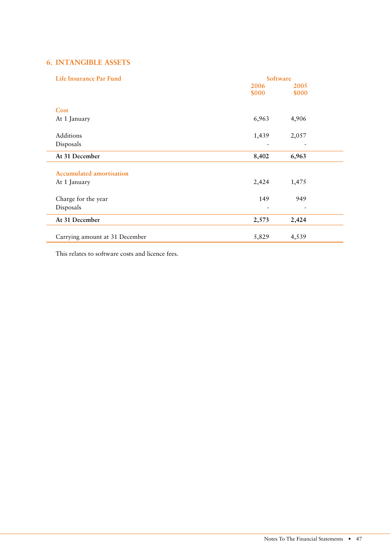# **6. INTANGIBLE ASSETS**

| Life Insurance Par Fund         |       | Software |  |
|---------------------------------|-------|----------|--|
|                                 | 2006  | 2005     |  |
|                                 | \$000 | \$000    |  |
| Cost                            |       |          |  |
|                                 |       |          |  |
| At 1 January                    | 6,963 | 4,906    |  |
| Additions                       | 1,439 | 2,057    |  |
| Disposals                       |       |          |  |
| At 31 December                  | 8,402 | 6,963    |  |
|                                 |       |          |  |
| <b>Accumulated amortisation</b> |       |          |  |
| At 1 January                    | 2,424 | 1,475    |  |
| Charge for the year             | 149   | 949      |  |
| Disposals                       |       |          |  |
|                                 |       |          |  |
| At 31 December                  | 2,573 | 2,424    |  |
|                                 |       |          |  |
| Carrying amount at 31 December  | 5,829 | 4,539    |  |

This relates to software costs and licence fees.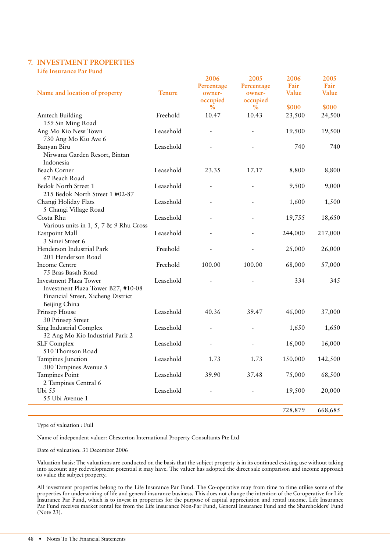# **7. INVESTMENT PROPERTIES**

**Life Insurance Par Fund**

| Name and location of property                                                                                              | <b>Tenure</b> | 2006<br>Percentage<br>owner-<br>occupied<br>$\frac{6}{6}$ | 2005<br>Percentage<br>owner-<br>occupied<br>$\%$ | 2006<br>Fair<br>Value<br>\$000 | 2005<br>Fair<br>Value<br>\$000 |
|----------------------------------------------------------------------------------------------------------------------------|---------------|-----------------------------------------------------------|--------------------------------------------------|--------------------------------|--------------------------------|
| Amtech Building<br>159 Sin Ming Road                                                                                       | Freehold      | 10.47                                                     | 10.43                                            | 23,500                         | 24,500                         |
| Ang Mo Kio New Town<br>730 Ang Mo Kio Ave 6                                                                                | Leasehold     |                                                           |                                                  | 19,500                         | 19,500                         |
| Banyan Biru<br>Nirwana Garden Resort, Bintan<br>Indonesia                                                                  | Leasehold     |                                                           |                                                  | 740                            | 740                            |
| <b>Beach Corner</b><br>67 Beach Road                                                                                       | Leasehold     | 23.35                                                     | 17.17                                            | 8,800                          | 8,800                          |
| Bedok North Street 1<br>215 Bedok North Street 1 #02-87                                                                    | Leasehold     | $\overline{a}$                                            |                                                  | 9,500                          | 9,000                          |
| Changi Holiday Flats<br>5 Changi Village Road                                                                              | Leasehold     |                                                           |                                                  | 1,600                          | 1,500                          |
| Costa Rhu<br>Various units in 1, 5, 7 & 9 Rhu Cross                                                                        | Leasehold     |                                                           |                                                  | 19,755                         | 18,650                         |
| Eastpoint Mall<br>3 Simei Street 6                                                                                         | Leasehold     |                                                           |                                                  | 244,000                        | 217,000                        |
| Henderson Industrial Park<br>201 Henderson Road                                                                            | Freehold      |                                                           |                                                  | 25,000                         | 26,000                         |
| Income Centre<br>75 Bras Basah Road                                                                                        | Freehold      | 100.00                                                    | 100.00                                           | 68,000                         | 57,000                         |
| <b>Investment Plaza Tower</b><br>Investment Plaza Tower B27, #10-08<br>Financial Street, Xicheng District<br>Beijing China | Leasehold     |                                                           |                                                  | 334                            | 345                            |
| Prinsep House<br>30 Prinsep Street                                                                                         | Leasehold     | 40.36                                                     | 39.47                                            | 46,000                         | 37,000                         |
| Sing Industrial Complex<br>32 Ang Mo Kio Industrial Park 2                                                                 | Leasehold     |                                                           |                                                  | 1,650                          | 1,650                          |
| <b>SLF Complex</b><br>510 Thomson Road                                                                                     | Leasehold     |                                                           |                                                  | 16,000                         | 16,000                         |
| Tampines Junction<br>300 Tampines Avenue 5                                                                                 | Leasehold     | 1.73                                                      | 1.73                                             | 150,000                        | 142,500                        |
| Tampines Point<br>2 Tampines Central 6                                                                                     | Leasehold     | 39.90                                                     | 37.48                                            | 75,000                         | 68,500                         |
| Ubi 55<br>55 Ubi Avenue 1                                                                                                  | Leasehold     |                                                           |                                                  | 19,500                         | 20,000                         |
|                                                                                                                            |               |                                                           |                                                  | 728,879                        | 668,685                        |

Type of valuation : Full

Name of independent valuer: Chesterton International Property Consultants Pte Ltd

Date of valuation: 31 December 2006

Valuation basis: The valuations are conducted on the basis that the subject property is in its continued existing use without taking into account any redevelopment potential it may have. The valuer has adopted the direct sale comparison and income approach to value the subject property.

All investment properties belong to the Life Insurance Par Fund. The Co-operative may from time to time utilise some of the properties for underwriting of life and general insurance business. This does not change the intention of the Co-operative for Life Insurance Par Fund, which is to invest in properties for the purpose of capital appreciation and rental income. Life Insurance Par Fund receives market rental fee from the Life Insurance Non-Par Fund, General Insurance Fund and the Shareholders' Fund (Note 23).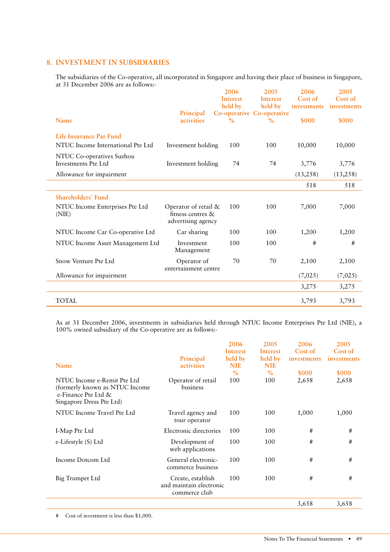# **8. INVESTMENT IN SUBSIDIARIES**

The subsidiaries of the Co-operative, all incorporated in Singapore and having their place of business in Singapore, at 31 December 2006 are as follows:-

|                                                  |                                                                 | 2006            | 2005                      | 2006        | 2005        |
|--------------------------------------------------|-----------------------------------------------------------------|-----------------|---------------------------|-------------|-------------|
|                                                  |                                                                 | <b>Interest</b> | <b>Interest</b>           | Cost of     | Cost of     |
|                                                  |                                                                 | held by         | held by                   | investments | investments |
|                                                  | Principal                                                       |                 | Co-operative Co-operative |             |             |
| Name                                             | activities                                                      | $\%$            | $\%$                      | \$000       | \$000       |
| Life Insurance Par Fund                          |                                                                 |                 |                           |             |             |
| NTUC Income International Pte Ltd                | Investment holding                                              | 100             | 100                       | 10,000      | 10,000      |
| NTUC Co-operatives Suzhou<br>Investments Pte Ltd | Investment holding                                              | 74              | 74                        | 3,776       | 3,776       |
| Allowance for impairment                         |                                                                 |                 |                           | (13,258)    | (13,258)    |
|                                                  |                                                                 |                 |                           | 518         | 518         |
| Shareholders' Fund                               |                                                                 |                 |                           |             |             |
| NTUC Income Enterprises Pte Ltd<br>(NIE)         | Operator of retail &<br>fitness centres &<br>advertising agency | 100             | 100                       | 7,000       | 7,000       |
| NTUC Income Car Co-operative Ltd                 | Car sharing                                                     | 100             | 100                       | 1,200       | 1,200       |
| NTUC Income Asset Management Ltd                 | Investment<br>Management                                        | 100             | 100                       | #           | #           |
| Snow Venture Pte Ltd                             | Operator of<br>entertainment centre                             | 70              | 70                        | 2,100       | 2,100       |
| Allowance for impairment                         |                                                                 |                 |                           | (7,025)     | (7,025)     |
|                                                  |                                                                 |                 |                           | 3,275       | 3,275       |
| <b>TOTAL</b>                                     |                                                                 |                 |                           | 3,793       | 3,793       |

As at 31 December 2006, investments in subsidiaries held through NTUC Income Enterprises Pte Ltd (NIE), a 100% owned subsidiary of the Co-operative are as follows:-

|                                                                                                                   |                                                               | 2006<br>Interest      | 2005<br>Interest      | 2006<br>Cost of | 2005<br>Cost of |
|-------------------------------------------------------------------------------------------------------------------|---------------------------------------------------------------|-----------------------|-----------------------|-----------------|-----------------|
| Name                                                                                                              | Principal<br>activities                                       | held by<br><b>NIE</b> | held by<br><b>NIE</b> | investments     | investments     |
|                                                                                                                   |                                                               | $\%$                  | $\%$                  | \$000           | \$000           |
| NTUC Income e-Remit Pte Ltd<br>(formerly known as NTUC Income)<br>e-Finance Pte Ltd &<br>Singapore Dress Pte Ltd) | Operator of retail<br>business                                | 100                   | 100                   | 2,658           | 2,658           |
| NTUC Income Travel Pte Ltd                                                                                        | Travel agency and<br>tour operator                            | 100                   | 100                   | 1,000           | 1,000           |
| I-Map Pte Ltd                                                                                                     | Electronic directories                                        | 100                   | 100                   | #               | #               |
| e-Lifestyle (S) Ltd                                                                                               | Development of<br>web applications                            | 100                   | 100                   | #               | $\#$            |
| Income Dotcom Ltd                                                                                                 | General electronic-<br>commerce business                      | 100                   | 100                   | #               | #               |
| Big Trumpet Ltd                                                                                                   | Create, establish<br>and maintain electronic<br>commerce club | 100                   | 100                   | #               | #               |
|                                                                                                                   |                                                               |                       |                       | 3,658           | 3,658           |

# Cost of investment is less than \$1,000.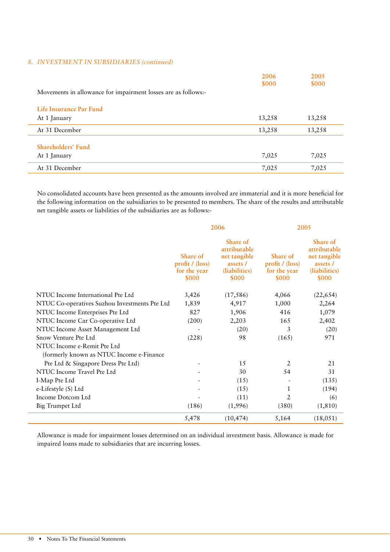#### *8. INVESTMENT IN SUBSIDIARIES (continued)*

|                                                               | 2006<br>\$000 | 2005<br>\$000 |
|---------------------------------------------------------------|---------------|---------------|
| Movements in allowance for impairment losses are as follows:- |               |               |
| Life Insurance Par Fund                                       |               |               |
| At 1 January                                                  | 13,258        | 13,258        |
| At 31 December                                                | 13,258        | 13,258        |
| Shareholders' Fund                                            |               |               |
| At 1 January                                                  | 7,025         | 7,025         |
| At 31 December                                                | 7,025         | 7,025         |

No consolidated accounts have been presented as the amounts involved are immaterial and it is more beneficial for the following information on the subsidiaries to be presented to members. The share of the results and attributable net tangible assets or liabilities of the subsidiaries are as follows:-

|                                                                         | 2006                                                        |                                                                                       | 2005                                                               |                                                                                |
|-------------------------------------------------------------------------|-------------------------------------------------------------|---------------------------------------------------------------------------------------|--------------------------------------------------------------------|--------------------------------------------------------------------------------|
|                                                                         | Share of<br>profit / (loss)<br>for the year<br><b>\$000</b> | Share of<br>attributable<br>net tangible<br>assets /<br>(liabilities)<br><b>\$000</b> | <b>Share of</b><br>profit / (loss)<br>for the year<br><b>\$000</b> | Share of<br>attributable<br>net tangible<br>assets /<br>(liabilities)<br>\$000 |
| NTUC Income International Pte Ltd                                       | 3,426                                                       | (17, 586)                                                                             | 4,066                                                              | (22, 654)                                                                      |
| NTUC Co-operatives Suzhou Investments Pte Ltd                           | 1,839                                                       | 4,917                                                                                 | 1,000                                                              | 2,264                                                                          |
| NTUC Income Enterprises Pte Ltd                                         | 827                                                         | 1,906                                                                                 | 416                                                                | 1,079                                                                          |
| NTUC Income Car Co-operative Ltd                                        | (200)                                                       | 2,203                                                                                 | 165                                                                | 2,402                                                                          |
| NTUC Income Asset Management Ltd                                        |                                                             | (20)                                                                                  | 3                                                                  | (20)                                                                           |
| Snow Venture Pte Ltd                                                    | (228)                                                       | 98                                                                                    | (165)                                                              | 971                                                                            |
| NTUC Income e-Remit Pte Ltd<br>(formerly known as NTUC Income e-Finance |                                                             |                                                                                       |                                                                    |                                                                                |
| Pte Ltd & Singapore Dress Pte Ltd)                                      | $\qquad \qquad \blacksquare$                                | 15                                                                                    | 2                                                                  | 21                                                                             |
| NTUC Income Travel Pte Ltd                                              |                                                             | 30                                                                                    | 54                                                                 | 31                                                                             |
| I-Map Pte Ltd                                                           |                                                             | (15)                                                                                  |                                                                    | (135)                                                                          |
| e-Lifestyle (S) Ltd                                                     |                                                             | (15)                                                                                  | $\mathbf{1}$                                                       | (194)                                                                          |
| Income Dotcom Ltd                                                       |                                                             | (11)                                                                                  | 2                                                                  | (6)                                                                            |
| Big Trumpet Ltd                                                         | (186)                                                       | (1,996)                                                                               | (380)                                                              | (1, 810)                                                                       |
|                                                                         | 5,478                                                       | (10, 474)                                                                             | 5,164                                                              | (18, 051)                                                                      |

Allowance is made for impairment losses determined on an individual investment basis. Allowance is made for impaired loans made to subsidiaries that are incurring losses.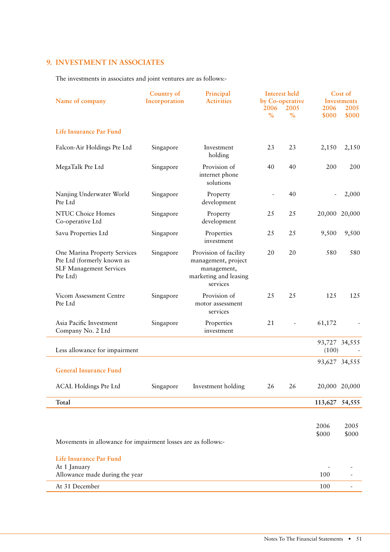# **9. INVESTMENT IN ASSOCIATES**

The investments in associates and joint ventures are as follows:-

| Name of company                                                                                          | <b>Country of</b><br>Incorporation | Principal<br><b>Activities</b>                                                                   | 2006<br>$\frac{0}{0}$ | Interest held<br>by Co-operative<br>2005<br>$\frac{0}{0}$ | 2006<br>\$000  | Cost of<br><b>Investments</b><br>2005<br>\$000 |
|----------------------------------------------------------------------------------------------------------|------------------------------------|--------------------------------------------------------------------------------------------------|-----------------------|-----------------------------------------------------------|----------------|------------------------------------------------|
| <b>Life Insurance Par Fund</b>                                                                           |                                    |                                                                                                  |                       |                                                           |                |                                                |
| Falcon-Air Holdings Pte Ltd                                                                              | Singapore                          | Investment<br>holding                                                                            | 23                    | 23                                                        | 2,150          | 2,150                                          |
| MegaTalk Pte Ltd                                                                                         | Singapore                          | Provision of<br>internet phone<br>solutions                                                      | 40                    | 40                                                        | 200            | 200                                            |
| Nanjing Underwater World<br>Pte Ltd                                                                      | Singapore                          | Property<br>development                                                                          |                       | 40                                                        | $\blacksquare$ | 2,000                                          |
| NTUC Choice Homes<br>Co-operative Ltd                                                                    | Singapore                          | Property<br>development                                                                          | 25                    | 25                                                        | 20,000         | 20,000                                         |
| Savu Properties Ltd                                                                                      | Singapore                          | Properties<br>investment                                                                         | 25                    | 25                                                        | 9,500          | 9,500                                          |
| One Marina Property Services<br>Pte Ltd (formerly known as<br><b>SLF Management Services</b><br>Pte Ltd) | Singapore                          | Provision of facility<br>management, project<br>management,<br>marketing and leasing<br>services | 20                    | 20                                                        | 580            | 580                                            |
| Vicom Assessment Centre<br>Pte Ltd                                                                       | Singapore                          | Provision of<br>motor assessment<br>services                                                     | 25                    | 25                                                        | 125            | 125                                            |
| Asia Pacific Investment<br>Company No. 2 Ltd                                                             | Singapore                          | Properties<br>investment                                                                         | 21                    |                                                           | 61,172         |                                                |
| Less allowance for impairment                                                                            |                                    |                                                                                                  |                       |                                                           | (100)          | 93,727 34,555                                  |
| <b>General Insurance Fund</b>                                                                            |                                    |                                                                                                  |                       |                                                           |                | 93,627 34,555                                  |
| <b>ACAL Holdings Pte Ltd</b>                                                                             | Singapore                          | Investment holding                                                                               | 26                    | 26                                                        |                | 20,000 20,000                                  |
| Total                                                                                                    |                                    |                                                                                                  |                       |                                                           | 113,627        | 54,555                                         |
|                                                                                                          |                                    |                                                                                                  |                       |                                                           |                |                                                |
|                                                                                                          |                                    |                                                                                                  |                       |                                                           | 2006           | 2005                                           |
| Movements in allowance for impairment losses are as follows:-                                            |                                    |                                                                                                  |                       |                                                           | \$000          | \$000                                          |
| Life Insurance Par Fund                                                                                  |                                    |                                                                                                  |                       |                                                           |                |                                                |
| At 1 January<br>Allowance made during the year                                                           |                                    |                                                                                                  |                       |                                                           | 100            |                                                |
| At 31 December                                                                                           |                                    |                                                                                                  |                       |                                                           | 100            | $\overline{\phantom{a}}$                       |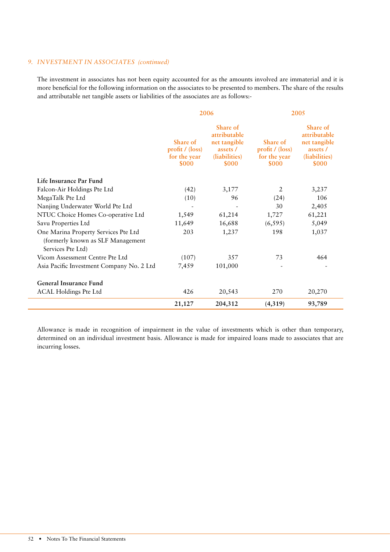#### 9. **INVESTMENT IN ASSOCIATES** (continued)

The investment in associates has not been equity accounted for as the amounts involved are immaterial and it is more beneficial for the following information on the associates to be presented to members. The share of the results and attributable net tangible assets or liabilities of the associates are as follows:-

|                                                                                                |                                                             | 2006                                                                           | 2005                                                        |                                                                                |  |
|------------------------------------------------------------------------------------------------|-------------------------------------------------------------|--------------------------------------------------------------------------------|-------------------------------------------------------------|--------------------------------------------------------------------------------|--|
|                                                                                                | Share of<br>profit / (loss)<br>for the year<br><b>\$000</b> | Share of<br>attributable<br>net tangible<br>assets /<br>(liabilities)<br>\$000 | Share of<br>profit / (loss)<br>for the year<br><b>\$000</b> | Share of<br>attributable<br>net tangible<br>assets /<br>(liabilities)<br>\$000 |  |
| Life Insurance Par Fund                                                                        |                                                             |                                                                                |                                                             |                                                                                |  |
| Falcon-Air Holdings Pte Ltd                                                                    | (42)                                                        | 3,177                                                                          | $\overline{2}$                                              | 3,237                                                                          |  |
| MegaTalk Pte Ltd                                                                               | (10)                                                        | 96                                                                             | (24)                                                        | 106                                                                            |  |
| Nanjing Underwater World Pte Ltd                                                               |                                                             | $\overline{\phantom{a}}$                                                       | 30                                                          | 2,405                                                                          |  |
| NTUC Choice Homes Co-operative Ltd                                                             | 1,549                                                       | 61,214                                                                         | 1,727                                                       | 61,221                                                                         |  |
| Savu Properties Ltd                                                                            | 11,649                                                      | 16,688                                                                         | (6, 595)                                                    | 5,049                                                                          |  |
| One Marina Property Services Pte Ltd<br>(formerly known as SLF Management<br>Services Pte Ltd) | 203                                                         | 1,237                                                                          | 198                                                         | 1,037                                                                          |  |
| Vicom Assessment Centre Pte Ltd                                                                | (107)                                                       | 357                                                                            | 73                                                          | 464                                                                            |  |
| Asia Pacific Investment Company No. 2 Ltd                                                      | 7,459                                                       | 101,000                                                                        |                                                             |                                                                                |  |
| <b>General Insurance Fund</b>                                                                  |                                                             |                                                                                |                                                             |                                                                                |  |
| <b>ACAL Holdings Pte Ltd</b>                                                                   | 426                                                         | 20,543                                                                         | 270                                                         | 20,270                                                                         |  |
|                                                                                                | 21,127                                                      | 204,312                                                                        | (4,319)                                                     | 93,789                                                                         |  |

Allowance is made in recognition of impairment in the value of investments which is other than temporary, determined on an individual investment basis. Allowance is made for impaired loans made to associates that are incurring losses.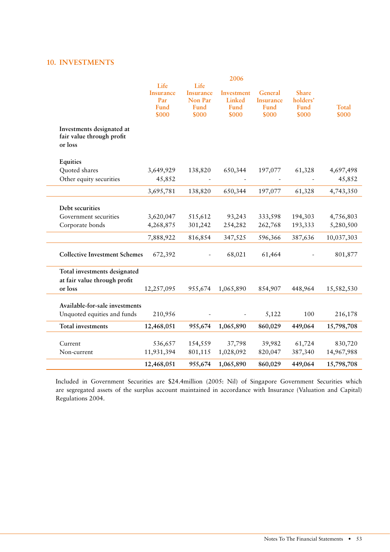# **10. INVESTMENTS**

|                                                                   |                                                  |                                                      | 2006                                  |                                              |                                           |                       |
|-------------------------------------------------------------------|--------------------------------------------------|------------------------------------------------------|---------------------------------------|----------------------------------------------|-------------------------------------------|-----------------------|
|                                                                   | Life<br><b>Insurance</b><br>Par<br>Fund<br>\$000 | Life<br><b>Insurance</b><br>Non Par<br>Fund<br>\$000 | Investment<br>Linked<br>Fund<br>\$000 | General<br><b>Insurance</b><br>Fund<br>\$000 | <b>Share</b><br>holders'<br>Fund<br>\$000 | <b>Total</b><br>\$000 |
| Investments designated at<br>fair value through profit<br>or loss |                                                  |                                                      |                                       |                                              |                                           |                       |
| Equities                                                          |                                                  |                                                      |                                       |                                              |                                           |                       |
| Quoted shares                                                     | 3,649,929                                        | 138,820                                              | 650,344                               | 197,077                                      | 61,328                                    | 4,697,498             |
| Other equity securities                                           | 45,852                                           |                                                      |                                       |                                              |                                           | 45,852                |
|                                                                   | 3,695,781                                        | 138,820                                              | 650,344                               | 197,077                                      | 61,328                                    | 4,743,350             |
| Debt securities                                                   |                                                  |                                                      |                                       |                                              |                                           |                       |
| Government securities                                             | 3,620,047                                        | 515,612                                              | 93,243                                | 333,598                                      | 194,303                                   | 4,756,803             |
| Corporate bonds                                                   | 4,268,875                                        | 301,242                                              | 254,282                               | 262,768                                      | 193,333                                   | 5,280,500             |
|                                                                   | 7,888,922                                        | 816,854                                              | 347,525                               | 596,366                                      | 387,636                                   | 10,037,303            |
| <b>Collective Investment Schemes</b>                              | 672,392                                          |                                                      | 68,021                                | 61,464                                       |                                           | 801,877               |
| Total investments designated<br>at fair value through profit      |                                                  |                                                      |                                       |                                              |                                           |                       |
| or loss                                                           | 12,257,095                                       | 955,674                                              | 1,065,890                             | 854,907                                      | 448,964                                   | 15,582,530            |
| Available-for-sale investments                                    |                                                  |                                                      |                                       |                                              |                                           |                       |
| Unquoted equities and funds                                       | 210,956                                          |                                                      |                                       | 5,122                                        | 100                                       | 216,178               |
| <b>Total investments</b>                                          | 12,468,051                                       | 955,674                                              | 1,065,890                             | 860,029                                      | 449,064                                   | 15,798,708            |
| Current                                                           | 536,657                                          | 154,559                                              | 37,798                                | 39,982                                       | 61,724                                    | 830,720               |
| Non-current                                                       | 11,931,394                                       | 801,115                                              | 1,028,092                             | 820,047                                      | 387,340                                   | 14,967,988            |
|                                                                   | 12,468,051                                       | 955,674                                              | 1,065,890                             | 860,029                                      | 449,064                                   | 15,798,708            |

Included in Government Securities are \$24.4million (2005: Nil) of Singapore Government Securities which are segregated assets of the surplus account maintained in accordance with Insurance (Valuation and Capital) Regulations 2004.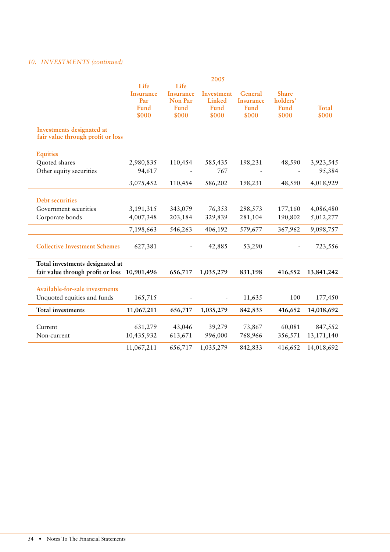# 10. **INVESTMENTS** (continued)

|                                                                                 |                                                  |                                                      | 2005                                  |                                              |                                           |                |
|---------------------------------------------------------------------------------|--------------------------------------------------|------------------------------------------------------|---------------------------------------|----------------------------------------------|-------------------------------------------|----------------|
|                                                                                 | Life<br><b>Insurance</b><br>Par<br>Fund<br>\$000 | Life<br><b>Insurance</b><br>Non Par<br>Fund<br>\$000 | Investment<br>Linked<br>Fund<br>\$000 | General<br><b>Insurance</b><br>Fund<br>\$000 | <b>Share</b><br>holders'<br>Fund<br>\$000 | Total<br>\$000 |
| Investments designated at<br>fair value through profit or loss                  |                                                  |                                                      |                                       |                                              |                                           |                |
| <b>Equities</b>                                                                 |                                                  |                                                      |                                       |                                              |                                           |                |
| Quoted shares                                                                   | 2,980,835                                        | 110,454                                              | 585,435                               | 198,231                                      | 48,590                                    | 3,923,545      |
| Other equity securities                                                         | 94,617                                           |                                                      | 767                                   |                                              |                                           | 95,384         |
|                                                                                 | 3,075,452                                        | 110,454                                              | 586,202                               | 198,231                                      | 48,590                                    | 4,018,929      |
| <b>Debt securities</b>                                                          |                                                  |                                                      |                                       |                                              |                                           |                |
| Government securities                                                           | 3,191,315                                        | 343,079                                              | 76,353                                | 298,573                                      | 177,160                                   | 4,086,480      |
| Corporate bonds                                                                 | 4,007,348                                        | 203,184                                              | 329,839                               | 281,104                                      | 190,802                                   | 5,012,277      |
|                                                                                 | 7,198,663                                        | 546,263                                              | 406,192                               | 579,677                                      | 367,962                                   | 9,098,757      |
| <b>Collective Investment Schemes</b>                                            | 627,381                                          |                                                      | 42,885                                | 53,290                                       |                                           | 723,556        |
| Total investments designated at<br>fair value through profit or loss 10,901,496 |                                                  | 656,717                                              | 1,035,279                             | 831,198                                      | 416,552                                   | 13,841,242     |
|                                                                                 |                                                  |                                                      |                                       |                                              |                                           |                |
| Available-for-sale investments                                                  |                                                  |                                                      |                                       |                                              |                                           |                |
| Unquoted equities and funds                                                     | 165,715                                          |                                                      |                                       | 11,635                                       | 100                                       | 177,450        |
| <b>Total investments</b>                                                        | 11,067,211                                       | 656,717                                              | 1,035,279                             | 842,833                                      | 416,652                                   | 14,018,692     |
| Current                                                                         | 631,279                                          | 43,046                                               | 39,279                                | 73,867                                       | 60,081                                    | 847,552        |
| Non-current                                                                     | 10,435,932                                       | 613,671                                              | 996,000                               | 768,966                                      | 356,571                                   | 13,171,140     |
|                                                                                 | 11,067,211                                       | 656,717                                              | 1,035,279                             | 842,833                                      | 416,652                                   | 14,018,692     |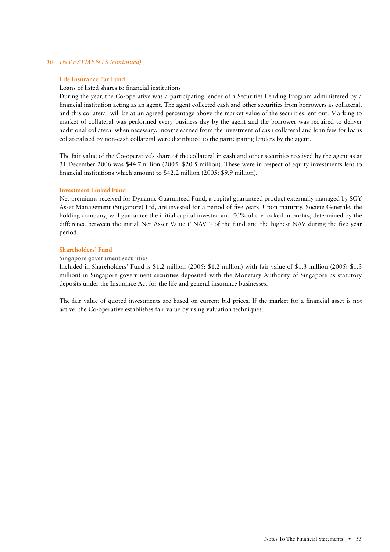#### *10. INVESTMENTS (continued)*

#### **Life Insurance Par Fund**

#### Loans of listed shares to financial institutions

During the year, the Co-operative was a participating lender of a Securities Lending Program administered by a financial institution acting as an agent. The agent collected cash and other securities from borrowers as collateral, and this collateral will be at an agreed percentage above the market value of the securities lent out. Marking to market of collateral was performed every business day by the agent and the borrower was required to deliver additional collateral when necessary. Income earned from the investment of cash collateral and loan fees for loans collateralised by non-cash collateral were distributed to the participating lenders by the agent.

The fair value of the Co-operative's share of the collateral in cash and other securities received by the agent as at 31 December 2006 was \$44.7million (2005: \$20.5 million). These were in respect of equity investments lent to financial institutions which amount to \$42.2 million (2005: \$9.9 million).

#### **Investment Linked Fund**

Net premiums received for Dynamic Guaranteed Fund, a capital guaranteed product externally managed by SGY Asset Management (Singapore) Ltd, are invested for a period of five years. Upon maturity, Societe Generale, the holding company, will guarantee the initial capital invested and 50% of the locked-in profits, determined by the difference between the initial Net Asset Value ("NAV") of the fund and the highest NAV during the five year period.

#### **Shareholders' Fund**

#### **Singapore government securities**

Included in Shareholders' Fund is \$1.2 million (2005: \$1.2 million) with fair value of \$1.3 million (2005: \$1.3 million) in Singapore government securities deposited with the Monetary Authority of Singapore as statutory deposits under the Insurance Act for the life and general insurance businesses.

The fair value of quoted investments are based on current bid prices. If the market for a financial asset is not active, the Co-operative establishes fair value by using valuation techniques.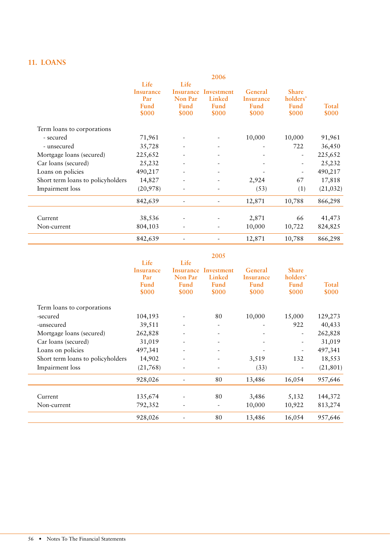# **11. LOANS**

|                                   |                                                  |                                                      | 2006                                  |                                       |                                                  |                |
|-----------------------------------|--------------------------------------------------|------------------------------------------------------|---------------------------------------|---------------------------------------|--------------------------------------------------|----------------|
|                                   | Life<br><b>Insurance</b><br>Par<br>Fund<br>\$000 | Life<br>Insurance<br>Non Par<br><b>Fund</b><br>\$000 | Investment<br>Linked<br>Fund<br>\$000 | General<br>Insurance<br>Fund<br>\$000 | <b>Share</b><br>holders'<br><b>Fund</b><br>\$000 | Total<br>\$000 |
| Term loans to corporations        |                                                  |                                                      |                                       |                                       |                                                  |                |
| - secured                         | 71,961                                           | $\overline{\phantom{a}}$                             |                                       | 10,000                                | 10,000                                           | 91,961         |
| - unsecured                       | 35,728                                           |                                                      | -                                     |                                       | 722                                              | 36,450         |
| Mortgage loans (secured)          | 225,652                                          |                                                      | $\qquad \qquad \blacksquare$          |                                       |                                                  | 225,652        |
| Car loans (secured)               | 25,232                                           |                                                      |                                       |                                       |                                                  | 25,232         |
| Loans on policies                 | 490,217                                          |                                                      | ٠                                     |                                       |                                                  | 490,217        |
| Short term loans to policyholders | 14,827                                           |                                                      |                                       | 2,924                                 | 67                                               | 17,818         |
| Impairment loss                   | (20, 978)                                        |                                                      |                                       | (53)                                  | (1)                                              | (21, 032)      |
|                                   | 842,639                                          |                                                      |                                       | 12,871                                | 10,788                                           | 866,298        |
| Current                           | 38,536                                           |                                                      |                                       | 2,871                                 | 66                                               | 41,473         |
| Non-current                       | 804,103                                          |                                                      |                                       | 10,000                                | 10,722                                           | 824,825        |
|                                   | 842,639                                          |                                                      |                                       | 12,871                                | 10,788                                           | 866,298        |

|                                   |                                                         |                                                      | 2005                                         |                                       |                                           |                |
|-----------------------------------|---------------------------------------------------------|------------------------------------------------------|----------------------------------------------|---------------------------------------|-------------------------------------------|----------------|
|                                   | Life<br><b>Insurance</b><br>Par<br><b>Fund</b><br>\$000 | Life<br>Insurance<br>Non Par<br><b>Fund</b><br>\$000 | Investment<br>Linked<br><b>Fund</b><br>\$000 | General<br>Insurance<br>Fund<br>\$000 | <b>Share</b><br>holders'<br>Fund<br>\$000 | Total<br>\$000 |
| Term loans to corporations        |                                                         |                                                      |                                              |                                       |                                           |                |
| -secured                          | 104,193                                                 |                                                      | 80                                           | 10,000                                | 15,000                                    | 129,273        |
| -unsecured                        | 39,511                                                  |                                                      | -                                            |                                       | 922                                       | 40,433         |
| Mortgage loans (secured)          | 262,828                                                 |                                                      | $\qquad \qquad \blacksquare$                 |                                       | ۰                                         | 262,828        |
| Car loans (secured)               | 31,019                                                  |                                                      | $\qquad \qquad \blacksquare$                 |                                       |                                           | 31,019         |
| Loans on policies                 | 497,341                                                 |                                                      | ٠                                            |                                       |                                           | 497,341        |
| Short term loans to policyholders | 14,902                                                  | $\overline{\phantom{a}}$                             |                                              | 3,519                                 | 132                                       | 18,553         |
| Impairment loss                   | (21,768)                                                | $\overline{\phantom{a}}$                             | $\qquad \qquad \blacksquare$                 | (33)                                  |                                           | (21, 801)      |
|                                   | 928,026                                                 | $\sim$                                               | 80                                           | 13,486                                | 16,054                                    | 957,646        |
| Current                           | 135,674                                                 |                                                      | 80                                           | 3,486                                 | 5,132                                     | 144,372        |
| Non-current                       | 792,352                                                 |                                                      | -                                            | 10,000                                | 10,922                                    | 813,274        |
|                                   | 928,026                                                 |                                                      | 80                                           | 13,486                                | 16,054                                    | 957,646        |

#### 56 • Notes To The Financial Statements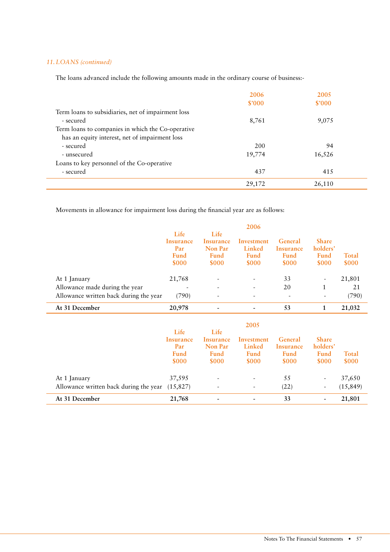### 11. LOANS (continued)

The loans advanced include the following amounts made in the ordinary course of business:-

|                                                    | 2006   | 2005   |  |
|----------------------------------------------------|--------|--------|--|
|                                                    | \$'000 | \$'000 |  |
| Term loans to subsidiaries, net of impairment loss |        |        |  |
| - secured                                          | 8,761  | 9,075  |  |
| Term loans to companies in which the Co-operative  |        |        |  |
| has an equity interest, net of impairment loss     |        |        |  |
| - secured                                          | 200    | 94     |  |
| - unsecured                                        | 19,774 | 16,526 |  |
| Loans to key personnel of the Co-operative         |        |        |  |
| - secured                                          | 437    | 415    |  |
|                                                    | 29,172 | 26,110 |  |

Movements in allowance for impairment loss during the financial year are as follows:

|                                        |                  |                              | 2006       |                          |                          |              |
|----------------------------------------|------------------|------------------------------|------------|--------------------------|--------------------------|--------------|
|                                        | Life             | Life                         |            |                          |                          |              |
|                                        | Insurance        | Insurance                    | Investment | General                  | <b>Share</b>             |              |
|                                        | Par              | Non Par                      | Linked     | Insurance                | holders'                 |              |
|                                        | Fund             | <b>Fund</b>                  | Fund       | Fund                     | Fund                     | Total        |
|                                        | \$000            | \$000                        | \$000      | \$000                    | \$000                    | \$000        |
| At 1 January                           | 21,768           |                              |            | 33                       | $\overline{\phantom{a}}$ | 21,801       |
|                                        |                  |                              |            | 20                       | 1                        | 21           |
| Allowance made during the year         | -                |                              |            |                          |                          |              |
| Allowance written back during the year | (790)            | $\qquad \qquad \blacksquare$ | ٠          | $\overline{\phantom{a}}$ |                          | (790)        |
| At 31 December                         | 20,978           |                              |            | 53                       | 1                        | 21,032       |
|                                        |                  |                              |            |                          |                          |              |
|                                        |                  |                              | 2005       |                          |                          |              |
|                                        | Life             | Life                         |            |                          |                          |              |
|                                        | <b>Insurance</b> | Insurance                    | Investment | General                  | <b>Share</b>             |              |
|                                        | Par              | Non Par                      | Linked     | Insurance                | holders'                 |              |
|                                        | Fund             | Fund                         | Fund       | Fund                     | Fund                     | Total        |
|                                        | \$000            | \$000                        | \$000      | \$000                    | <b>\$000</b>             | <b>\$000</b> |

At 1 January 37,595 - 55 - 37,650 Allowance written back during the year (15,827) - (22) (23) (15,849) At 31 December 21,768 - 33 - 21,801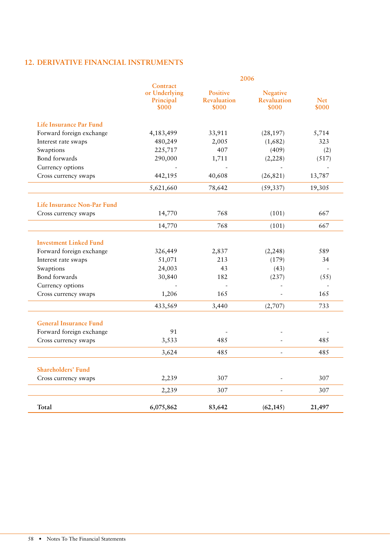# 12. DERIVATIVE FINANCIAL INSTRUMENTS

|                               |                                                 |                                                | 2006                                           |                     |
|-------------------------------|-------------------------------------------------|------------------------------------------------|------------------------------------------------|---------------------|
|                               | Contract<br>or Underlying<br>Principal<br>\$000 | <b>Positive</b><br><b>Revaluation</b><br>\$000 | <b>Negative</b><br><b>Revaluation</b><br>\$000 | <b>Net</b><br>\$000 |
| Life Insurance Par Fund       |                                                 |                                                |                                                |                     |
| Forward foreign exchange      | 4,183,499                                       | 33,911                                         | (28, 197)                                      | 5,714               |
| Interest rate swaps           | 480,249                                         | 2,005                                          | (1,682)                                        | 323                 |
| Swaptions                     | 225,717                                         | 407                                            | (409)                                          | (2)                 |
| Bond forwards                 | 290,000                                         | 1,711                                          | (2,228)                                        | (517)               |
| Currency options              |                                                 |                                                |                                                |                     |
| Cross currency swaps          | 442,195                                         | 40,608                                         | (26, 821)                                      | 13,787              |
|                               | 5,621,660                                       | 78,642                                         | (59, 337)                                      | 19,305              |
| Life Insurance Non-Par Fund   |                                                 |                                                |                                                |                     |
| Cross currency swaps          | 14,770                                          | 768                                            | (101)                                          | 667                 |
|                               | 14,770                                          | 768                                            | (101)                                          | 667                 |
| <b>Investment Linked Fund</b> |                                                 |                                                |                                                |                     |
| Forward foreign exchange      | 326,449                                         | 2,837                                          | (2,248)                                        | 589                 |
| Interest rate swaps           | 51,071                                          | 213                                            | (179)                                          | 34                  |
| Swaptions                     | 24,003                                          | 43                                             | (43)                                           |                     |
| Bond forwards                 | 30,840                                          | 182                                            | (237)                                          | (55)                |
| Currency options              |                                                 | $\overline{\phantom{a}}$                       |                                                |                     |
| Cross currency swaps          | 1,206                                           | 165                                            |                                                | 165                 |
|                               | 433,569                                         | 3,440                                          | (2,707)                                        | 733                 |
| <b>General Insurance Fund</b> |                                                 |                                                |                                                |                     |
| Forward foreign exchange      | 91                                              |                                                |                                                |                     |
| Cross currency swaps          | 3,533                                           | 485                                            |                                                | 485                 |
|                               | 3,624                                           | 485                                            |                                                | 485                 |
| <b>Shareholders' Fund</b>     |                                                 |                                                |                                                |                     |
| Cross currency swaps          | 2,239                                           | 307                                            |                                                | 307                 |
|                               | 2,239                                           | 307                                            |                                                | 307                 |
| Total                         | 6,075,862                                       | 83,642                                         | (62, 145)                                      | 21,497              |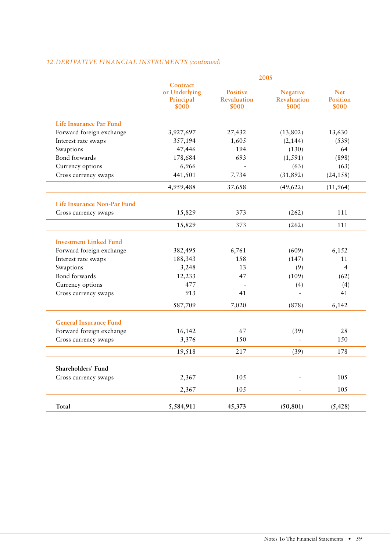# *12. DERIVATIVE FINANCIAL INSTRUMENTS (continued)*

|                                |                                                 |                                                | 2005                                           |                                        |
|--------------------------------|-------------------------------------------------|------------------------------------------------|------------------------------------------------|----------------------------------------|
|                                | Contract<br>or Underlying<br>Principal<br>\$000 | <b>Positive</b><br><b>Revaluation</b><br>\$000 | <b>Negative</b><br><b>Revaluation</b><br>\$000 | <b>Net</b><br><b>Position</b><br>\$000 |
| <b>Life Insurance Par Fund</b> |                                                 |                                                |                                                |                                        |
| Forward foreign exchange       | 3,927,697                                       | 27,432                                         | (13,802)                                       | 13,630                                 |
| Interest rate swaps            | 357,194                                         | 1,605                                          | (2, 144)                                       | (539)                                  |
| Swaptions                      | 47,446                                          | 194                                            | (130)                                          | 64                                     |
| Bond forwards                  | 178,684                                         | 693                                            | (1, 591)                                       | (898)                                  |
| Currency options               | 6,966                                           |                                                | (63)                                           | (63)                                   |
| Cross currency swaps           | 441,501                                         | 7,734                                          | (31,892)                                       | (24, 158)                              |
|                                | 4,959,488                                       | 37,658                                         | (49, 622)                                      | (11,964)                               |
| Life Insurance Non-Par Fund    |                                                 |                                                |                                                |                                        |
| Cross currency swaps           | 15,829                                          | 373                                            | (262)                                          | 111                                    |
|                                | 15,829                                          | 373                                            | (262)                                          | 111                                    |
| <b>Investment Linked Fund</b>  |                                                 |                                                |                                                |                                        |
| Forward foreign exchange       | 382,495                                         | 6,761                                          | (609)                                          | 6,152                                  |
| Interest rate swaps            | 188,343                                         | 158                                            | (147)                                          | 11                                     |
| Swaptions                      | 3,248                                           | 13                                             | (9)                                            | $\overline{4}$                         |
| Bond forwards                  | 12,233                                          | 47                                             | (109)                                          | (62)                                   |
| Currency options               | 477                                             |                                                | (4)                                            | (4)                                    |
| Cross currency swaps           | 913                                             | 41                                             | $\Box$                                         | 41                                     |
|                                | 587,709                                         | 7,020                                          | (878)                                          | 6,142                                  |
| <b>General Insurance Fund</b>  |                                                 |                                                |                                                |                                        |
| Forward foreign exchange       | 16,142                                          | 67                                             | (39)                                           | 28                                     |
| Cross currency swaps           | 3,376                                           | 150                                            | $\sim$                                         | 150                                    |
|                                | 19,518                                          | 217                                            | (39)                                           | 178                                    |
| Shareholders' Fund             |                                                 |                                                |                                                |                                        |
| Cross currency swaps           | 2,367                                           | 105                                            | $\overline{a}$                                 | 105                                    |
|                                | 2,367                                           | 105                                            |                                                | 105                                    |
| Total                          | 5,584,911                                       | 45,373                                         | (50, 801)                                      | (5, 428)                               |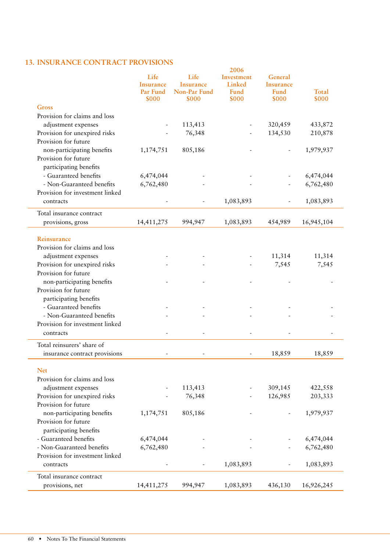| <b>13. INSURANCE CONTRACT PROVISIONS</b>      |                                            |                                                      |                                       |                                     |
|-----------------------------------------------|--------------------------------------------|------------------------------------------------------|---------------------------------------|-------------------------------------|
| Life<br><b>Insurance</b><br>Par Fund<br>\$000 | Life<br>Insurance<br>Non-Par Fund<br>\$000 | 2006<br>Investment<br>Linked<br><b>Fund</b><br>\$000 | General<br>Insurance<br>Fund<br>\$000 | Total<br>\$000                      |
|                                               |                                            |                                                      |                                       |                                     |
|                                               | 113,413<br>76,348                          |                                                      | 320,459<br>134,530                    | 433,872<br>210,878                  |
| 1,174,751                                     | 805,186                                    |                                                      |                                       | 1,979,937                           |
|                                               |                                            |                                                      |                                       | 6,474,044                           |
| 6,762,480                                     |                                            |                                                      |                                       | 6,762,480                           |
|                                               |                                            | 1,083,893                                            |                                       | 1,083,893                           |
| 14,411,275                                    | 994,947                                    | 1,083,893                                            | 454,989                               | 16,945,104                          |
|                                               |                                            |                                                      |                                       | 11,314                              |
|                                               |                                            |                                                      | 7,545                                 | 7,545                               |
|                                               |                                            |                                                      |                                       |                                     |
|                                               |                                            |                                                      |                                       |                                     |
|                                               |                                            |                                                      |                                       |                                     |
|                                               |                                            |                                                      | 18,859                                | 18,859                              |
|                                               | 113,413<br>76,348                          |                                                      | 309,145<br>126,985                    | 422,558<br>203,333                  |
| 1,174,751                                     | 805,186                                    |                                                      |                                       | 1,979,937                           |
| 6,474,044<br>6,762,480                        |                                            | 1,083,893                                            |                                       | 6,474,044<br>6,762,480<br>1,083,893 |
| 14,411,275                                    | 994,947                                    | 1,083,893                                            | 436,130                               | 16,926,245                          |
|                                               | 6,474,044                                  |                                                      |                                       | 11,314                              |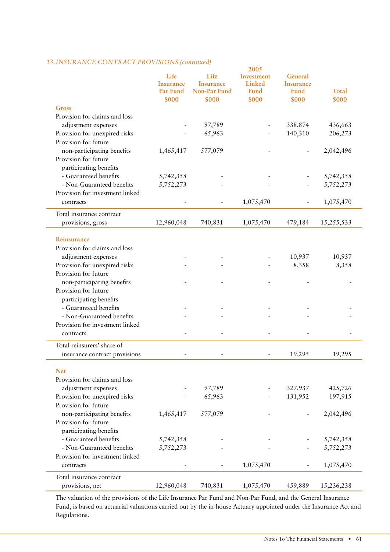# 13. INSURANCE CONTRACT PROVISIONS (continued)

|                                 |            |                          | 2005       |                  |              |
|---------------------------------|------------|--------------------------|------------|------------------|--------------|
|                                 | Life       | Life                     | Investment | General          |              |
|                                 | Insurance  | <b>Insurance</b>         | Linked     | <b>Insurance</b> |              |
|                                 | Par Fund   | Non-Par Fund             | Fund       | <b>Fund</b>      | <b>Total</b> |
|                                 | \$000      | \$000                    | \$000      | \$000            | \$000        |
| <b>Gross</b>                    |            |                          |            |                  |              |
| Provision for claims and loss   |            |                          |            |                  |              |
| adjustment expenses             |            | 97,789                   |            | 338,874          | 436,663      |
| Provision for unexpired risks   |            | 65,963                   |            | 140,310          | 206,273      |
| Provision for future            |            |                          |            |                  |              |
| non-participating benefits      | 1,465,417  | 577,079                  |            |                  | 2,042,496    |
| Provision for future            |            |                          |            |                  |              |
| participating benefits          |            |                          |            |                  |              |
| - Guaranteed benefits           | 5,742,358  |                          |            |                  | 5,742,358    |
| - Non-Guaranteed benefits       | 5,752,273  |                          |            |                  | 5,752,273    |
| Provision for investment linked |            |                          |            |                  |              |
| contracts                       |            | $\overline{\phantom{a}}$ | 1,075,470  |                  | 1,075,470    |
|                                 |            |                          |            |                  |              |
| Total insurance contract        |            |                          |            |                  |              |
| provisions, gross               | 12,960,048 | 740,831                  | 1,075,470  | 479,184          | 15,255,533   |
|                                 |            |                          |            |                  |              |
| Reinsurance                     |            |                          |            |                  |              |
| Provision for claims and loss   |            |                          |            |                  |              |
| adjustment expenses             |            |                          |            | 10,937           | 10,937       |
| Provision for unexpired risks   |            |                          |            | 8,358            | 8,358        |
| Provision for future            |            |                          |            |                  |              |
| non-participating benefits      |            |                          |            |                  |              |
| Provision for future            |            |                          |            |                  |              |
| participating benefits          |            |                          |            |                  |              |
| - Guaranteed benefits           |            |                          |            |                  |              |
| - Non-Guaranteed benefits       |            |                          |            |                  |              |
| Provision for investment linked |            |                          |            |                  |              |
| contracts                       |            |                          |            |                  |              |
|                                 |            |                          |            |                  |              |
| Total reinsurers' share of      |            |                          |            |                  |              |
| insurance contract provisions   |            |                          |            | 19,295           | 19,295       |
|                                 |            |                          |            |                  |              |
| <b>Net</b>                      |            |                          |            |                  |              |
| Provision for claims and loss   |            |                          |            |                  |              |
| adjustment expenses             |            | 97,789                   |            | 327,937          | 425,726      |
| Provision for unexpired risks   |            | 65,963                   |            | 131,952          | 197,915      |
| Provision for future            |            |                          |            |                  |              |
| non-participating benefits      | 1,465,417  | 577,079                  |            |                  | 2,042,496    |
| Provision for future            |            |                          |            |                  |              |
| participating benefits          |            |                          |            |                  |              |
| - Guaranteed benefits           | 5,742,358  |                          |            |                  | 5,742,358    |
| - Non-Guaranteed benefits       | 5,752,273  |                          |            |                  | 5,752,273    |
| Provision for investment linked |            |                          |            |                  |              |
| contracts                       |            | $\blacksquare$           | 1,075,470  |                  | 1,075,470    |
| Total insurance contract        |            |                          |            |                  |              |
| provisions, net                 | 12,960,048 | 740,831                  | 1,075,470  | 459,889          | 15,236,238   |
|                                 |            |                          |            |                  |              |

The valuation of the provisions of the Life Insurance Par Fund and Non-Par Fund, and the General Insurance Fund, is based on actuarial valuations carried out by the in-house Actuary appointed under the Insurance Act and Regulations.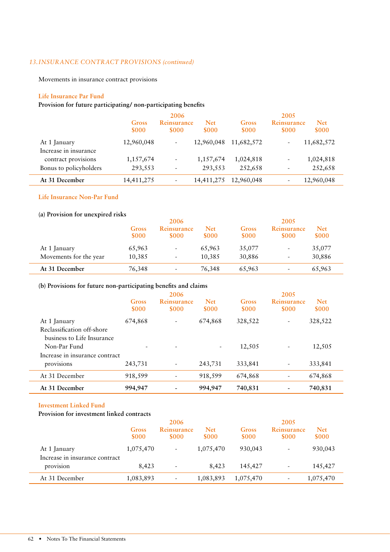# 13. INSURANCE CONTRACT PROVISIONS (continued)

Movements in insurance contract provisions

#### **Life Insurance Par Fund**

# **Provision for future participating/ non-participating benefits**

|                                       |                | 2006                       |                     | 2005           |                             |                     |  |
|---------------------------------------|----------------|----------------------------|---------------------|----------------|-----------------------------|---------------------|--|
|                                       | Gross<br>\$000 | Reinsurance<br><b>SOOO</b> | <b>Net</b><br>\$000 | Gross<br>\$000 | Reinsurance<br><b>\$000</b> | <b>Net</b><br>\$000 |  |
| At 1 January<br>Increase in insurance | 12,960,048     | $\overline{\phantom{a}}$   | 12,960,048          | 11,682,572     |                             | 11,682,572          |  |
| contract provisions                   | 1,157,674      | $\frac{1}{2}$              | 1,157,674           | 1,024,818      |                             | 1,024,818           |  |
| Bonus to policyholders                | 293,553        | $\overline{\phantom{a}}$   | 293,553             | 252,658        |                             | 252,658             |  |
| At 31 December                        | 14,411,275     | $\overline{\phantom{0}}$   | 14,411,275          | 12,960,048     |                             | 12,960,048          |  |

#### **Life Insurance Non-Par Fund**

#### **(a) Provision for unexpired risks**

|                        |                | 2006                       |                     |                | 2005                        |                     |
|------------------------|----------------|----------------------------|---------------------|----------------|-----------------------------|---------------------|
|                        | Gross<br>\$000 | Reinsurance<br><b>SOOO</b> | <b>Net</b><br>\$000 | Gross<br>\$000 | Reinsurance<br><b>\$000</b> | <b>Net</b><br>\$000 |
| At 1 January           | 65,963         | -                          | 65,963              | 35,077         | $\overline{\phantom{a}}$    | 35,077              |
| Movements for the year | 10,385         |                            | 10,385              | 30,886         | $\overline{\phantom{a}}$    | 30,886              |
| At 31 December         | 76,348         | $\overline{\phantom{a}}$   | 76,348              | 65,963         | $\overline{\phantom{a}}$    | 65,963              |

#### **(b) Provisions for future non-participating benefits and claims**

|                                |         | 2006                     |                          |             | 2005                     |            |
|--------------------------------|---------|--------------------------|--------------------------|-------------|--------------------------|------------|
|                                | Gross   | Reinsurance              | <b>Net</b>               | Gross       | Reinsurance              | <b>Net</b> |
|                                | \$000   | \$000                    | \$000                    | <b>SOOO</b> | <b>\$000</b>             | \$000      |
| At 1 January                   | 674,868 | ۰                        | 674,868                  | 328,522     | $\overline{\phantom{a}}$ | 328,522    |
| Reclassification off-shore     |         |                          |                          |             |                          |            |
| business to Life Insurance     |         |                          |                          |             |                          |            |
| Non-Par Fund                   |         |                          | $\overline{\phantom{a}}$ | 12,505      | $\overline{a}$           | 12,505     |
| Increase in insurance contract |         |                          |                          |             |                          |            |
| provisions                     | 243,731 | $\overline{\phantom{a}}$ | 243,731                  | 333,841     | $\overline{a}$           | 333,841    |
| At 31 December                 | 918,599 |                          | 918,599                  | 674,868     | $\overline{a}$           | 674,868    |
| At 31 December                 | 994,947 |                          | 994,947                  | 740,831     |                          | 740,831    |

#### **Investment Linked Fund**

# **Provision for investment linked contracts**

|                                                |                | 2006                     |                     |                | 2005                     |                     |
|------------------------------------------------|----------------|--------------------------|---------------------|----------------|--------------------------|---------------------|
|                                                | Gross<br>\$000 | Reinsurance<br>\$000     | <b>Net</b><br>\$000 | Gross<br>\$000 | Reinsurance<br>\$000     | <b>Net</b><br>\$000 |
| At 1 January<br>Increase in insurance contract | 1,075,470      | -                        | 1,075,470           | 930,043        | $\overline{\phantom{a}}$ | 930,043             |
| provision                                      | 8,423          | $\overline{\phantom{a}}$ | 8,423               | 145,427        | $\overline{\phantom{a}}$ | 145,427             |
| At 31 December                                 | 1,083,893      | $\overline{\phantom{a}}$ | 1,083,893           | 1,075,470      | $\overline{\phantom{a}}$ | 1,075,470           |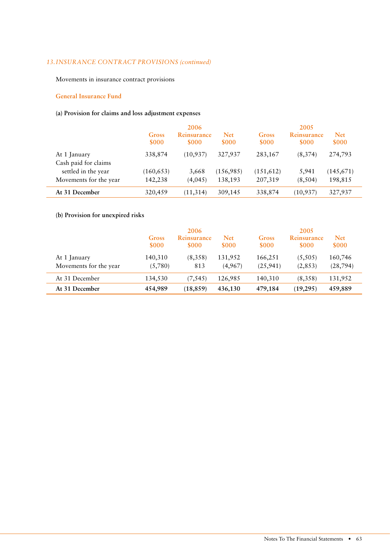# 13. INSURANCE CONTRACT PROVISIONS (continued)

Movements in insurance contract provisions

#### **General Insurance Fund**

# **(a) Provision for claims and loss adjustment expenses**

|                                      |                | 2006                 |                     |                | 2005                       |                     |
|--------------------------------------|----------------|----------------------|---------------------|----------------|----------------------------|---------------------|
|                                      | Gross<br>\$000 | Reinsurance<br>\$000 | <b>Net</b><br>\$000 | Gross<br>\$000 | Reinsurance<br><b>SOOO</b> | <b>Net</b><br>\$000 |
| At 1 January<br>Cash paid for claims | 338,874        | (10, 937)            | 327,937             | 283,167        | (8,374)                    | 274,793             |
| settled in the year                  | (160, 653)     | 3,668                | (156,985)           | (151, 612)     | 5,941                      | (145,671)           |
| Movements for the year               | 142,238        | (4,045)              | 138,193             | 207,319        | (8,504)                    | 198,815             |
| At 31 December                       | 320,459        | (11, 314)            | 309,145             | 338,874        | (10, 937)                  | 327,937             |

# **(b) Provision for unexpired risks**

|                                        | Gross<br>\$000     | 2006<br>Reinsurance<br>\$000 | <b>Net</b><br><b>\$000</b> | Gross<br>\$000       | 2005<br>Reinsurance<br><b>SOOO</b> | <b>Net</b><br>\$000  |
|----------------------------------------|--------------------|------------------------------|----------------------------|----------------------|------------------------------------|----------------------|
| At 1 January<br>Movements for the year | 140,310<br>(5,780) | (8,358)<br>813               | 131,952<br>(4,967)         | 166,251<br>(25, 941) | (5,505)<br>(2,853)                 | 160,746<br>(28, 794) |
| At 31 December                         | 134,530            | (7, 545)                     | 126,985                    | 140,310              | (8,358)                            | 131,952              |
| At 31 December                         | 454,989            | (18, 859)                    | 436,130                    | 479,184              | (19, 295)                          | 459,889              |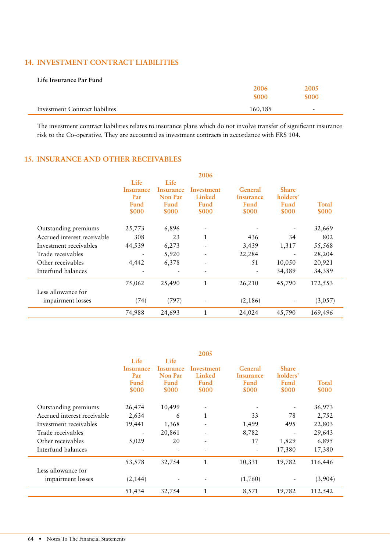# 14. INVESTMENT CONTRACT LIABILITIES

| Life Insurance Par Fund        |         |        |
|--------------------------------|---------|--------|
|                                | 2006    | 2005   |
|                                | \$000   | \$000  |
| Investment Contract liabilites | 160,185 | $\sim$ |

The investment contract liabilities relates to insurance plans which do not involve transfer of significant insurance risk to the Co-operative. They are accounted as investment contracts in accordance with FRS 104.

#### 15. INSURANCE AND OTHER RECEIVABLES

|                             |                          |           | 2006                     |           |                          |         |
|-----------------------------|--------------------------|-----------|--------------------------|-----------|--------------------------|---------|
|                             | Life                     | Life      |                          |           |                          |         |
|                             | Insurance                | Insurance | Investment               | General   | <b>Share</b>             |         |
|                             | Par                      | Non Par   | Linked                   | Insurance | holders'                 |         |
|                             | Fund                     | Fund      | Fund                     | Fund      | Fund                     | Total   |
|                             | \$000                    | \$000     | \$000                    | \$000     | \$000                    | \$000   |
| Outstanding premiums        | 25,773                   | 6,896     |                          |           |                          | 32,669  |
| Accrued interest receivable | 308                      | 23        | $\mathbf{1}$             | 436       | 34                       | 802     |
| Investment receivables      | 44,539                   | 6,273     |                          | 3,439     | 1,317                    | 55,568  |
| Trade receivables           | $\overline{\phantom{a}}$ | 5,920     |                          | 22,284    | $\overline{\phantom{a}}$ | 28,204  |
| Other receivables           | 4,442                    | 6,378     | $\overline{\phantom{a}}$ | 51        | 10,050                   | 20,921  |
| Interfund balances          |                          |           |                          |           | 34,389                   | 34,389  |
|                             | 75,062                   | 25,490    | 1                        | 26,210    | 45,790                   | 172,553 |
| Less allowance for          |                          |           |                          |           |                          |         |
| impairment losses           | (74)                     | (797)     |                          | (2,186)   |                          | (3,057) |
|                             | 74,988                   | 24,693    | 1                        | 24,024    | 45,790                   | 169,496 |

|                             |                              |           | 2005         |                          |                          |         |
|-----------------------------|------------------------------|-----------|--------------|--------------------------|--------------------------|---------|
|                             | Life                         | Life      |              |                          |                          |         |
|                             | Insurance                    | Insurance | Investment   | General                  | <b>Share</b>             |         |
|                             | Par                          | Non Par   | Linked       | Insurance                | holders'                 |         |
|                             | Fund                         | Fund      | Fund         | Fund                     | Fund                     | Total   |
|                             | \$000                        | \$000     | \$000        | \$000                    | \$000                    | \$000   |
| Outstanding premiums        | 26,474                       | 10,499    |              |                          |                          | 36,973  |
| Accrued interest receivable | 2,634                        | 6         | 1            | 33                       | 78                       | 2,752   |
| Investment receivables      | 19,441                       | 1,368     |              | 1,499                    | 495                      | 22,803  |
| Trade receivables           | $\qquad \qquad \blacksquare$ | 20,861    |              | 8,782                    | $\overline{\phantom{a}}$ | 29,643  |
| Other receivables           | 5,029                        | 20        |              | 17                       | 1,829                    | 6,895   |
| Interfund balances          |                              |           |              | $\overline{\phantom{a}}$ | 17,380                   | 17,380  |
|                             | 53,578                       | 32,754    | $\mathbf{1}$ | 10,331                   | 19,782                   | 116,446 |
| Less allowance for          |                              |           |              |                          |                          |         |
| impairment losses           | (2, 144)                     |           |              | (1,760)                  |                          | (3,904) |
|                             | 51,434                       | 32,754    | 1            | 8,571                    | 19,782                   | 112,542 |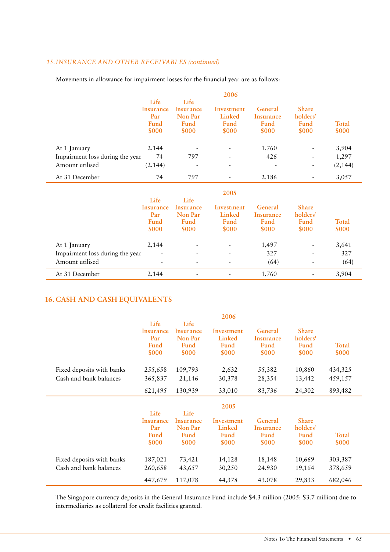## *15. INSURANCE AND OTHER RECEIVABLES (continued)*

| Movements in allowance for impairment losses for the financial year are as follows: |
|-------------------------------------------------------------------------------------|
|-------------------------------------------------------------------------------------|

|                                 |                  |           | 2006       |           |              |              |
|---------------------------------|------------------|-----------|------------|-----------|--------------|--------------|
|                                 | Life             | Life      |            |           |              |              |
|                                 | <b>Insurance</b> | Insurance | Investment | General   | <b>Share</b> |              |
|                                 | Par              | Non Par   | Linked     | Insurance | holders'     |              |
|                                 | Fund             | Fund      | Fund       | Fund      | <b>Fund</b>  | <b>Total</b> |
|                                 | \$000            | \$000     | \$000      | \$000     | \$000        | \$000        |
| At 1 January                    | 2,144            |           |            | 1,760     |              | 3,904        |
| Impairment loss during the year | 74               | 797       |            | 426       |              | 1,297        |
| Amount utilised                 | (2, 144)         |           |            |           |              | (2, 144)     |
| At 31 December                  | 74               | 797       | -          | 2,186     |              | 3,057        |
|                                 |                  |           | 2005       |           |              |              |
|                                 | Life             | Life      |            |           |              |              |
|                                 | Insurance        | Insurance | Investment | General   | <b>Share</b> |              |
|                                 | Par              | Non Par   | Linked     | Insurance | holders'     |              |
|                                 | Fund             | Fund      | Fund       | Fund      | <b>Fund</b>  | <b>Total</b> |
|                                 | \$000            | \$000     | \$000      | \$000     | \$000        | \$000        |
| At 1 January                    | 2,144            |           |            | 1,497     |              | 3,641        |
| Impairment loss during the year |                  |           |            | 327       |              | 327          |
| Amount utilised                 |                  | -         |            | (64)      |              | (64)         |
| At 31 December                  |                  |           |            |           |              |              |

#### **CASH AND CASH EQUIVALENTS 16.**

|                           | Life<br><b>Insurance</b><br>Par<br>Fund<br>\$000 | Life<br><b>Insurance</b><br>Non Par<br>Fund<br>\$000 | 2006<br>Investment<br>Linked<br>Fund<br>\$000 | General<br>Insurance<br>Fund<br>\$000 | <b>Share</b><br>holders'<br>Fund<br>\$000 | Total<br>\$000 |
|---------------------------|--------------------------------------------------|------------------------------------------------------|-----------------------------------------------|---------------------------------------|-------------------------------------------|----------------|
| Fixed deposits with banks | 255,658                                          | 109,793                                              | 2,632                                         | 55,382                                | 10,860                                    | 434,325        |
| Cash and bank balances    | 365,837                                          | 21,146                                               | 30,378                                        | 28,354                                | 13,442                                    | 459,157        |
|                           | 621,495                                          | 130,939                                              | 33,010                                        | 83,736                                | 24,302                                    | 893,482        |
|                           |                                                  |                                                      |                                               |                                       |                                           |                |
|                           |                                                  |                                                      | 2005                                          |                                       |                                           |                |
|                           | Life<br>Insurance                                | Life<br>Insurance                                    | Investment                                    | General                               | <b>Share</b>                              |                |
|                           | Par                                              | Non Par                                              | Linked                                        | Insurance                             | holders'                                  |                |
|                           | Fund                                             | Fund                                                 | Fund                                          | Fund                                  | Fund                                      | Total          |
|                           | \$000                                            | <b>SOOO</b>                                          | <b>\$000</b>                                  | <b>\$000</b>                          | \$000                                     | \$000          |
| Fixed deposits with banks | 187,021                                          | 73,421                                               | 14,128                                        | 18,148                                | 10,669                                    | 303,387        |
| Cash and bank balances    | 260,658                                          | 43,657                                               | 30,250                                        | 24,930                                | 19,164                                    | 378,659        |

The Singapore currency deposits in the General Insurance Fund include \$4.3 million (2005: \$3.7 million) due to intermediaries as collateral for credit facilities granted.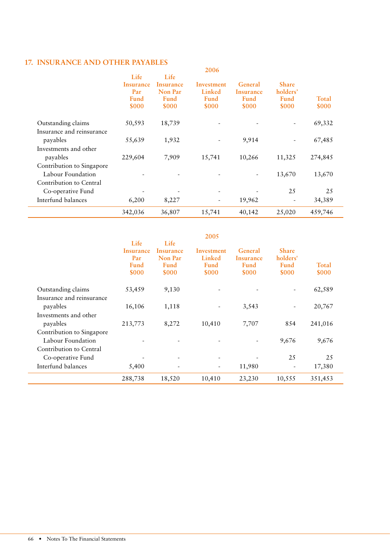# 17. INSURANCE AND OTHER PAYABLES 2006

|                           | Life<br>Insurance<br>Par<br>Fund<br>\$000 | Life<br>Insurance<br><b>Non Par</b><br>Fund<br><b>\$000</b> | zuud<br>Investment<br>Linked<br><b>Fund</b><br><b>\$000</b> | General<br>Insurance<br>Fund<br>\$000 | <b>Share</b><br>holders'<br>Fund<br>\$000 | Total<br>\$000 |
|---------------------------|-------------------------------------------|-------------------------------------------------------------|-------------------------------------------------------------|---------------------------------------|-------------------------------------------|----------------|
| Outstanding claims        | 50,593                                    | 18,739                                                      |                                                             |                                       |                                           | 69,332         |
| Insurance and reinsurance |                                           |                                                             |                                                             |                                       |                                           |                |
| payables                  | 55,639                                    | 1,932                                                       | $\overline{\phantom{a}}$                                    | 9,914                                 | $\overline{\phantom{0}}$                  | 67,485         |
| Investments and other     |                                           |                                                             |                                                             |                                       |                                           |                |
| payables                  | 229,604                                   | 7,909                                                       | 15,741                                                      | 10,266                                | 11,325                                    | 274,845        |
| Contribution to Singapore |                                           |                                                             |                                                             |                                       |                                           |                |
| Labour Foundation         |                                           |                                                             |                                                             | $\overline{\phantom{a}}$              | 13,670                                    | 13,670         |
| Contribution to Central   |                                           |                                                             |                                                             |                                       |                                           |                |
| Co-operative Fund         |                                           |                                                             | $\overline{\phantom{a}}$                                    |                                       | 25                                        | 25             |
| Interfund balances        | 6,200                                     | 8,227                                                       | $\overline{\phantom{a}}$                                    | 19,962                                |                                           | 34,389         |
|                           | 342,036                                   | 36,807                                                      | 15,741                                                      | 40,142                                | 25,020                                    | 459,746        |

|                           |             |                          | 2005                     |           |                          |         |  |
|---------------------------|-------------|--------------------------|--------------------------|-----------|--------------------------|---------|--|
|                           | Life        | Life                     |                          |           |                          |         |  |
|                           | Insurance   | Insurance                | Investment               | General   | <b>Share</b>             |         |  |
|                           | Par         | Non Par                  | Linked                   | Insurance | holders'                 |         |  |
|                           | <b>Fund</b> | <b>Fund</b>              | <b>Fund</b>              | Fund      | Fund                     | Total   |  |
|                           | \$000       | <b>SOOO</b>              | \$000                    | \$000     | \$000                    | \$000   |  |
| Outstanding claims        | 53,459      | 9,130                    |                          |           |                          | 62,589  |  |
| Insurance and reinsurance |             |                          |                          |           |                          |         |  |
| payables                  | 16,106      | 1,118                    |                          | 3,543     | $\overline{\phantom{a}}$ | 20,767  |  |
| Investments and other     |             |                          |                          |           |                          |         |  |
| payables                  | 213,773     | 8,272                    | 10,410                   | 7,707     | 854                      | 241,016 |  |
| Contribution to Singapore |             |                          |                          |           |                          |         |  |
| Labour Foundation         |             |                          |                          |           | 9,676                    | 9,676   |  |
| Contribution to Central   |             |                          |                          |           |                          |         |  |
| Co-operative Fund         |             | $\overline{\phantom{a}}$ | $\overline{\phantom{a}}$ |           | 25                       | 25      |  |
| Interfund balances        | 5,400       |                          | -                        | 11,980    |                          | 17,380  |  |
|                           | 288,738     | 18,520                   | 10,410                   | 23,230    | 10,555                   | 351,453 |  |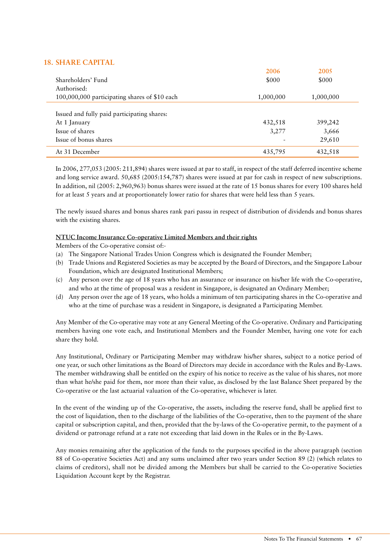# **SHARE CAPITAL 18.**

|                                               | 2006      | 2005      |  |
|-----------------------------------------------|-----------|-----------|--|
| Shareholders' Fund                            | \$000     | \$000     |  |
| Authorised:                                   |           |           |  |
| 100,000,000 participating shares of \$10 each | 1,000,000 | 1,000,000 |  |
|                                               |           |           |  |
| Issued and fully paid participating shares:   |           |           |  |
| At 1 January                                  | 432,518   | 399,242   |  |
| Issue of shares                               | 3,277     | 3,666     |  |
| Issue of bonus shares                         |           | 29,610    |  |
| At 31 December                                | 435,795   | 432,518   |  |

In 2006, 277,053 (2005: 211,894) shares were issued at par to staff, in respect of the staff deferred incentive scheme and long service award. 50,685 (2005:154,787) shares were issued at par for cash in respect of new subscriptions. In addition, nil (2005: 2,960,963) bonus shares were issued at the rate of 15 bonus shares for every 100 shares held for at least 5 years and at proportionately lower ratio for shares that were held less than 5 years.

The newly issued shares and bonus shares rank pari passu in respect of distribution of dividends and bonus shares with the existing shares.

#### **NTUC Income Insurance Co-operative Limited Members and their rights**

Members of the Co-operative consist of:-

- (a) The Singapore National Trades Union Congress which is designated the Founder Member;
- (b) Trade Unions and Registered Societies as may be accepted by the Board of Directors, and the Singapore Labour Foundation, which are designated Institutional Members;
- (c) Any person over the age of 18 years who has an assurance or insurance on his/her life with the Co-operative, and who at the time of proposal was a resident in Singapore, is designated an Ordinary Member;
- (d) Any person over the age of 18 years, who holds a minimum of ten participating shares in the Co-operative and who at the time of purchase was a resident in Singapore, is designated a Participating Member.

Any Member of the Co-operative may vote at any General Meeting of the Co-operative. Ordinary and Participating members having one vote each, and Institutional Members and the Founder Member, having one vote for each share they hold.

Any Institutional, Ordinary or Participating Member may withdraw his/her shares, subject to a notice period of one year, or such other limitations as the Board of Directors may decide in accordance with the Rules and By-Laws. The member withdrawing shall be entitled on the expiry of his notice to receive as the value of his shares, not more than what he/she paid for them, nor more than their value, as disclosed by the last Balance Sheet prepared by the Co-operative or the last actuarial valuation of the Co-operative, whichever is later.

In the event of the winding up of the Co-operative, the assets, including the reserve fund, shall be applied first to the cost of liquidation, then to the discharge of the liabilities of the Co-operative, then to the payment of the share capital or subscription capital, and then, provided that the by-laws of the Co-operative permit, to the payment of a dividend or patronage refund at a rate not exceeding that laid down in the Rules or in the By-Laws.

Any monies remaining after the application of the funds to the purposes specified in the above paragraph (section 88 of Co-operative Societies Act) and any sums unclaimed after two years under Section 89 (2) (which relates to claims of creditors), shall not be divided among the Members but shall be carried to the Co-operative Societies Liquidation Account kept by the Registrar.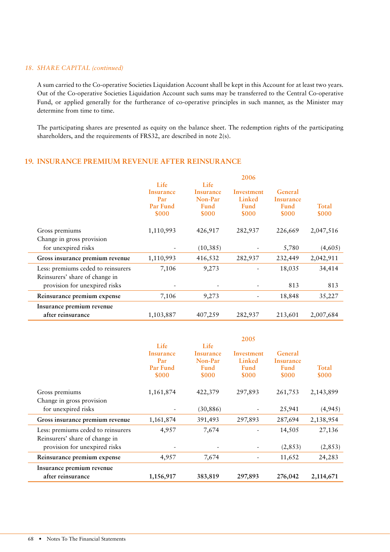#### *ABODER BHARE CAPITAL (continued) <i>CO*

A sum carried to the Co-operative Societies Liquidation Account shall be kept in this Account for at least two years. Out of the Co-operative Societies Liquidation Account such sums may be transferred to the Central Co-operative Fund, or applied generally for the furtherance of co-operative principles in such manner, as the Minister may determine from time to time.

The participating shares are presented as equity on the balance sheet. The redemption rights of the participating shareholders, and the requirements of FRS32, are described in note 2(s).

# 19. INSURANCE PREMIUM REVENUE AFTER REINSURANCE

|                                    |                          |                              | 2006                 |                             |                       |
|------------------------------------|--------------------------|------------------------------|----------------------|-----------------------------|-----------------------|
|                                    | Life<br>Insurance<br>Par | Life<br>Insurance<br>Non-Par | Investment<br>Linked | General<br>Insurance        |                       |
|                                    | Par Fund<br>\$000        | <b>Fund</b><br>\$000         | <b>Fund</b><br>\$000 | <b>Fund</b><br><b>\$000</b> | <b>Total</b><br>\$000 |
| Gross premiums                     | 1,110,993                | 426,917                      | 282,937              | 226,669                     | 2,047,516             |
| Change in gross provision          |                          |                              |                      |                             |                       |
| for unexpired risks                |                          | (10, 385)                    |                      | 5,780                       | (4,605)               |
| Gross insurance premium revenue    | 1,110,993                | 416,532                      | 282,937              | 232,449                     | 2,042,911             |
| Less: premiums ceded to reinsurers | 7,106                    | 9,273                        |                      | 18,035                      | 34,414                |
| Reinsurers' share of change in     |                          |                              |                      |                             |                       |
| provision for unexpired risks      |                          |                              |                      | 813                         | 813                   |
| Reinsurance premium expense        | 7,106                    | 9,273                        |                      | 18,848                      | 35,227                |
| Insurance premium revenue          |                          |                              |                      |                             |                       |
| after reinsurance                  | 1,103,887                | 407,259                      | 282,937              | 213,601                     | 2,007,684             |

|                                    |           |             | 2005        |             |           |
|------------------------------------|-----------|-------------|-------------|-------------|-----------|
|                                    | Life      | Life        |             |             |           |
|                                    | Insurance | Insurance   | Investment  | General     |           |
|                                    | Par       | Non-Par     | Linked      | Insurance   |           |
|                                    | Par Fund  | <b>Fund</b> | <b>Fund</b> | <b>Fund</b> | Total     |
|                                    | \$000     | \$000       | \$000       | \$000       | \$000     |
|                                    |           |             |             |             |           |
| Gross premiums                     | 1,161,874 | 422,379     | 297,893     | 261,753     | 2,143,899 |
| Change in gross provision          |           |             |             |             |           |
| for unexpired risks                |           | (30, 886)   |             | 25,941      | (4,945)   |
| Gross insurance premium revenue    | 1,161,874 | 391,493     | 297,893     | 287,694     | 2,138,954 |
| Less: premiums ceded to reinsurers | 4,957     | 7,674       |             | 14,505      | 27,136    |
| Reinsurers' share of change in     |           |             |             |             |           |
| provision for unexpired risks      |           |             |             | (2, 853)    | (2, 853)  |
| Reinsurance premium expense        | 4,957     | 7,674       |             | 11,652      | 24,283    |
| Insurance premium revenue          |           |             |             |             |           |
| after reinsurance                  | 1,156,917 | 383,819     | 297,893     | 276,042     | 2,114,671 |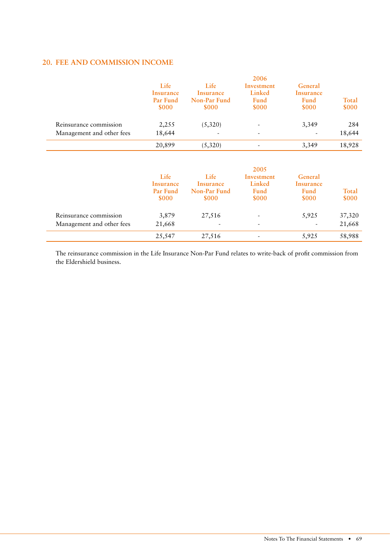# **FEE AND COMMISSION INCOME 20.**

|                           | Life<br>Insurance<br>Par Fund<br><b>\$000</b> | Life<br>Insurance<br>Non-Par Fund<br><b>SOOO</b> | 2006<br>Investment<br>Linked<br>Fund<br>\$000 | General<br>Insurance<br>Fund<br>\$000 | Total<br>\$000 |
|---------------------------|-----------------------------------------------|--------------------------------------------------|-----------------------------------------------|---------------------------------------|----------------|
| Reinsurance commission    | 2,255                                         | (5,320)                                          | $\overline{\phantom{a}}$                      | 3,349                                 | 284            |
| Management and other fees | 18,644                                        | $\overline{\phantom{0}}$                         | $\overline{\phantom{a}}$                      |                                       | 18,644         |
|                           | 20,899                                        | (5,320)                                          | $\overline{\phantom{a}}$                      | 3,349                                 | 18,928         |

|                           | Life<br>Insurance<br>Par Fund<br>\$000 | Life<br>Insurance<br>Non-Par Fund<br>\$000 | 2005<br>Investment<br>Linked<br>Fund<br>\$000 | General<br>Insurance<br>Fund<br>\$000 | Total<br>\$000 |
|---------------------------|----------------------------------------|--------------------------------------------|-----------------------------------------------|---------------------------------------|----------------|
| Reinsurance commission    | 3,879                                  | 27,516                                     | $\overline{\phantom{a}}$                      | 5,925                                 | 37,320         |
| Management and other fees | 21,668                                 |                                            | $\overline{\phantom{a}}$                      | $\overline{\phantom{a}}$              | 21,668         |
|                           | 25,547                                 | 27,516                                     |                                               | 5,925                                 | 58,988         |

The reinsurance commission in the Life Insurance Non-Par Fund relates to write-back of profit commission from the Eldershield business.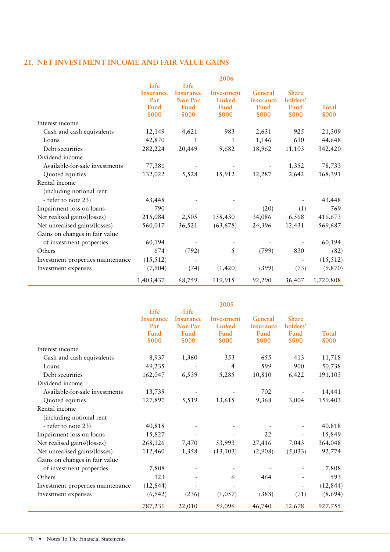#### **NET INVESTMENT INCOME AND FAIR VALUE GAINS 21.**

|                                   | 1,403,437 | 68,759    | 119,915    | 92,290           | 36,407       | 1,720,808 |
|-----------------------------------|-----------|-----------|------------|------------------|--------------|-----------|
| Investment expenses               | (7,904)   | (74)      | (1,420)    | (399)            | (73)         | (9,870)   |
| Investment properties maintenance | (15, 512) |           |            |                  |              | (15, 512) |
| Others                            | 674       | (792)     | 5          | (799)            | 830          | (82)      |
| of investment properties          | 60,194    |           |            |                  |              | 60,194    |
| Gains on changes in fair value    |           |           |            |                  |              |           |
| Net unrealised gains/(losses)     | 560,017   | 36,521    | (63, 678)  | 24,396           | 12,431       | 569,687   |
| Net realised gains/(losses)       | 215,084   | 2,505     | 158,430    | 34,086           | 6,568        | 416,673   |
| Impairment loss on loans          | 790       |           |            | (20)             | (1)          | 769       |
| - refer to note 23)               | 43,448    |           |            |                  |              | 43,448    |
| (including notional rent          |           |           |            |                  |              |           |
| Rental income                     |           |           |            |                  |              |           |
| Quoted equities                   | 132,022   | 5,528     | 15,912     | 12,287           | 2,642        | 168,391   |
| Available-for-sale investments    | 77,381    |           |            |                  | 1,352        | 78,733    |
| Dividend income                   |           |           |            |                  |              |           |
| Debt securities                   | 282,224   | 20,449    | 9,682      | 18,962           | 11,103       | 342,420   |
| Loans                             | 42,870    | 1         | 1          | 1,146            | 630          | 44,648    |
| Cash and cash equivalents         | 12,149    | 4,621     | 983        | 2,631            | 925          | 21,309    |
| Interest income                   |           |           |            |                  |              |           |
|                                   | \$000     | \$000     | \$000      | \$000            | \$000        | \$000     |
|                                   | Fund      | Fund      | Fund       | Fund             | <b>Fund</b>  | Total     |
|                                   | Par       | Non Par   | Linked     | <b>Insurance</b> | holders'     |           |
|                                   | Insurance | Insurance | Investment | General          | <b>Share</b> |           |
|                                   | Life      | Life      | 2006       |                  |              |           |
|                                   |           |           |            |                  |              |           |

| <b>Share</b><br>holders'<br>Fund<br><b>Total</b> |
|--------------------------------------------------|
|                                                  |
|                                                  |
|                                                  |
|                                                  |
| \$000                                            |
|                                                  |
| 11,718                                           |
| 50,738<br>900                                    |
| 6,422<br>191,103                                 |
|                                                  |
| 14,441                                           |
| 159,403<br>3,004                                 |
|                                                  |
|                                                  |
| 40,818                                           |
| 15,849                                           |
| 364,048<br>7,043                                 |
| 92,774<br>(5,033)                                |
|                                                  |
| 7,808                                            |
| 593                                              |
| (12, 844)                                        |
| (71)<br>(8,694)                                  |
| 927,755<br>12,678                                |
| \$000<br>413                                     |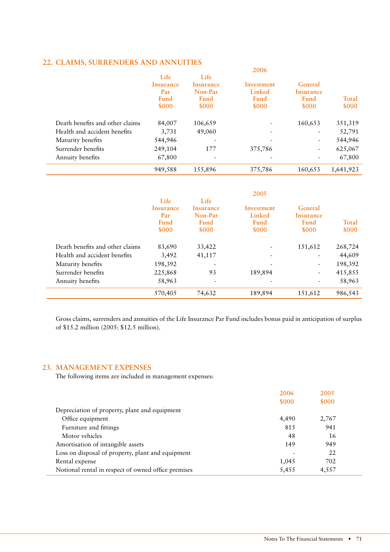# **CLAIMS, SURRENDERS AND ANNUITIES 2006 22.**

|                                 |           |           | zuud                     |                          |           |
|---------------------------------|-----------|-----------|--------------------------|--------------------------|-----------|
|                                 | Life      | Life      |                          |                          |           |
|                                 | Insurance | Insurance | Investment               | General                  |           |
|                                 | Par       | Non-Par   | Linked                   | Insurance                |           |
|                                 | Fund      | Fund      | Fund                     | Fund                     | Total     |
|                                 | \$000     | \$000     | \$000                    | \$000                    | \$000     |
| Death benefits and other claims | 84,007    | 106,659   |                          | 160,653                  | 351,319   |
| Health and accident benefits    | 3,731     | 49,060    |                          |                          | 52,791    |
| Maturity benefits               | 544,946   |           |                          | ٠                        | 544,946   |
| Surrender benefits              | 249,104   | 177       | 375,786                  | $\overline{\phantom{a}}$ | 625,067   |
| Annuity benefits                | 67,800    | ۰         | $\overline{\phantom{a}}$ |                          | 67,800    |
|                                 | 949,588   | 155,896   | 375,786                  | 160,653                  | 1,641,923 |

|                                 |             |             | 2005                         |             |         |
|---------------------------------|-------------|-------------|------------------------------|-------------|---------|
|                                 | Life        | Life        |                              |             |         |
|                                 | Insurance   | Insurance   | Investment                   | General     |         |
|                                 | Par         | Non-Par     | Linked                       | Insurance   |         |
|                                 | <b>Fund</b> | <b>Fund</b> | <b>Fund</b>                  | <b>Fund</b> | Total   |
|                                 | \$000       | \$000       | \$000                        | \$000       | \$000   |
| Death benefits and other claims | 83,690      | 33,422      |                              | 151,612     | 268,724 |
| Health and accident benefits    | 3,492       | 41,117      | $\qquad \qquad \blacksquare$ |             | 44,609  |
| Maturity benefits               | 198,392     |             |                              |             | 198,392 |
| Surrender benefits              | 225,868     | 93          | 189,894                      |             | 415,855 |
| Annuity benefits                | 58,963      |             | $\overline{\phantom{0}}$     |             | 58,963  |
|                                 | 570,405     | 74,632      | 189,894                      | 151,612     | 986,543 |

Gross claims, surrenders and annuities of the Life Insurance Par Fund includes bonus paid in anticipation of surplus of \$15.2 million (2005: \$12.5 million).

#### **MANAGEMENT EXPENSES 23.**

The following items are included in management expenses:

|                                                     | 2006                     | 2005  |  |
|-----------------------------------------------------|--------------------------|-------|--|
|                                                     | \$000                    | \$000 |  |
| Depreciation of property, plant and equipment       |                          |       |  |
| Office equipment                                    | 4,490                    | 2,767 |  |
| Furniture and fittings                              | 815                      | 941   |  |
| Motor vehicles                                      | 48                       | 16    |  |
| Amortisation of intangible assets                   | 149                      | 949   |  |
| Loss on disposal of property, plant and equipment   | $\overline{\phantom{0}}$ | 22    |  |
| Rental expense                                      | 1,045                    | 702   |  |
| Notional rental in respect of owned office premises | 5,455                    | 4,557 |  |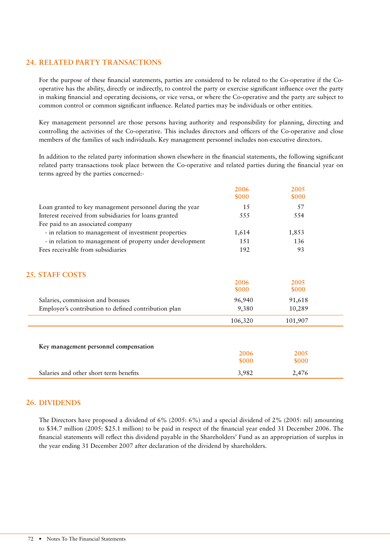### **RELATED PARTY TRANSACTIONS 24.**

For the purpose of these financial statements, parties are considered to be related to the Co-operative if the Cooperative has the ability, directly or indirectly, to control the party or exercise significant influence over the party in making financial and operating decisions, or vice versa, or where the Co-operative and the party are subject to common control or common significant influence. Related parties may be individuals or other entities.

Key management personnel are those persons having authority and responsibility for planning, directing and controlling the activities of the Co-operative. This includes directors and officers of the Co-operative and close members of the families of such individuals. Key management personnel includes non-executive directors.

In addition to the related party information shown elsewhere in the financial statements, the following significant related party transactions took place between the Co-operative and related parties during the financial year on terms agreed by the parties concerned:-

|                                                           | 2006<br>\$000 | 2005<br>\$000 |  |
|-----------------------------------------------------------|---------------|---------------|--|
| Loan granted to key management personnel during the year  | 1.5           | 57            |  |
| Interest received from subsidiaries for loans granted     | 555           | 554           |  |
| Fee paid to an associated company                         |               |               |  |
| - in relation to management of investment properties      | 1,614         | 1,853         |  |
| - in relation to management of property under development | 151           | 136           |  |
| Fees receivable from subsidiaries                         | 192           | 93            |  |
| <b>25. STAFF COSTS</b>                                    |               |               |  |
|                                                           | 2006<br>\$000 | 2005<br>\$000 |  |
| Salaries, commission and bonuses                          | 96,940        | 91,618        |  |
| Employer's contribution to defined contribution plan      | 9,380         | 10,289        |  |
|                                                           | 106,320       | 101,907       |  |
|                                                           |               |               |  |
| Key management personnel compensation                     |               |               |  |
|                                                           | 2006          | 2005          |  |
|                                                           | \$000         | \$000         |  |
| Salaries and other short term benefits                    | 3,982         | 2,476         |  |

#### **DIVIDENDS 26.**

The Directors have proposed a dividend of 6% (2005: 6%) and a special dividend of 2% (2005: nil) amounting to \$34.7 million (2005: \$25.1 million) to be paid in respect of the financial year ended 31 December 2006. The financial statements will reflect this dividend payable in the Shareholders' Fund as an appropriation of surplus in the year ending 31 December 2007 after declaration of the dividend by shareholders.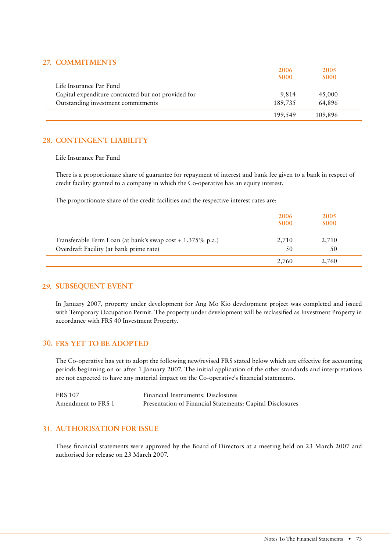# 27. **COMMITMENTS**

| 7. COMMITMENTS                                      |         |         |  |
|-----------------------------------------------------|---------|---------|--|
|                                                     | 2006    | 2005    |  |
|                                                     | \$000   | \$000   |  |
| Life Insurance Par Fund                             |         |         |  |
| Capital expenditure contracted but not provided for | 9.814   | 45,000  |  |
| Outstanding investment commitments                  | 189,735 | 64.896  |  |
|                                                     | 199,549 | 109,896 |  |

# **CONTINGENT LIABILITY 28.**

Life Insurance Par Fund

There is a proportionate share of guarantee for repayment of interest and bank fee given to a bank in respect of credit facility granted to a company in which the Co-operative has an equity interest.

The proportionate share of the credit facilities and the respective interest rates are:

|                                                                                                       | 2006<br>\$000 | 2005<br>\$000 |  |
|-------------------------------------------------------------------------------------------------------|---------------|---------------|--|
| Transferable Term Loan (at bank's swap cost + 1.375% p.a.)<br>Overdraft Facility (at bank prime rate) | 2,710<br>50   | 2,710<br>50   |  |
|                                                                                                       | 2,760         | 2,760         |  |

# **SUBSEQUENT EVENT 29.**

In January 2007, property under development for Ang Mo Kio development project was completed and issued with Temporary Occupation Permit. The property under development will be reclassified as Investment Property in accordance with FRS 40 Investment Property.

# **FRS YET TO BE ADOPTED 30.**

The Co-operative has yet to adopt the following new/revised FRS stated below which are effective for accounting periods beginning on or after 1 January 2007. The initial application of the other standards and interpretations are not expected to have any material impact on the Co-operative's financial statements.

| <b>FRS 107</b>     | Financial Instruments: Disclosures                        |
|--------------------|-----------------------------------------------------------|
| Amendment to FRS 1 | Presentation of Financial Statements: Capital Disclosures |

# **AUTHORISATION FOR ISSUE 31.**

These financial statements were approved by the Board of Directors at a meeting held on 23 March 2007 and authorised for release on 23 March 2007.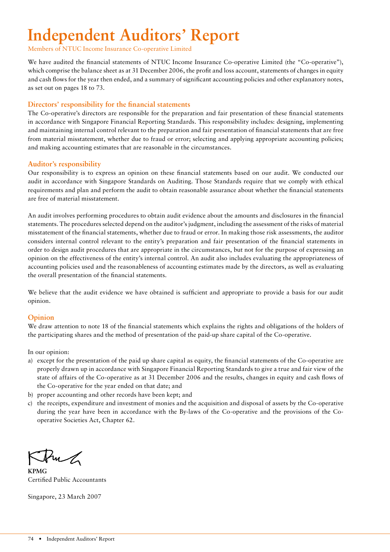# **Independent Auditors' Report**

Members of NTUC Income Insurance Co-operative Limited

We have audited the financial statements of NTUC Income Insurance Co-operative Limited (the "Co-operative"), which comprise the balance sheet as at 31 December 2006, the profit and loss account, statements of changes in equity and cash flows for the year then ended, and a summary of significant accounting policies and other explanatory notes, as set out on pages 18 to 73.

### **Directors' responsibility for the financial statements**

The Co-operative's directors are responsible for the preparation and fair presentation of these financial statements in accordance with Singapore Financial Reporting Standards. This responsibility includes: designing, implementing and maintaining internal control relevant to the preparation and fair presentation of financial statements that are free from material misstatement, whether due to fraud or error; selecting and applying appropriate accounting policies; and making accounting estimates that are reasonable in the circumstances.

### **Auditor's responsibility**

Our responsibility is to express an opinion on these financial statements based on our audit. We conducted our audit in accordance with Singapore Standards on Auditing. Those Standards require that we comply with ethical requirements and plan and perform the audit to obtain reasonable assurance about whether the financial statements are free of material misstatement.

An audit involves performing procedures to obtain audit evidence about the amounts and disclosures in the financial statements. The procedures selected depend on the auditor's judgment, including the assessment of the risks of material misstatement of the financial statements, whether due to fraud or error. In making those risk assessments, the auditor considers internal control relevant to the entity's preparation and fair presentation of the financial statements in order to design audit procedures that are appropriate in the circumstances, but not for the purpose of expressing an opinion on the effectiveness of the entity's internal control. An audit also includes evaluating the appropriateness of accounting policies used and the reasonableness of accounting estimates made by the directors, as well as evaluating the overall presentation of the financial statements.

We believe that the audit evidence we have obtained is sufficient and appropriate to provide a basis for our audit opinion.

# **Opinion**

We draw attention to note 18 of the financial statements which explains the rights and obligations of the holders of the participating shares and the method of presentation of the paid-up share capital of the Co-operative.

In our opinion:

- a) except for the presentation of the paid up share capital as equity, the financial statements of the Co-operative are properly drawn up in accordance with Singapore Financial Reporting Standards to give a true and fair view of the state of affairs of the Co-operative as at 31 December 2006 and the results, changes in equity and cash flows of the Co-operative for the year ended on that date; and
- b) proper accounting and other records have been kept; and
- c) the receipts, expenditure and investment of monies and the acquisition and disposal of assets by the Co-operative during the year have been in accordance with the By-laws of the Co-operative and the provisions of the Cooperative Societies Act, Chapter 62.

Pur

**KPMG** Certified Public Accountants

Singapore, 23 March 2007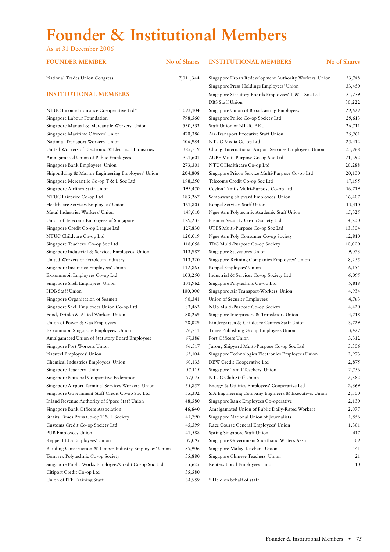# **Founder & Institutional Members**

As at 31 December 2006

**FOUNDER MEMBER No of Shares INSTITUTIONAL MEMBERS No of Shares** National Trades Union Congress 7,011,344 Singapore Urban Redevelopment Authority Workers' Union 33,748 Singapore Press Holdings Employees' Union 33,450 **INSTITUTIONAL MEMBERS** Singapore Statutory Boards Employees' T & L Soc Ltd 31,739 DBS Staff Union 30,222 NTUC Income Insurance Co-operative Ltd\* 1,093,104 Singapore Union of Broadcasting Employees 29,629 Singapore Labour Foundation 798,560 Singapore Police Co-op Society Ltd 29,613 Singapore Manual & Mercantile Workers' Union 530,533 Staff Union of NTUC ARU 26,711 Singapore Maritime Officers' Union 470,386 Air-Transport Executive Staff Union 25,761 National Transport Workers' Union 406,984 NTUC Media Co-op Ltd 25,412 United Workers of Electronic & Electrical Industries 385,719 Changi International Airport Services Employees' Union 23,968 Amalgamated Union of Public Employees 321,601 AUPE Multi-Purpose Co-op Soc Ltd 21,292 Singapore Bank Employees' Union 273,301 NTUC Healthcare Co-op Ltd 20,288 Shipbuilding & Marine Engineering Employees' Union 204,808 Singapore Prison Service Multi-Purpose Co-op Ltd 20,100 Singapore Mercantile Co-op T & L Soc Ltd 198,350 Telecoms Credit Co-op Soc Ltd 17,195 Singapore Airlines Staff Union 195,470 Ceylon Tamils Multi-Purpose Co-op Ltd 16,719 NTUC Fairprice Co-op Ltd 183,267 Sembawang Shipyard Employees' Union 16,407 Healthcare Services Employees' Union 161,805 Keppel Services Staff Union 15,410 Metal Industries Workers' Union 149,010 Ngee Ann Polytechnic Academic Staff Union 15,325 Union of Telecoms Employees of Singapore 129,237 Premier Security Co-op Society Ltd 14,200 Singapore Credit Co-op League Ltd 127,830 UTES Multi-Purpose Co-op Soc Ltd 13,304 NTUC Childcare Co-op Ltd 120,019 Ngee Ann Poly Consumer Co-op Society 12,810 Singapore Teachers' Co-op Soc Ltd 118,058 TRC Multi-Purpose Co-op Society 10,000 Singapore Industrial & Services Employees' Union 113,987 Singapore Stevedores Union 9,073 United Workers of Petroleum Industry 113,320 Singapore Refining Companies Employees' Union 8,255 Singapore Insurance Employees' Union 112,865 Keppel Employees' Union 6,154 Exxonmobil Employees Co-op Ltd 103,250 Industrial & Services Co-op Society Ltd 6,095 Singapore Shell Employees' Union 101,962 Singapore Polytechnic Co-op Ltd 5,818 HDB Staff Union 100,000 Singapore Air Transport-Workers' Union 4,934 Singapore Organisation of Seamen 4,763 and 4,763 Union of Security Employees 4,763 Singapore Shell Employees Union Co-op Ltd 83,463 NUS Multi-Purpose Co-op Society 4,420 Food, Drinks & Allied Workers Union 80,269 Singapore Interpreters & Translators Union 4,218 Union of Power & Gas Employees 78,029 Kindergarten & Childcare Centres Staff Union 3,729 Exxonmobil Singapore Employees' Union 76,711 Times Publishing Group Employees Union 3,427 Amalgamated Union of Statutory Board Employees 67,386 Port Officers Union 3,312 Singapore Port Workers Union 66,517 Jurong Shipyard Multi-Purpose Co-op Soc Ltd 3,306 Natsteel Employees' Union 63,104 Singapore Technologies Electronics Employees Union 2,973 Chemical Industries Employees' Union 60,133 DEW Credit Cooperative Ltd 2,875 Singapore Teachers' Union 57,115 Singapore Tamil Teachers' Union 2,756 Singapore National Cooperative Federation 57,075 NTUC Club Staff Union 2,382 Singapore Airport Terminal Services Workers' Union 55,857 Energy & Utilities Employees' Cooperative Ltd 2,369 Singapore Government Staff Credit Co-op Soc Ltd 55,392 SIA Engineering Company Engineers & Executives Union 2,300 Inland Revenue Authority of S'pore Staff Union 48,580 Singapore Bank Employees Co-operative 2,130 Singapore Bank Officers Association 46,640 Amalgamated Union of Public Daily-Rated Workers 2,077 Straits Times Press Co-op T & L Society 45,790 Singapore National Union of Journalists 1,856 Customs Credit Co-op Society Ltd 45,599 Race Course General Employees' Union 1,301 PUB Employees Union 41,588 Spring Singapore Staff Union 417 Keppel FELS Employees' Union 39,095 Singapore Government Shorthand Writers Assn 309 Building Construction & Timber Industry Employees' Union 35,906 Singapore Malay Teachers' Union 141 Temasek Polytechnic Co-op Society 35,880 Singapore Chinese Teachers' Union 21 Singapore Public Works Employees'Credit Co-op Soc Ltd 35,625 Reuters Local Employees Union 10 Citiport Credit Co-op Ltd 35,580 Union of ITE Training Staff 34,959 \* Held on behalf of staff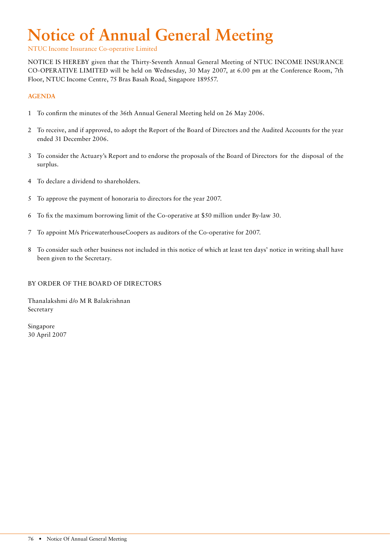# **Notice of Annual General Meeting**

NTUC Income Insurance Co-operative Limited

NOTICE IS HEREBY given that the Thirty-Seventh Annual General Meeting of NTUC INCOME INSURANCE CO-OPERATIVE LIMITED will be held on Wednesday, 30 May 2007, at 6.00 pm at the Conference Room, 7th Floor, NTUC Income Centre, 75 Bras Basah Road, Singapore 189557.

### **AGENDA**

- 1 To confirm the minutes of the 36th Annual General Meeting held on 26 May 2006.
- 2 To receive, and if approved, to adopt the Report of the Board of Directors and the Audited Accounts for the year ended 31 December 2006.
- 3 To consider the Actuary's Report and to endorse the proposals of the Board of Directors for the disposal of the surplus.
- 4 To declare a dividend to shareholders.
- 5 To approve the payment of honoraria to directors for the year 2007.
- 6 To fix the maximum borrowing limit of the Co-operative at \$50 million under By-law 30.
- 7 To appoint M/s PricewaterhouseCoopers as auditors of the Co-operative for 2007.
- 8 To consider such other business not included in this notice of which at least ten days' notice in writing shall have been given to the Secretary.

### BY ORDER OF THE BOARD OF DIRECTORS

Thanalakshmi d/o M R Balakrishnan Secretary

Singapore 30 April 2007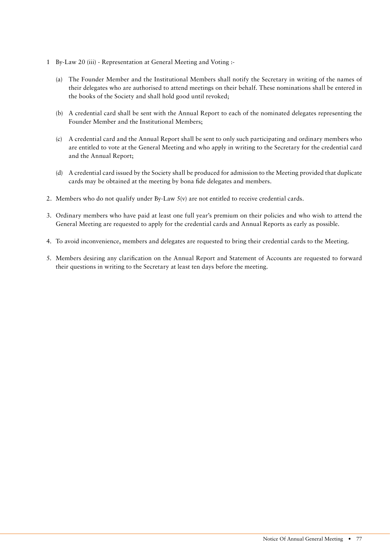- 1 By-Law 20 (iii) Representation at General Meeting and Voting :-
	- (a) The Founder Member and the Institutional Members shall notify the Secretary in writing of the names of their delegates who are authorised to attend meetings on their behalf. These nominations shall be entered in the books of the Society and shall hold good until revoked;
	- (b) A credential card shall be sent with the Annual Report to each of the nominated delegates representing the Founder Member and the Institutional Members;
	- (c) A credential card and the Annual Report shall be sent to only such participating and ordinary members who are entitled to vote at the General Meeting and who apply in writing to the Secretary for the credential card and the Annual Report;
	- (d) A credential card issued by the Society shall be produced for admission to the Meeting provided that duplicate cards may be obtained at the meeting by bona fide delegates and members.
- 2. Members who do not qualify under By-Law  $S(y)$  are not entitled to receive credential cards.
- 3. Ordinary members who have paid at least one full year's premium on their policies and who wish to attend the General Meeting are requested to apply for the credential cards and Annual Reports as early as possible.
- 4. To avoid inconvenience, members and delegates are requested to bring their credential cards to the Meeting.
- 5. Members desiring any clarification on the Annual Report and Statement of Accounts are requested to forward their questions in writing to the Secretary at least ten days before the meeting.